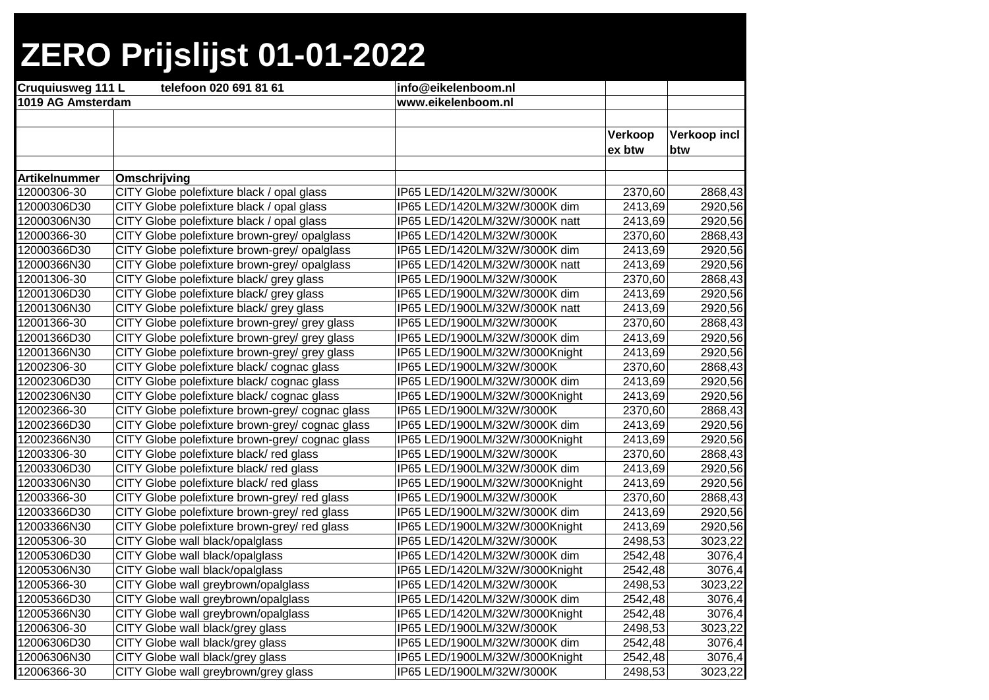| <b>Cruquiusweg 111 L</b> | telefoon 020 691 81 61                          | info@eikelenboom.nl            |         |              |
|--------------------------|-------------------------------------------------|--------------------------------|---------|--------------|
| 1019 AG Amsterdam        |                                                 | www.eikelenboom.nl             |         |              |
|                          |                                                 |                                |         |              |
|                          |                                                 |                                | Verkoop | Verkoop incl |
|                          |                                                 |                                | ex btw  | btw          |
|                          |                                                 |                                |         |              |
| <b>Artikelnummer</b>     | Omschrijving                                    |                                |         |              |
| 12000306-30              | CITY Globe polefixture black / opal glass       | IP65 LED/1420LM/32W/3000K      | 2370,60 | 2868,43      |
| 12000306D30              | CITY Globe polefixture black / opal glass       | IP65 LED/1420LM/32W/3000K dim  | 2413,69 | 2920,56      |
| 12000306N30              | CITY Globe polefixture black / opal glass       | IP65 LED/1420LM/32W/3000K natt | 2413,69 | 2920,56      |
| 12000366-30              | CITY Globe polefixture brown-grey/ opalglass    | IP65 LED/1420LM/32W/3000K      | 2370,60 | 2868,43      |
| 12000366D30              | CITY Globe polefixture brown-grey/ opalglass    | IP65 LED/1420LM/32W/3000K dim  | 2413,69 | 2920,56      |
| 12000366N30              | CITY Globe polefixture brown-grey/ opalglass    | IP65 LED/1420LM/32W/3000K natt | 2413,69 | 2920,56      |
| 12001306-30              | CITY Globe polefixture black/ grey glass        | IP65 LED/1900LM/32W/3000K      | 2370,60 | 2868,43      |
| 12001306D30              | CITY Globe polefixture black/ grey glass        | IP65 LED/1900LM/32W/3000K dim  | 2413,69 | 2920,56      |
| 12001306N30              | CITY Globe polefixture black/ grey glass        | IP65 LED/1900LM/32W/3000K natt | 2413,69 | 2920,56      |
| 12001366-30              | CITY Globe polefixture brown-grey/ grey glass   | IP65 LED/1900LM/32W/3000K      | 2370,60 | 2868,43      |
| 12001366D30              | CITY Globe polefixture brown-grey/ grey glass   | IP65 LED/1900LM/32W/3000K dim  | 2413,69 | 2920,56      |
| 12001366N30              | CITY Globe polefixture brown-grey/ grey glass   | IP65 LED/1900LM/32W/3000Knight | 2413,69 | 2920,56      |
| 12002306-30              | CITY Globe polefixture black/cognac glass       | IP65 LED/1900LM/32W/3000K      | 2370,60 | 2868,43      |
| 12002306D30              | CITY Globe polefixture black/cognac glass       | IP65 LED/1900LM/32W/3000K dim  | 2413,69 | 2920,56      |
| 12002306N30              | CITY Globe polefixture black/cognac glass       | IP65 LED/1900LM/32W/3000Knight | 2413,69 | 2920,56      |
| 12002366-30              | CITY Globe polefixture brown-grey/ cognac glass | IP65 LED/1900LM/32W/3000K      | 2370,60 | 2868,43      |
| 12002366D30              | CITY Globe polefixture brown-grey/ cognac glass | IP65 LED/1900LM/32W/3000K dim  | 2413,69 | 2920,56      |
| 12002366N30              | CITY Globe polefixture brown-grey/ cognac glass | IP65 LED/1900LM/32W/3000Knight | 2413,69 | 2920,56      |
| 12003306-30              | CITY Globe polefixture black/red glass          | IP65 LED/1900LM/32W/3000K      | 2370,60 | 2868,43      |
| 12003306D30              | CITY Globe polefixture black/red glass          | IP65 LED/1900LM/32W/3000K dim  | 2413,69 | 2920,56      |
| 12003306N30              | CITY Globe polefixture black/red glass          | IP65 LED/1900LM/32W/3000Knight | 2413,69 | 2920,56      |
| 12003366-30              | CITY Globe polefixture brown-grey/ red glass    | IP65 LED/1900LM/32W/3000K      | 2370,60 | 2868,43      |
| 12003366D30              | CITY Globe polefixture brown-grey/ red glass    | IP65 LED/1900LM/32W/3000K dim  | 2413,69 | 2920,56      |
| 12003366N30              | CITY Globe polefixture brown-grey/ red glass    | IP65 LED/1900LM/32W/3000Knight | 2413,69 | 2920,56      |
| 12005306-30              | CITY Globe wall black/opalglass                 | IP65 LED/1420LM/32W/3000K      | 2498,53 | 3023,22      |
| 12005306D30              | CITY Globe wall black/opalglass                 | IP65 LED/1420LM/32W/3000K dim  | 2542,48 | 3076,4       |
| 12005306N30              | CITY Globe wall black/opalglass                 | IP65 LED/1420LM/32W/3000Knight | 2542,48 | 3076,4       |
| 12005366-30              | CITY Globe wall greybrown/opalglass             | IP65 LED/1420LM/32W/3000K      | 2498,53 | 3023,22      |
| 12005366D30              | CITY Globe wall greybrown/opalglass             | IP65 LED/1420LM/32W/3000K dim  | 2542,48 | 3076,4       |
| 12005366N30              | CITY Globe wall greybrown/opalglass             | IP65 LED/1420LM/32W/3000Knight | 2542,48 | 3076,4       |
| 12006306-30              | CITY Globe wall black/grey glass                | IP65 LED/1900LM/32W/3000K      | 2498,53 | 3023,22      |
| 12006306D30              | CITY Globe wall black/grey glass                | IP65 LED/1900LM/32W/3000K dim  | 2542,48 | 3076,4       |
| 12006306N30              | CITY Globe wall black/grey glass                | IP65 LED/1900LM/32W/3000Knight | 2542,48 | 3076,4       |
| 12006366-30              | CITY Globe wall greybrown/grey glass            | IP65 LED/1900LM/32W/3000K      | 2498,53 | 3023,22      |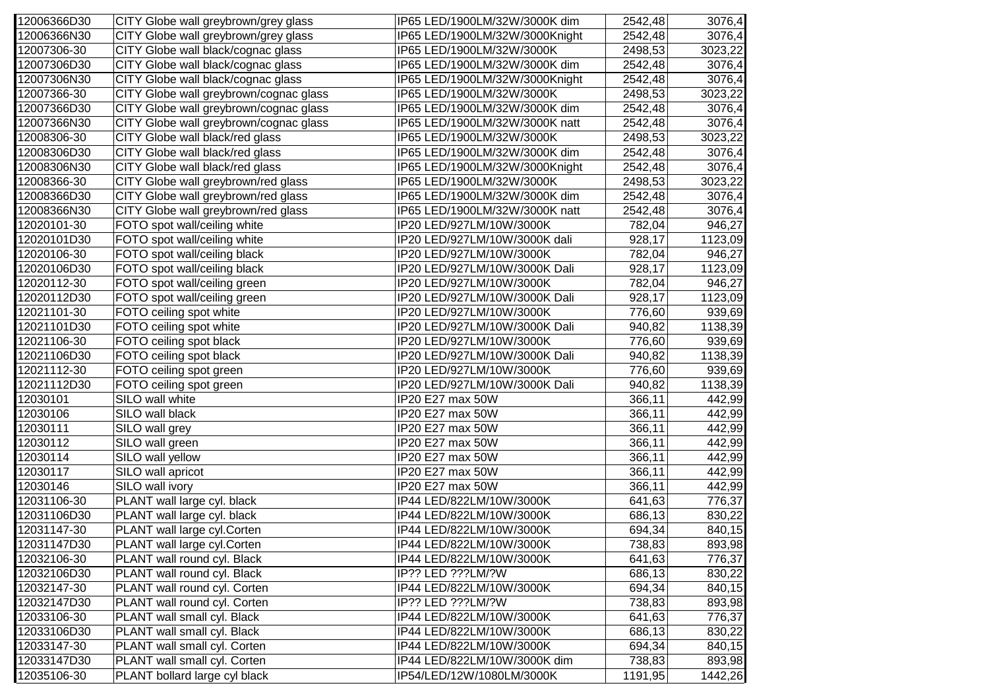| 12006366D30 | CITY Globe wall greybrown/grey glass   | IP65 LED/1900LM/32W/3000K dim  | 2542,48 | 3076,4  |
|-------------|----------------------------------------|--------------------------------|---------|---------|
| 12006366N30 | CITY Globe wall greybrown/grey glass   | IP65 LED/1900LM/32W/3000Knight | 2542,48 | 3076,4  |
| 12007306-30 | CITY Globe wall black/cognac glass     | IP65 LED/1900LM/32W/3000K      | 2498,53 | 3023,22 |
| 12007306D30 | CITY Globe wall black/cognac glass     | IP65 LED/1900LM/32W/3000K dim  | 2542,48 | 3076,4  |
| 12007306N30 | CITY Globe wall black/cognac glass     | IP65 LED/1900LM/32W/3000Knight | 2542,48 | 3076,4  |
| 12007366-30 | CITY Globe wall greybrown/cognac glass | IP65 LED/1900LM/32W/3000K      | 2498,53 | 3023,22 |
| 12007366D30 | CITY Globe wall greybrown/cognac glass | IP65 LED/1900LM/32W/3000K dim  | 2542,48 | 3076,4  |
| 12007366N30 | CITY Globe wall greybrown/cognac glass | IP65 LED/1900LM/32W/3000K natt | 2542,48 | 3076,4  |
| 12008306-30 | CITY Globe wall black/red glass        | IP65 LED/1900LM/32W/3000K      | 2498,53 | 3023,22 |
| 12008306D30 | CITY Globe wall black/red glass        | IP65 LED/1900LM/32W/3000K dim  | 2542,48 | 3076,4  |
| 12008306N30 | CITY Globe wall black/red glass        | IP65 LED/1900LM/32W/3000Knight | 2542,48 | 3076,4  |
| 12008366-30 | CITY Globe wall greybrown/red glass    | IP65 LED/1900LM/32W/3000K      | 2498,53 | 3023,22 |
| 12008366D30 | CITY Globe wall greybrown/red glass    | IP65 LED/1900LM/32W/3000K dim  | 2542,48 | 3076,4  |
| 12008366N30 | CITY Globe wall greybrown/red glass    | IP65 LED/1900LM/32W/3000K natt | 2542,48 | 3076,4  |
| 12020101-30 | FOTO spot wall/ceiling white           | IP20 LED/927LM/10W/3000K       | 782,04  | 946,27  |
| 12020101D30 | FOTO spot wall/ceiling white           | IP20 LED/927LM/10W/3000K dali  | 928,17  | 1123,09 |
| 12020106-30 | FOTO spot wall/ceiling black           | IP20 LED/927LM/10W/3000K       | 782,04  | 946,27  |
| 12020106D30 | FOTO spot wall/ceiling black           | IP20 LED/927LM/10W/3000K Dali  | 928,17  | 1123,09 |
| 12020112-30 | FOTO spot wall/ceiling green           | IP20 LED/927LM/10W/3000K       | 782,04  | 946,27  |
| 12020112D30 | FOTO spot wall/ceiling green           | IP20 LED/927LM/10W/3000K Dali  | 928,17  | 1123,09 |
| 12021101-30 | FOTO ceiling spot white                | IP20 LED/927LM/10W/3000K       | 776,60  | 939,69  |
| 12021101D30 | FOTO ceiling spot white                | IP20 LED/927LM/10W/3000K Dali  | 940,82  | 1138,39 |
| 12021106-30 | FOTO ceiling spot black                | IP20 LED/927LM/10W/3000K       | 776,60  | 939,69  |
| 12021106D30 | FOTO ceiling spot black                | IP20 LED/927LM/10W/3000K Dali  | 940,82  | 1138,39 |
| 12021112-30 | FOTO ceiling spot green                | IP20 LED/927LM/10W/3000K       | 776,60  | 939,69  |
| 12021112D30 | FOTO ceiling spot green                | IP20 LED/927LM/10W/3000K Dali  | 940,82  | 1138,39 |
| 12030101    | SILO wall white                        | IP20 E27 max 50W               | 366,11  | 442,99  |
| 12030106    | SILO wall black                        | IP20 E27 max 50W               | 366,11  | 442,99  |
| 12030111    | SILO wall grey                         | IP20 E27 max 50W               | 366,11  | 442,99  |
| 12030112    | SILO wall green                        | IP20 E27 max 50W               | 366, 11 | 442,99  |
| 12030114    | SILO wall yellow                       | IP20 E27 max 50W               | 366,11  | 442,99  |
| 12030117    | SILO wall apricot                      | IP20 E27 max 50W               | 366,11  | 442,99  |
| 12030146    | SILO wall ivory                        | IP20 E27 max 50W               | 366,11  | 442,99  |
| 12031106-30 | PLANT wall large cyl. black            | IP44 LED/822LM/10W/3000K       | 641,63  | 776,37  |
| 12031106D30 | PLANT wall large cyl. black            | IP44 LED/822LM/10W/3000K       | 686,13  | 830,22  |
| 12031147-30 | PLANT wall large cyl.Corten            | IP44 LED/822LM/10W/3000K       | 694,34  | 840,15  |
| 12031147D30 | PLANT wall large cyl. Corten           | IP44 LED/822LM/10W/3000K       | 738,83  | 893,98  |
| 12032106-30 | PLANT wall round cyl. Black            | IP44 LED/822LM/10W/3000K       | 641,63  | 776,37  |
| 12032106D30 | PLANT wall round cyl. Black            | IP?? LED ???LM/?W              | 686,13  | 830,22  |
| 12032147-30 | PLANT wall round cyl. Corten           | IP44 LED/822LM/10W/3000K       | 694,34  | 840,15  |
| 12032147D30 | PLANT wall round cyl. Corten           | IP?? LED ???LM/?W              | 738,83  | 893,98  |
| 12033106-30 | PLANT wall small cyl. Black            | IP44 LED/822LM/10W/3000K       | 641,63  | 776,37  |
| 12033106D30 | PLANT wall small cyl. Black            | IP44 LED/822LM/10W/3000K       | 686,13  | 830,22  |
| 12033147-30 | PLANT wall small cyl. Corten           | IP44 LED/822LM/10W/3000K       | 694,34  | 840,15  |
| 12033147D30 | PLANT wall small cyl. Corten           | IP44 LED/822LM/10W/3000K dim   | 738,83  | 893,98  |
| 12035106-30 | PLANT bollard large cyl black          | IP54/LED/12W/1080LM/3000K      | 1191,95 | 1442,26 |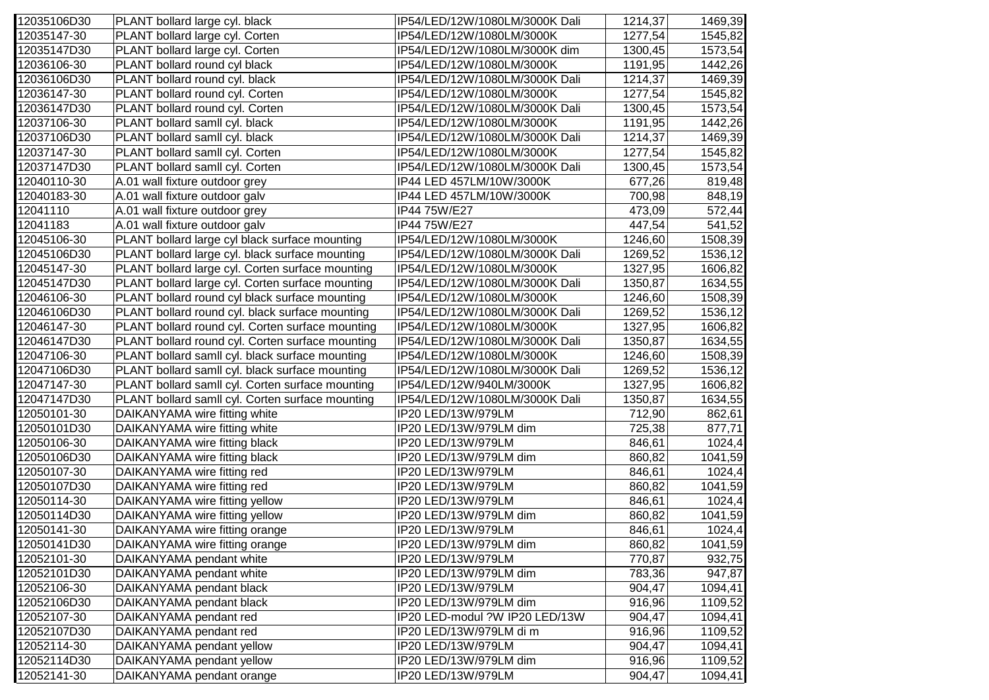| 12035106D30 | PLANT bollard large cyl. black                   | IP54/LED/12W/1080LM/3000K Dali | 1214,37 | 1469,39 |
|-------------|--------------------------------------------------|--------------------------------|---------|---------|
| 12035147-30 | PLANT bollard large cyl. Corten                  | IP54/LED/12W/1080LM/3000K      | 1277,54 | 1545,82 |
| 12035147D30 | PLANT bollard large cyl. Corten                  | IP54/LED/12W/1080LM/3000K dim  | 1300,45 | 1573,54 |
| 12036106-30 | PLANT bollard round cyl black                    | IP54/LED/12W/1080LM/3000K      | 1191,95 | 1442,26 |
| 12036106D30 | PLANT bollard round cyl. black                   | IP54/LED/12W/1080LM/3000K Dali | 1214,37 | 1469,39 |
| 12036147-30 | PLANT bollard round cyl. Corten                  | IP54/LED/12W/1080LM/3000K      | 1277,54 | 1545,82 |
| 12036147D30 | PLANT bollard round cyl. Corten                  | IP54/LED/12W/1080LM/3000K Dali | 1300,45 | 1573,54 |
| 12037106-30 | PLANT bollard samll cyl. black                   | IP54/LED/12W/1080LM/3000K      | 1191,95 | 1442,26 |
| 12037106D30 | PLANT bollard samll cyl. black                   | IP54/LED/12W/1080LM/3000K Dali | 1214,37 | 1469,39 |
| 12037147-30 | PLANT bollard samll cyl. Corten                  | IP54/LED/12W/1080LM/3000K      | 1277,54 | 1545,82 |
| 12037147D30 | PLANT bollard samll cyl. Corten                  | IP54/LED/12W/1080LM/3000K Dali | 1300,45 | 1573,54 |
| 12040110-30 | A.01 wall fixture outdoor grey                   | IP44 LED 457LM/10W/3000K       | 677,26  | 819,48  |
| 12040183-30 | A.01 wall fixture outdoor galv                   | IP44 LED 457LM/10W/3000K       | 700,98  | 848,19  |
| 12041110    | A.01 wall fixture outdoor grey                   | IP44 75W/E27                   | 473,09  | 572,44  |
| 12041183    | A.01 wall fixture outdoor galv                   | IP44 75W/E27                   | 447,54  | 541,52  |
| 12045106-30 | PLANT bollard large cyl black surface mounting   | IP54/LED/12W/1080LM/3000K      | 1246,60 | 1508,39 |
| 12045106D30 | PLANT bollard large cyl. black surface mounting  | IP54/LED/12W/1080LM/3000K Dali | 1269,52 | 1536,12 |
| 12045147-30 | PLANT bollard large cyl. Corten surface mounting | IP54/LED/12W/1080LM/3000K      | 1327,95 | 1606,82 |
| 12045147D30 | PLANT bollard large cyl. Corten surface mounting | IP54/LED/12W/1080LM/3000K Dali | 1350,87 | 1634,55 |
| 12046106-30 | PLANT bollard round cyl black surface mounting   | IP54/LED/12W/1080LM/3000K      | 1246,60 | 1508,39 |
| 12046106D30 | PLANT bollard round cyl. black surface mounting  | IP54/LED/12W/1080LM/3000K Dali | 1269,52 | 1536,12 |
| 12046147-30 | PLANT bollard round cyl. Corten surface mounting | IP54/LED/12W/1080LM/3000K      | 1327,95 | 1606,82 |
| 12046147D30 | PLANT bollard round cyl. Corten surface mounting | IP54/LED/12W/1080LM/3000K Dali | 1350,87 | 1634,55 |
| 12047106-30 | PLANT bollard samll cyl. black surface mounting  | IP54/LED/12W/1080LM/3000K      | 1246,60 | 1508,39 |
| 12047106D30 | PLANT bollard samll cyl. black surface mounting  | IP54/LED/12W/1080LM/3000K Dali | 1269,52 | 1536,12 |
| 12047147-30 | PLANT bollard samll cyl. Corten surface mounting | IP54/LED/12W/940LM/3000K       | 1327,95 | 1606,82 |
| 12047147D30 | PLANT bollard samll cyl. Corten surface mounting | IP54/LED/12W/1080LM/3000K Dali | 1350,87 | 1634,55 |
| 12050101-30 | DAIKANYAMA wire fitting white                    | IP20 LED/13W/979LM             | 712,90  | 862,61  |
| 12050101D30 | DAIKANYAMA wire fitting white                    | IP20 LED/13W/979LM dim         | 725,38  | 877,71  |
| 12050106-30 | DAIKANYAMA wire fitting black                    | IP20 LED/13W/979LM             | 846,61  | 1024,4  |
| 12050106D30 | DAIKANYAMA wire fitting black                    | IP20 LED/13W/979LM dim         | 860,82  | 1041,59 |
| 12050107-30 | DAIKANYAMA wire fitting red                      | IP20 LED/13W/979LM             | 846,61  | 1024,4  |
| 12050107D30 | DAIKANYAMA wire fitting red                      | IP20 LED/13W/979LM             | 860,82  | 1041,59 |
| 12050114-30 | DAIKANYAMA wire fitting yellow                   | IP20 LED/13W/979LM             | 846,61  | 1024,4  |
| 12050114D30 | DAIKANYAMA wire fitting yellow                   | IP20 LED/13W/979LM dim         | 860,82  | 1041,59 |
| 12050141-30 | DAIKANYAMA wire fitting orange                   | IP20 LED/13W/979LM             | 846,61  | 1024,4  |
| 12050141D30 | DAIKANYAMA wire fitting orange                   | IP20 LED/13W/979LM dim         | 860,82  | 1041,59 |
| 12052101-30 | DAIKANYAMA pendant white                         | IP20 LED/13W/979LM             | 770,87  | 932,75  |
| 12052101D30 | DAIKANYAMA pendant white                         | IP20 LED/13W/979LM dim         | 783,36  | 947,87  |
| 12052106-30 | DAIKANYAMA pendant black                         | IP20 LED/13W/979LM             | 904,47  | 1094,41 |
| 12052106D30 | DAIKANYAMA pendant black                         | IP20 LED/13W/979LM dim         | 916,96  | 1109,52 |
| 12052107-30 | DAIKANYAMA pendant red                           | IP20 LED-modul ?W IP20 LED/13W | 904,47  | 1094,41 |
| 12052107D30 | DAIKANYAMA pendant red                           | IP20 LED/13W/979LM di m        | 916,96  | 1109,52 |
| 12052114-30 | DAIKANYAMA pendant yellow                        | IP20 LED/13W/979LM             | 904,47  | 1094,41 |
| 12052114D30 | DAIKANYAMA pendant yellow                        | IP20 LED/13W/979LM dim         | 916,96  | 1109,52 |
| 12052141-30 | DAIKANYAMA pendant orange                        | IP20 LED/13W/979LM             | 904,47  | 1094,41 |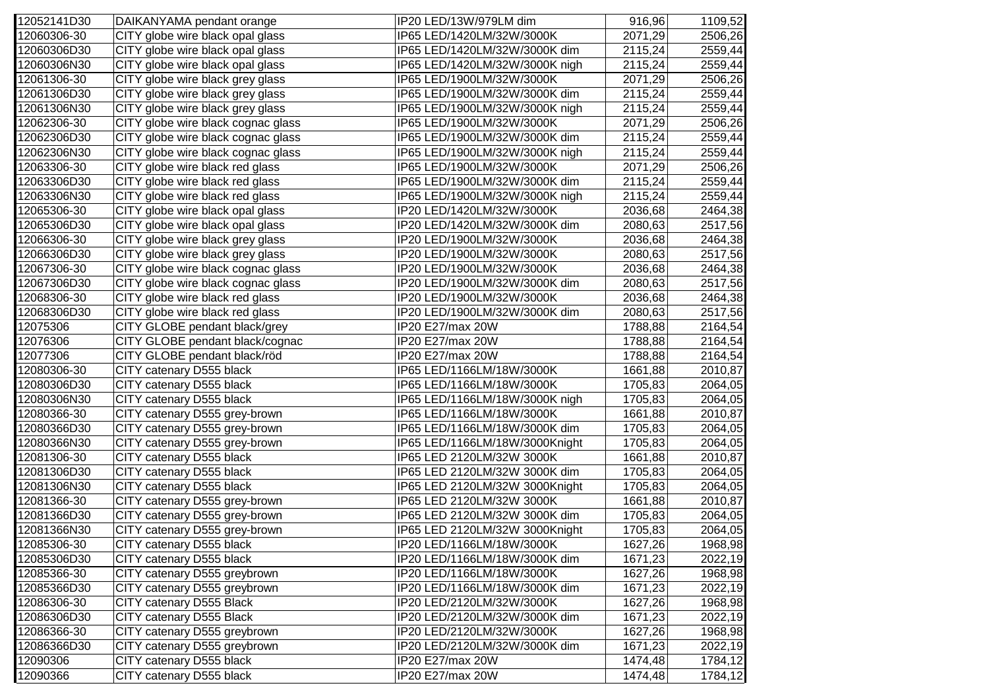| 12052141D30 | DAIKANYAMA pendant orange          | IP20 LED/13W/979LM dim         | 916,96  | 1109,52 |
|-------------|------------------------------------|--------------------------------|---------|---------|
| 12060306-30 | CITY globe wire black opal glass   | IP65 LED/1420LM/32W/3000K      | 2071,29 | 2506,26 |
| 12060306D30 | CITY globe wire black opal glass   | IP65 LED/1420LM/32W/3000K dim  | 2115,24 | 2559,44 |
| 12060306N30 | CITY globe wire black opal glass   | IP65 LED/1420LM/32W/3000K nigh | 2115,24 | 2559,44 |
| 12061306-30 | CITY globe wire black grey glass   | IP65 LED/1900LM/32W/3000K      | 2071,29 | 2506,26 |
| 12061306D30 | CITY globe wire black grey glass   | IP65 LED/1900LM/32W/3000K dim  | 2115,24 | 2559,44 |
| 12061306N30 | CITY globe wire black grey glass   | IP65 LED/1900LM/32W/3000K nigh | 2115,24 | 2559,44 |
| 12062306-30 | CITY globe wire black cognac glass | IP65 LED/1900LM/32W/3000K      | 2071,29 | 2506,26 |
| 12062306D30 | CITY globe wire black cognac glass | IP65 LED/1900LM/32W/3000K dim  | 2115,24 | 2559,44 |
| 12062306N30 | CITY globe wire black cognac glass | IP65 LED/1900LM/32W/3000K nigh | 2115,24 | 2559,44 |
| 12063306-30 | CITY globe wire black red glass    | IP65 LED/1900LM/32W/3000K      | 2071,29 | 2506,26 |
| 12063306D30 | CITY globe wire black red glass    | IP65 LED/1900LM/32W/3000K dim  | 2115,24 | 2559,44 |
| 12063306N30 | CITY globe wire black red glass    | IP65 LED/1900LM/32W/3000K nigh | 2115,24 | 2559,44 |
| 12065306-30 | CITY globe wire black opal glass   | IP20 LED/1420LM/32W/3000K      | 2036,68 | 2464,38 |
| 12065306D30 | CITY globe wire black opal glass   | IP20 LED/1420LM/32W/3000K dim  | 2080,63 | 2517,56 |
| 12066306-30 | CITY globe wire black grey glass   | IP20 LED/1900LM/32W/3000K      | 2036,68 | 2464,38 |
| 12066306D30 | CITY globe wire black grey glass   | IP20 LED/1900LM/32W/3000K      | 2080,63 | 2517,56 |
| 12067306-30 | CITY globe wire black cognac glass | IP20 LED/1900LM/32W/3000K      | 2036,68 | 2464,38 |
| 12067306D30 | CITY globe wire black cognac glass | IP20 LED/1900LM/32W/3000K dim  | 2080,63 | 2517,56 |
| 12068306-30 | CITY globe wire black red glass    | IP20 LED/1900LM/32W/3000K      | 2036,68 | 2464,38 |
| 12068306D30 | CITY globe wire black red glass    | IP20 LED/1900LM/32W/3000K dim  | 2080,63 | 2517,56 |
| 12075306    | CITY GLOBE pendant black/grey      | IP20 E27/max 20W               | 1788,88 | 2164,54 |
| 12076306    | CITY GLOBE pendant black/cognac    | IP20 E27/max 20W               | 1788,88 | 2164,54 |
| 12077306    | CITY GLOBE pendant black/röd       | IP20 E27/max 20W               | 1788,88 | 2164,54 |
| 12080306-30 | CITY catenary D555 black           | IP65 LED/1166LM/18W/3000K      | 1661,88 | 2010,87 |
| 12080306D30 | CITY catenary D555 black           | IP65 LED/1166LM/18W/3000K      | 1705,83 | 2064,05 |
| 12080306N30 | CITY catenary D555 black           | IP65 LED/1166LM/18W/3000K nigh | 1705,83 | 2064,05 |
| 12080366-30 | CITY catenary D555 grey-brown      | IP65 LED/1166LM/18W/3000K      | 1661,88 | 2010,87 |
| 12080366D30 | CITY catenary D555 grey-brown      | IP65 LED/1166LM/18W/3000K dim  | 1705,83 | 2064,05 |
| 12080366N30 | CITY catenary D555 grey-brown      | IP65 LED/1166LM/18W/3000Knight | 1705,83 | 2064,05 |
| 12081306-30 | CITY catenary D555 black           | IP65 LED 2120LM/32W 3000K      | 1661,88 | 2010,87 |
| 12081306D30 | CITY catenary D555 black           | IP65 LED 2120LM/32W 3000K dim  | 1705,83 | 2064,05 |
| 12081306N30 | CITY catenary D555 black           | IP65 LED 2120LM/32W 3000Knight | 1705,83 | 2064,05 |
| 12081366-30 | CITY catenary D555 grey-brown      | IP65 LED 2120LM/32W 3000K      | 1661,88 | 2010,87 |
| 12081366D30 | CITY catenary D555 grey-brown      | IP65 LED 2120LM/32W 3000K dim  | 1705,83 | 2064,05 |
| 12081366N30 | CITY catenary D555 grey-brown      | IP65 LED 2120LM/32W 3000Knight | 1705,83 | 2064,05 |
| 12085306-30 | CITY catenary D555 black           | IP20 LED/1166LM/18W/3000K      | 1627,26 | 1968,98 |
| 12085306D30 | CITY catenary D555 black           | IP20 LED/1166LM/18W/3000K dim  | 1671,23 | 2022,19 |
| 12085366-30 | CITY catenary D555 greybrown       | IP20 LED/1166LM/18W/3000K      | 1627,26 | 1968,98 |
| 12085366D30 | CITY catenary D555 greybrown       | IP20 LED/1166LM/18W/3000K dim  | 1671,23 | 2022,19 |
| 12086306-30 | CITY catenary D555 Black           | IP20 LED/2120LM/32W/3000K      | 1627,26 | 1968,98 |
| 12086306D30 | CITY catenary D555 Black           | IP20 LED/2120LM/32W/3000K dim  | 1671,23 | 2022,19 |
| 12086366-30 | CITY catenary D555 greybrown       | IP20 LED/2120LM/32W/3000K      | 1627,26 | 1968,98 |
| 12086366D30 | CITY catenary D555 greybrown       | IP20 LED/2120LM/32W/3000K dim  | 1671,23 | 2022,19 |
| 12090306    | CITY catenary D555 black           | IP20 E27/max 20W               | 1474,48 | 1784,12 |
| 12090366    | CITY catenary D555 black           | IP20 E27/max 20W               | 1474,48 | 1784,12 |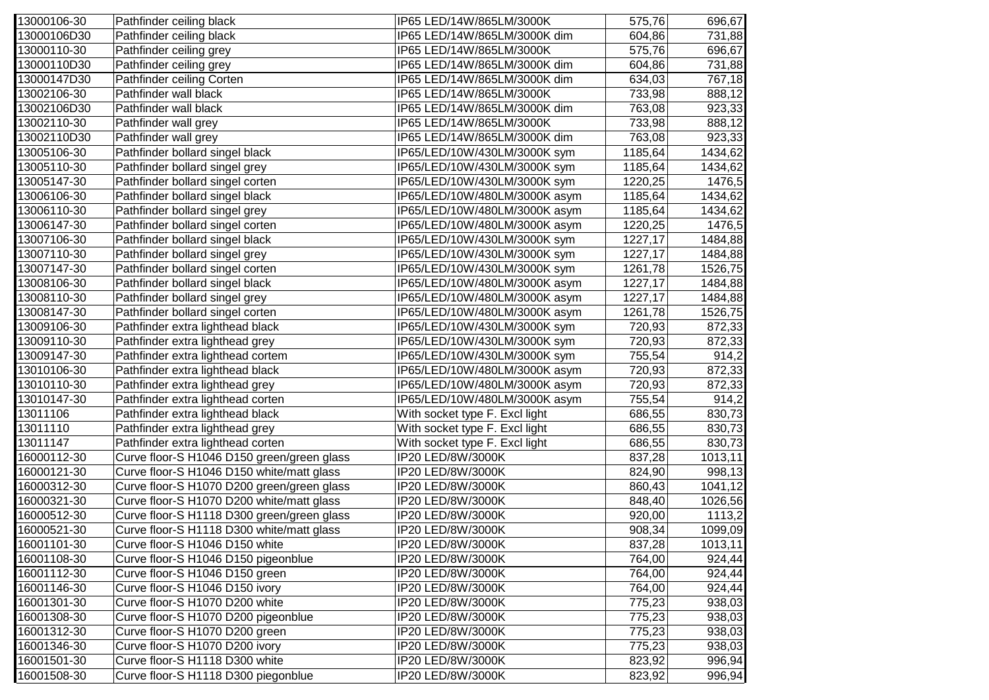| 13000106-30 | Pathfinder ceiling black                   | IP65 LED/14W/865LM/3000K       | 575,76  | 696,67  |
|-------------|--------------------------------------------|--------------------------------|---------|---------|
| 13000106D30 | Pathfinder ceiling black                   | IP65 LED/14W/865LM/3000K dim   | 604,86  | 731,88  |
| 13000110-30 | Pathfinder ceiling grey                    | IP65 LED/14W/865LM/3000K       | 575,76  | 696,67  |
| 13000110D30 | Pathfinder ceiling grey                    | IP65 LED/14W/865LM/3000K dim   | 604,86  | 731,88  |
| 13000147D30 | Pathfinder ceiling Corten                  | IP65 LED/14W/865LM/3000K dim   | 634,03  | 767,18  |
| 13002106-30 | Pathfinder wall black                      | IP65 LED/14W/865LM/3000K       | 733,98  | 888,12  |
| 13002106D30 | Pathfinder wall black                      | IP65 LED/14W/865LM/3000K dim   | 763,08  | 923,33  |
| 13002110-30 | Pathfinder wall grey                       | IP65 LED/14W/865LM/3000K       | 733,98  | 888,12  |
| 13002110D30 | Pathfinder wall grey                       | IP65 LED/14W/865LM/3000K dim   | 763,08  | 923,33  |
| 13005106-30 | Pathfinder bollard singel black            | IP65/LED/10W/430LM/3000K sym   | 1185,64 | 1434,62 |
| 13005110-30 | Pathfinder bollard singel grey             | IP65/LED/10W/430LM/3000K sym   | 1185,64 | 1434,62 |
| 13005147-30 | Pathfinder bollard singel corten           | IP65/LED/10W/430LM/3000K sym   | 1220,25 | 1476,5  |
| 13006106-30 | Pathfinder bollard singel black            | IP65/LED/10W/480LM/3000K asym  | 1185,64 | 1434,62 |
| 13006110-30 | Pathfinder bollard singel grey             | IP65/LED/10W/480LM/3000K asym  | 1185,64 | 1434,62 |
| 13006147-30 | Pathfinder bollard singel corten           | IP65/LED/10W/480LM/3000K asym  | 1220,25 | 1476,5  |
| 13007106-30 | Pathfinder bollard singel black            | IP65/LED/10W/430LM/3000K sym   | 1227,17 | 1484,88 |
| 13007110-30 | Pathfinder bollard singel grey             | IP65/LED/10W/430LM/3000K sym   | 1227,17 | 1484,88 |
| 13007147-30 | Pathfinder bollard singel corten           | IP65/LED/10W/430LM/3000K sym   | 1261,78 | 1526,75 |
| 13008106-30 | Pathfinder bollard singel black            | IP65/LED/10W/480LM/3000K asym  | 1227,17 | 1484,88 |
| 13008110-30 | Pathfinder bollard singel grey             | IP65/LED/10W/480LM/3000K asym  | 1227,17 | 1484,88 |
| 13008147-30 | Pathfinder bollard singel corten           | IP65/LED/10W/480LM/3000K asym  | 1261,78 | 1526,75 |
| 13009106-30 | Pathfinder extra lighthead black           | IP65/LED/10W/430LM/3000K sym   | 720,93  | 872,33  |
| 13009110-30 | Pathfinder extra lighthead grey            | IP65/LED/10W/430LM/3000K sym   | 720,93  | 872,33  |
| 13009147-30 | Pathfinder extra lighthead cortem          | IP65/LED/10W/430LM/3000K sym   | 755,54  | 914,2   |
| 13010106-30 | Pathfinder extra lighthead black           | IP65/LED/10W/480LM/3000K asym  | 720,93  | 872,33  |
| 13010110-30 | Pathfinder extra lighthead grey            | IP65/LED/10W/480LM/3000K asym  | 720,93  | 872,33  |
| 13010147-30 | Pathfinder extra lighthead corten          | IP65/LED/10W/480LM/3000K asym  | 755,54  | 914,2   |
| 13011106    | Pathfinder extra lighthead black           | With socket type F. Excl light | 686,55  | 830,73  |
| 13011110    | Pathfinder extra lighthead grey            | With socket type F. Excl light | 686,55  | 830,73  |
| 13011147    | Pathfinder extra lighthead corten          | With socket type F. Excl light | 686,55  | 830,73  |
| 16000112-30 | Curve floor-S H1046 D150 green/green glass | IP20 LED/8W/3000K              | 837,28  | 1013,11 |
| 16000121-30 | Curve floor-S H1046 D150 white/matt glass  | IP20 LED/8W/3000K              | 824,90  | 998,13  |
| 16000312-30 | Curve floor-S H1070 D200 green/green glass | IP20 LED/8W/3000K              | 860,43  | 1041,12 |
| 16000321-30 | Curve floor-S H1070 D200 white/matt glass  | IP20 LED/8W/3000K              | 848,40  | 1026,56 |
| 16000512-30 | Curve floor-S H1118 D300 green/green glass | IP20 LED/8W/3000K              | 920,00  | 1113,2  |
| 16000521-30 | Curve floor-S H1118 D300 white/matt glass  | IP20 LED/8W/3000K              | 908,34  | 1099,09 |
| 16001101-30 | Curve floor-S H1046 D150 white             | IP20 LED/8W/3000K              | 837,28  | 1013,11 |
| 16001108-30 | Curve floor-S H1046 D150 pigeonblue        | IP20 LED/8W/3000K              | 764,00  | 924,44  |
| 16001112-30 | Curve floor-S H1046 D150 green             | IP20 LED/8W/3000K              | 764,00  | 924,44  |
| 16001146-30 | Curve floor-S H1046 D150 ivory             | IP20 LED/8W/3000K              | 764,00  | 924,44  |
| 16001301-30 | Curve floor-S H1070 D200 white             | IP20 LED/8W/3000K              | 775,23  | 938,03  |
| 16001308-30 | Curve floor-S H1070 D200 pigeonblue        | IP20 LED/8W/3000K              | 775,23  | 938,03  |
| 16001312-30 | Curve floor-S H1070 D200 green             | IP20 LED/8W/3000K              | 775,23  | 938,03  |
| 16001346-30 | Curve floor-S H1070 D200 ivory             | IP20 LED/8W/3000K              | 775,23  | 938,03  |
| 16001501-30 | Curve floor-S H1118 D300 white             | IP20 LED/8W/3000K              | 823,92  | 996,94  |
| 16001508-30 | Curve floor-S H1118 D300 piegonblue        | IP20 LED/8W/3000K              | 823,92  | 996,94  |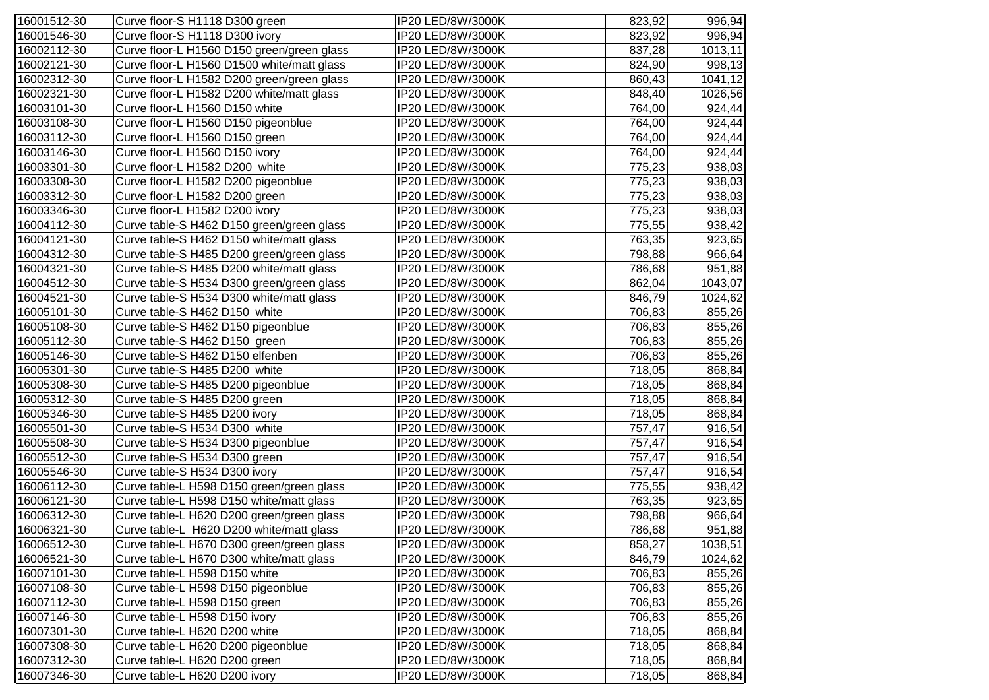| 16001512-30 | Curve floor-S H1118 D300 green             | IP20 LED/8W/3000K | 823,92 | 996,94  |
|-------------|--------------------------------------------|-------------------|--------|---------|
| 16001546-30 | Curve floor-S H1118 D300 ivory             | IP20 LED/8W/3000K | 823,92 | 996,94  |
| 16002112-30 | Curve floor-L H1560 D150 green/green glass | IP20 LED/8W/3000K | 837,28 | 1013,11 |
| 16002121-30 | Curve floor-L H1560 D1500 white/matt glass | IP20 LED/8W/3000K | 824,90 | 998,13  |
| 16002312-30 | Curve floor-L H1582 D200 green/green glass | IP20 LED/8W/3000K | 860,43 | 1041,12 |
| 16002321-30 | Curve floor-L H1582 D200 white/matt glass  | IP20 LED/8W/3000K | 848,40 | 1026,56 |
| 16003101-30 | Curve floor-L H1560 D150 white             | IP20 LED/8W/3000K | 764,00 | 924,44  |
| 16003108-30 | Curve floor-L H1560 D150 pigeonblue        | IP20 LED/8W/3000K | 764,00 | 924,44  |
| 16003112-30 | Curve floor-L H1560 D150 green             | IP20 LED/8W/3000K | 764,00 | 924,44  |
| 16003146-30 | Curve floor-L H1560 D150 ivory             | IP20 LED/8W/3000K | 764,00 | 924,44  |
| 16003301-30 | Curve floor-L H1582 D200 white             | IP20 LED/8W/3000K | 775,23 | 938,03  |
| 16003308-30 | Curve floor-L H1582 D200 pigeonblue        | IP20 LED/8W/3000K | 775,23 | 938,03  |
| 16003312-30 | Curve floor-L H1582 D200 green             | IP20 LED/8W/3000K | 775,23 | 938,03  |
| 16003346-30 | Curve floor-L H1582 D200 ivory             | IP20 LED/8W/3000K | 775,23 | 938,03  |
| 16004112-30 | Curve table-S H462 D150 green/green glass  | IP20 LED/8W/3000K | 775,55 | 938,42  |
| 16004121-30 | Curve table-S H462 D150 white/matt glass   | IP20 LED/8W/3000K | 763,35 | 923,65  |
| 16004312-30 | Curve table-S H485 D200 green/green glass  | IP20 LED/8W/3000K | 798,88 | 966,64  |
| 16004321-30 | Curve table-S H485 D200 white/matt glass   | IP20 LED/8W/3000K | 786,68 | 951,88  |
| 16004512-30 | Curve table-S H534 D300 green/green glass  | IP20 LED/8W/3000K | 862,04 | 1043,07 |
| 16004521-30 | Curve table-S H534 D300 white/matt glass   | IP20 LED/8W/3000K | 846,79 | 1024,62 |
| 16005101-30 | Curve table-S H462 D150 white              | IP20 LED/8W/3000K | 706,83 | 855,26  |
| 16005108-30 | Curve table-S H462 D150 pigeonblue         | IP20 LED/8W/3000K | 706,83 | 855,26  |
| 16005112-30 | Curve table-S H462 D150 green              | IP20 LED/8W/3000K | 706,83 | 855,26  |
| 16005146-30 | Curve table-S H462 D150 elfenben           | IP20 LED/8W/3000K | 706,83 | 855,26  |
| 16005301-30 | Curve table-S H485 D200 white              | IP20 LED/8W/3000K | 718,05 | 868,84  |
| 16005308-30 | Curve table-S H485 D200 pigeonblue         | IP20 LED/8W/3000K | 718,05 | 868,84  |
| 16005312-30 | Curve table-S H485 D200 green              | IP20 LED/8W/3000K | 718,05 | 868,84  |
| 16005346-30 | Curve table-S H485 D200 ivory              | IP20 LED/8W/3000K | 718,05 | 868,84  |
| 16005501-30 | Curve table-S H534 D300 white              | IP20 LED/8W/3000K | 757,47 | 916,54  |
| 16005508-30 | Curve table-S H534 D300 pigeonblue         | IP20 LED/8W/3000K | 757,47 | 916,54  |
| 16005512-30 | Curve table-S H534 D300 green              | IP20 LED/8W/3000K | 757,47 | 916,54  |
| 16005546-30 | Curve table-S H534 D300 ivory              | IP20 LED/8W/3000K | 757,47 | 916,54  |
| 16006112-30 | Curve table-L H598 D150 green/green glass  | IP20 LED/8W/3000K | 775,55 | 938,42  |
| 16006121-30 | Curve table-L H598 D150 white/matt glass   | IP20 LED/8W/3000K | 763,35 | 923,65  |
| 16006312-30 | Curve table-L H620 D200 green/green glass  | IP20 LED/8W/3000K | 798,88 | 966,64  |
| 16006321-30 | Curve table-L H620 D200 white/matt glass   | IP20 LED/8W/3000K | 786,68 | 951,88  |
| 16006512-30 | Curve table-L H670 D300 green/green glass  | IP20 LED/8W/3000K | 858,27 | 1038,51 |
| 16006521-30 | Curve table-L H670 D300 white/matt glass   | IP20 LED/8W/3000K | 846,79 | 1024,62 |
| 16007101-30 | Curve table-L H598 D150 white              | IP20 LED/8W/3000K | 706,83 | 855,26  |
| 16007108-30 | Curve table-L H598 D150 pigeonblue         | IP20 LED/8W/3000K | 706,83 | 855,26  |
| 16007112-30 | Curve table-L H598 D150 green              | IP20 LED/8W/3000K | 706,83 | 855,26  |
| 16007146-30 | Curve table-L H598 D150 ivory              | IP20 LED/8W/3000K | 706,83 | 855,26  |
| 16007301-30 | Curve table-L H620 D200 white              | IP20 LED/8W/3000K | 718,05 | 868,84  |
| 16007308-30 | Curve table-L H620 D200 pigeonblue         | IP20 LED/8W/3000K | 718,05 | 868,84  |
| 16007312-30 | Curve table-L H620 D200 green              | IP20 LED/8W/3000K | 718,05 | 868,84  |
| 16007346-30 | Curve table-L H620 D200 ivory              | IP20 LED/8W/3000K | 718,05 | 868,84  |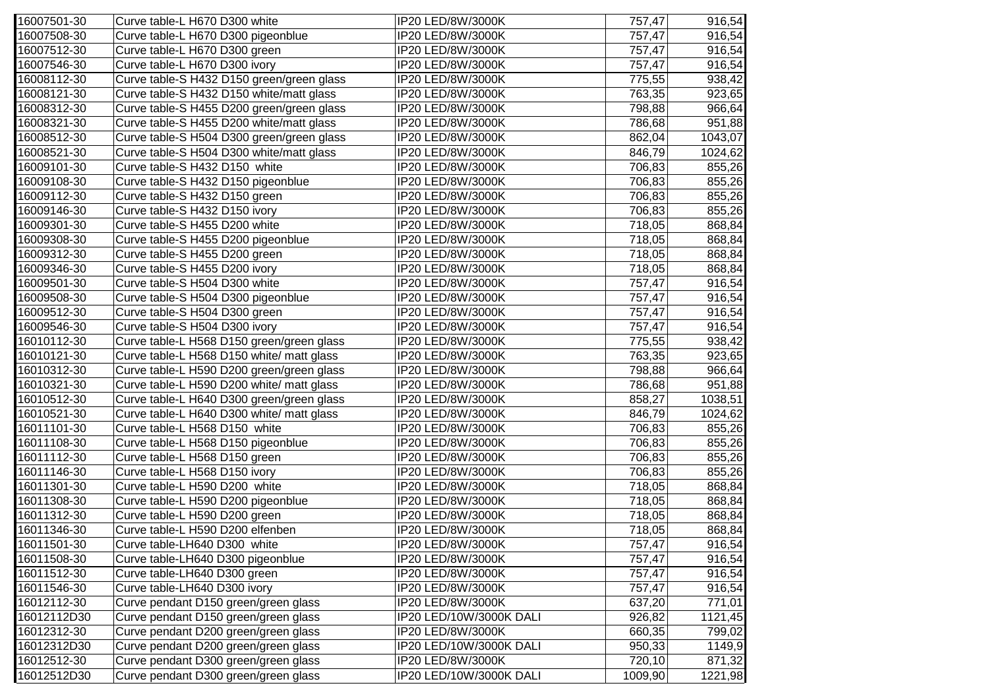| 16007501-30 | Curve table-L H670 D300 white             | IP20 LED/8W/3000K       | 757,47  | 916,54  |
|-------------|-------------------------------------------|-------------------------|---------|---------|
| 16007508-30 | Curve table-L H670 D300 pigeonblue        | IP20 LED/8W/3000K       | 757,47  | 916,54  |
| 16007512-30 | Curve table-L H670 D300 green             | IP20 LED/8W/3000K       | 757,47  | 916,54  |
| 16007546-30 | Curve table-L H670 D300 ivory             | IP20 LED/8W/3000K       | 757,47  | 916,54  |
| 16008112-30 | Curve table-S H432 D150 green/green glass | IP20 LED/8W/3000K       | 775,55  | 938,42  |
| 16008121-30 | Curve table-S H432 D150 white/matt glass  | IP20 LED/8W/3000K       | 763,35  | 923,65  |
| 16008312-30 | Curve table-S H455 D200 green/green glass | IP20 LED/8W/3000K       | 798,88  | 966,64  |
| 16008321-30 | Curve table-S H455 D200 white/matt glass  | IP20 LED/8W/3000K       | 786,68  | 951,88  |
| 16008512-30 | Curve table-S H504 D300 green/green glass | IP20 LED/8W/3000K       | 862,04  | 1043,07 |
| 16008521-30 | Curve table-S H504 D300 white/matt glass  | IP20 LED/8W/3000K       | 846,79  | 1024,62 |
| 16009101-30 | Curve table-S H432 D150 white             | IP20 LED/8W/3000K       | 706,83  | 855,26  |
| 16009108-30 | Curve table-S H432 D150 pigeonblue        | IP20 LED/8W/3000K       | 706,83  | 855,26  |
| 16009112-30 | Curve table-S H432 D150 green             | IP20 LED/8W/3000K       | 706,83  | 855,26  |
| 16009146-30 | Curve table-S H432 D150 ivory             | IP20 LED/8W/3000K       | 706,83  | 855,26  |
| 16009301-30 | Curve table-S H455 D200 white             | IP20 LED/8W/3000K       | 718,05  | 868,84  |
| 16009308-30 | Curve table-S H455 D200 pigeonblue        | IP20 LED/8W/3000K       | 718,05  | 868,84  |
| 16009312-30 | Curve table-S H455 D200 green             | IP20 LED/8W/3000K       | 718,05  | 868,84  |
| 16009346-30 | Curve table-S H455 D200 ivory             | IP20 LED/8W/3000K       | 718,05  | 868,84  |
| 16009501-30 | Curve table-S H504 D300 white             | IP20 LED/8W/3000K       | 757,47  | 916,54  |
| 16009508-30 | Curve table-S H504 D300 pigeonblue        | IP20 LED/8W/3000K       | 757,47  | 916,54  |
| 16009512-30 | Curve table-S H504 D300 green             | IP20 LED/8W/3000K       | 757,47  | 916,54  |
| 16009546-30 | Curve table-S H504 D300 ivory             | IP20 LED/8W/3000K       | 757,47  | 916,54  |
| 16010112-30 | Curve table-L H568 D150 green/green glass | IP20 LED/8W/3000K       | 775,55  | 938,42  |
| 16010121-30 | Curve table-L H568 D150 white/ matt glass | IP20 LED/8W/3000K       | 763,35  | 923,65  |
| 16010312-30 | Curve table-L H590 D200 green/green glass | IP20 LED/8W/3000K       | 798,88  | 966,64  |
| 16010321-30 | Curve table-L H590 D200 white/ matt glass | IP20 LED/8W/3000K       | 786,68  | 951,88  |
| 16010512-30 | Curve table-L H640 D300 green/green glass | IP20 LED/8W/3000K       | 858,27  | 1038,51 |
| 16010521-30 | Curve table-L H640 D300 white/ matt glass | IP20 LED/8W/3000K       | 846,79  | 1024,62 |
| 16011101-30 | Curve table-L H568 D150 white             | IP20 LED/8W/3000K       | 706,83  | 855,26  |
| 16011108-30 | Curve table-L H568 D150 pigeonblue        | IP20 LED/8W/3000K       | 706,83  | 855,26  |
| 16011112-30 | Curve table-L H568 D150 green             | IP20 LED/8W/3000K       | 706,83  | 855,26  |
| 16011146-30 | Curve table-L H568 D150 ivory             | IP20 LED/8W/3000K       | 706,83  | 855,26  |
| 16011301-30 | Curve table-L H590 D200 white             | IP20 LED/8W/3000K       | 718,05  | 868,84  |
| 16011308-30 | Curve table-L H590 D200 pigeonblue        | IP20 LED/8W/3000K       | 718,05  | 868,84  |
| 16011312-30 | Curve table-L H590 D200 green             | IP20 LED/8W/3000K       | 718,05  | 868,84  |
| 16011346-30 | Curve table-L H590 D200 elfenben          | IP20 LED/8W/3000K       | 718,05  | 868,84  |
| 16011501-30 | Curve table-LH640 D300 white              | IP20 LED/8W/3000K       | 757,47  | 916,54  |
| 16011508-30 | Curve table-LH640 D300 pigeonblue         | IP20 LED/8W/3000K       | 757,47  | 916,54  |
| 16011512-30 | Curve table-LH640 D300 green              | IP20 LED/8W/3000K       | 757,47  | 916,54  |
| 16011546-30 | Curve table-LH640 D300 ivory              | IP20 LED/8W/3000K       | 757,47  | 916,54  |
| 16012112-30 | Curve pendant D150 green/green glass      | IP20 LED/8W/3000K       | 637,20  | 771,01  |
| 16012112D30 | Curve pendant D150 green/green glass      | IP20 LED/10W/3000K DALI | 926,82  | 1121,45 |
| 16012312-30 | Curve pendant D200 green/green glass      | IP20 LED/8W/3000K       | 660,35  | 799,02  |
| 16012312D30 | Curve pendant D200 green/green glass      | IP20 LED/10W/3000K DALI | 950,33  | 1149,9  |
| 16012512-30 | Curve pendant D300 green/green glass      | IP20 LED/8W/3000K       | 720,10  | 871,32  |
| 16012512D30 | Curve pendant D300 green/green glass      | IP20 LED/10W/3000K DALI | 1009,90 | 1221,98 |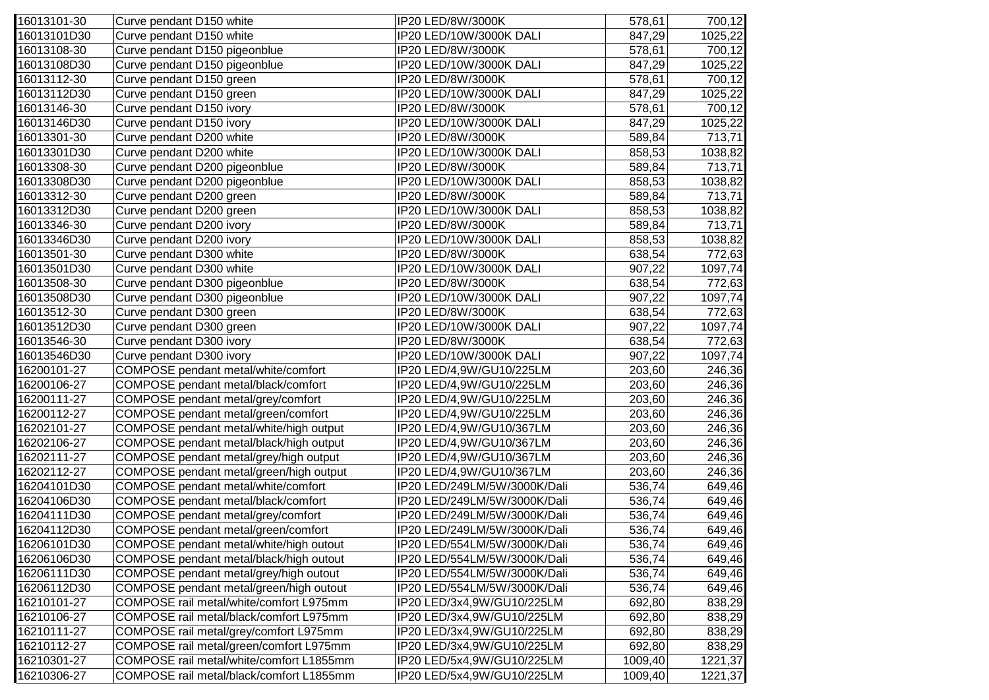| 16013101-30 | Curve pendant D150 white                 | IP20 LED/8W/3000K            | 578,61  | 700,12  |
|-------------|------------------------------------------|------------------------------|---------|---------|
| 16013101D30 | Curve pendant D150 white                 | IP20 LED/10W/3000K DALI      | 847,29  | 1025,22 |
| 16013108-30 | Curve pendant D150 pigeonblue            | IP20 LED/8W/3000K            | 578,61  | 700,12  |
| 16013108D30 | Curve pendant D150 pigeonblue            | IP20 LED/10W/3000K DALI      | 847,29  | 1025,22 |
| 16013112-30 | Curve pendant D150 green                 | IP20 LED/8W/3000K            | 578,61  | 700,12  |
| 16013112D30 | Curve pendant D150 green                 | IP20 LED/10W/3000K DALI      | 847,29  | 1025,22 |
| 16013146-30 | Curve pendant D150 ivory                 | IP20 LED/8W/3000K            | 578,61  | 700,12  |
| 16013146D30 | Curve pendant D150 ivory                 | IP20 LED/10W/3000K DALI      | 847,29  | 1025,22 |
| 16013301-30 | Curve pendant D200 white                 | IP20 LED/8W/3000K            | 589,84  | 713,71  |
| 16013301D30 | Curve pendant D200 white                 | IP20 LED/10W/3000K DALI      | 858,53  | 1038,82 |
| 16013308-30 | Curve pendant D200 pigeonblue            | IP20 LED/8W/3000K            | 589,84  | 713,71  |
| 16013308D30 | Curve pendant D200 pigeonblue            | IP20 LED/10W/3000K DALI      | 858,53  | 1038,82 |
| 16013312-30 | Curve pendant D200 green                 | IP20 LED/8W/3000K            | 589,84  | 713,71  |
| 16013312D30 | Curve pendant D200 green                 | IP20 LED/10W/3000K DALI      | 858,53  | 1038,82 |
| 16013346-30 | Curve pendant D200 ivory                 | IP20 LED/8W/3000K            | 589,84  | 713,71  |
| 16013346D30 | Curve pendant D200 ivory                 | IP20 LED/10W/3000K DALI      | 858,53  | 1038,82 |
| 16013501-30 | Curve pendant D300 white                 | IP20 LED/8W/3000K            | 638,54  | 772,63  |
| 16013501D30 | Curve pendant D300 white                 | IP20 LED/10W/3000K DALI      | 907,22  | 1097,74 |
| 16013508-30 | Curve pendant D300 pigeonblue            | IP20 LED/8W/3000K            | 638,54  | 772,63  |
| 16013508D30 | Curve pendant D300 pigeonblue            | IP20 LED/10W/3000K DALI      | 907,22  | 1097,74 |
| 16013512-30 | Curve pendant D300 green                 | IP20 LED/8W/3000K            | 638,54  | 772,63  |
| 16013512D30 | Curve pendant D300 green                 | IP20 LED/10W/3000K DALI      | 907,22  | 1097,74 |
| 16013546-30 | Curve pendant D300 ivory                 | IP20 LED/8W/3000K            | 638,54  | 772,63  |
| 16013546D30 | Curve pendant D300 ivory                 | IP20 LED/10W/3000K DALI      | 907,22  | 1097,74 |
| 16200101-27 | COMPOSE pendant metal/white/comfort      | IP20 LED/4,9W/GU10/225LM     | 203,60  | 246,36  |
| 16200106-27 | COMPOSE pendant metal/black/comfort      | IP20 LED/4,9W/GU10/225LM     | 203,60  | 246,36  |
| 16200111-27 | COMPOSE pendant metal/grey/comfort       | IP20 LED/4,9W/GU10/225LM     | 203,60  | 246,36  |
| 16200112-27 | COMPOSE pendant metal/green/comfort      | IP20 LED/4,9W/GU10/225LM     | 203,60  | 246,36  |
| 16202101-27 | COMPOSE pendant metal/white/high output  | IP20 LED/4,9W/GU10/367LM     | 203,60  | 246,36  |
| 16202106-27 | COMPOSE pendant metal/black/high output  | IP20 LED/4,9W/GU10/367LM     | 203,60  | 246,36  |
| 16202111-27 | COMPOSE pendant metal/grey/high output   | IP20 LED/4,9W/GU10/367LM     | 203,60  | 246,36  |
| 16202112-27 | COMPOSE pendant metal/green/high output  | IP20 LED/4,9W/GU10/367LM     | 203,60  | 246,36  |
| 16204101D30 | COMPOSE pendant metal/white/comfort      | IP20 LED/249LM/5W/3000K/Dali | 536,74  | 649,46  |
| 16204106D30 | COMPOSE pendant metal/black/comfort      | IP20 LED/249LM/5W/3000K/Dali | 536,74  | 649,46  |
| 16204111D30 | COMPOSE pendant metal/grey/comfort       | IP20 LED/249LM/5W/3000K/Dali | 536,74  | 649,46  |
| 16204112D30 | COMPOSE pendant metal/green/comfort      | IP20 LED/249LM/5W/3000K/Dali | 536,74  | 649,46  |
| 16206101D30 | COMPOSE pendant metal/white/high outout  | IP20 LED/554LM/5W/3000K/Dali | 536,74  | 649,46  |
| 16206106D30 | COMPOSE pendant metal/black/high outout  | IP20 LED/554LM/5W/3000K/Dali | 536,74  | 649,46  |
| 16206111D30 | COMPOSE pendant metal/grey/high outout   | IP20 LED/554LM/5W/3000K/Dali | 536,74  | 649,46  |
| 16206112D30 | COMPOSE pendant metal/green/high outout  | IP20 LED/554LM/5W/3000K/Dali | 536,74  | 649,46  |
| 16210101-27 | COMPOSE rail metal/white/comfort L975mm  | IP20 LED/3x4,9W/GU10/225LM   | 692,80  | 838,29  |
| 16210106-27 | COMPOSE rail metal/black/comfort L975mm  | IP20 LED/3x4,9W/GU10/225LM   | 692,80  | 838,29  |
| 16210111-27 | COMPOSE rail metal/grey/comfort L975mm   | IP20 LED/3x4,9W/GU10/225LM   | 692,80  | 838,29  |
| 16210112-27 | COMPOSE rail metal/green/comfort L975mm  | IP20 LED/3x4,9W/GU10/225LM   | 692,80  | 838,29  |
| 16210301-27 | COMPOSE rail metal/white/comfort L1855mm | IP20 LED/5x4,9W/GU10/225LM   | 1009,40 | 1221,37 |
| 16210306-27 | COMPOSE rail metal/black/comfort L1855mm | IP20 LED/5x4,9W/GU10/225LM   | 1009,40 | 1221,37 |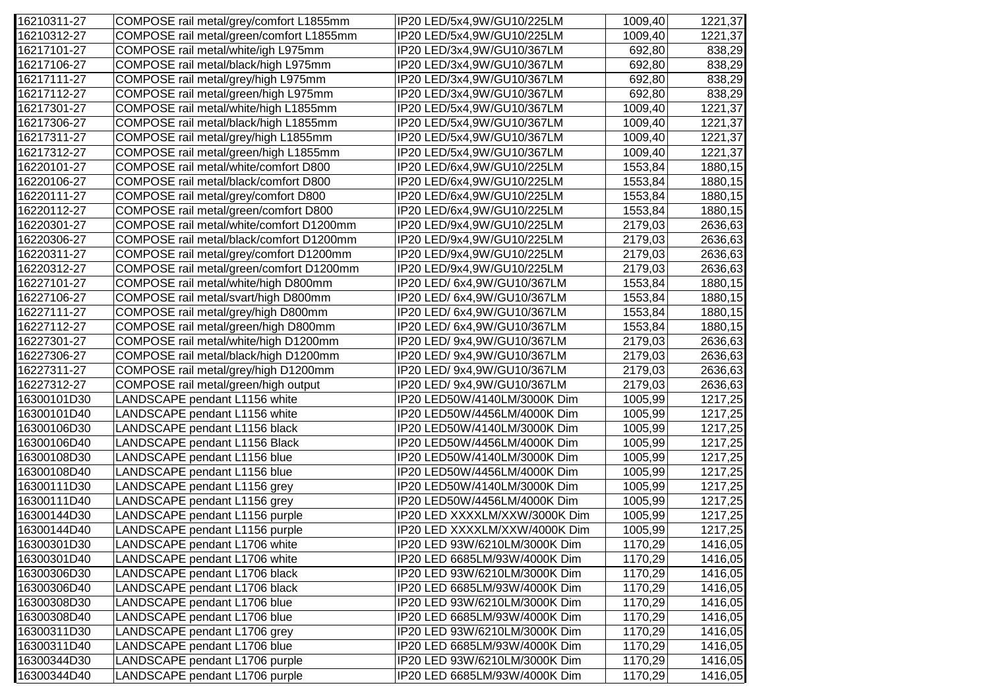| 16210311-27 | COMPOSE rail metal/grey/comfort L1855mm  | IP20 LED/5x4,9W/GU10/225LM    | 1009,40 | 1221,37 |
|-------------|------------------------------------------|-------------------------------|---------|---------|
| 16210312-27 | COMPOSE rail metal/green/comfort L1855mm | IP20 LED/5x4,9W/GU10/225LM    | 1009,40 | 1221,37 |
| 16217101-27 | COMPOSE rail metal/white/igh L975mm      | IP20 LED/3x4,9W/GU10/367LM    | 692,80  | 838,29  |
| 16217106-27 | COMPOSE rail metal/black/high L975mm     | IP20 LED/3x4,9W/GU10/367LM    | 692,80  | 838,29  |
| 16217111-27 | COMPOSE rail metal/grey/high L975mm      | IP20 LED/3x4,9W/GU10/367LM    | 692,80  | 838,29  |
| 16217112-27 | COMPOSE rail metal/green/high L975mm     | IP20 LED/3x4,9W/GU10/367LM    | 692,80  | 838,29  |
| 16217301-27 | COMPOSE rail metal/white/high L1855mm    | IP20 LED/5x4,9W/GU10/367LM    | 1009,40 | 1221,37 |
| 16217306-27 | COMPOSE rail metal/black/high L1855mm    | IP20 LED/5x4,9W/GU10/367LM    | 1009,40 | 1221,37 |
| 16217311-27 | COMPOSE rail metal/grey/high L1855mm     | IP20 LED/5x4,9W/GU10/367LM    | 1009,40 | 1221,37 |
| 16217312-27 | COMPOSE rail metal/green/high L1855mm    | IP20 LED/5x4,9W/GU10/367LM    | 1009,40 | 1221,37 |
| 16220101-27 | COMPOSE rail metal/white/comfort D800    | IP20 LED/6x4,9W/GU10/225LM    | 1553,84 | 1880,15 |
| 16220106-27 | COMPOSE rail metal/black/comfort D800    | IP20 LED/6x4,9W/GU10/225LM    | 1553,84 | 1880,15 |
| 16220111-27 | COMPOSE rail metal/grey/comfort D800     | IP20 LED/6x4,9W/GU10/225LM    | 1553,84 | 1880,15 |
| 16220112-27 | COMPOSE rail metal/green/comfort D800    | IP20 LED/6x4,9W/GU10/225LM    | 1553,84 | 1880,15 |
| 16220301-27 | COMPOSE rail metal/white/comfort D1200mm | IP20 LED/9x4,9W/GU10/225LM    | 2179,03 | 2636,63 |
| 16220306-27 | COMPOSE rail metal/black/comfort D1200mm | IP20 LED/9x4,9W/GU10/225LM    | 2179,03 | 2636,63 |
| 16220311-27 | COMPOSE rail metal/grey/comfort D1200mm  | IP20 LED/9x4,9W/GU10/225LM    | 2179,03 | 2636,63 |
| 16220312-27 | COMPOSE rail metal/green/comfort D1200mm | IP20 LED/9x4,9W/GU10/225LM    | 2179,03 | 2636,63 |
| 16227101-27 | COMPOSE rail metal/white/high D800mm     | IP20 LED/ 6x4,9W/GU10/367LM   | 1553,84 | 1880,15 |
| 16227106-27 | COMPOSE rail metal/svart/high D800mm     | IP20 LED/ 6x4,9W/GU10/367LM   | 1553,84 | 1880,15 |
| 16227111-27 | COMPOSE rail metal/grey/high D800mm      | IP20 LED/ 6x4,9W/GU10/367LM   | 1553,84 | 1880,15 |
| 16227112-27 | COMPOSE rail metal/green/high D800mm     | IP20 LED/ 6x4,9W/GU10/367LM   | 1553,84 | 1880,15 |
| 16227301-27 | COMPOSE rail metal/white/high D1200mm    | IP20 LED/ 9x4,9W/GU10/367LM   | 2179,03 | 2636,63 |
| 16227306-27 | COMPOSE rail metal/black/high D1200mm    | IP20 LED/ 9x4,9W/GU10/367LM   | 2179,03 | 2636,63 |
| 16227311-27 | COMPOSE rail metal/grey/high D1200mm     | IP20 LED/ 9x4,9W/GU10/367LM   | 2179,03 | 2636,63 |
| 16227312-27 | COMPOSE rail metal/green/high output     | IP20 LED/ 9x4,9W/GU10/367LM   | 2179,03 | 2636,63 |
| 16300101D30 | LANDSCAPE pendant L1156 white            | IP20 LED50W/4140LM/3000K Dim  | 1005,99 | 1217,25 |
| 16300101D40 | LANDSCAPE pendant L1156 white            | IP20 LED50W/4456LM/4000K Dim  | 1005,99 | 1217,25 |
| 16300106D30 | LANDSCAPE pendant L1156 black            | IP20 LED50W/4140LM/3000K Dim  | 1005,99 | 1217,25 |
| 16300106D40 | LANDSCAPE pendant L1156 Black            | IP20 LED50W/4456LM/4000K Dim  | 1005,99 | 1217,25 |
| 16300108D30 | LANDSCAPE pendant L1156 blue             | IP20 LED50W/4140LM/3000K Dim  | 1005,99 | 1217,25 |
| 16300108D40 | LANDSCAPE pendant L1156 blue             | IP20 LED50W/4456LM/4000K Dim  | 1005,99 | 1217,25 |
| 16300111D30 | LANDSCAPE pendant L1156 grey             | IP20 LED50W/4140LM/3000K Dim  | 1005,99 | 1217,25 |
| 16300111D40 | LANDSCAPE pendant L1156 grey             | IP20 LED50W/4456LM/4000K Dim  | 1005,99 | 1217,25 |
| 16300144D30 | LANDSCAPE pendant L1156 purple           | IP20 LED XXXXLM/XXW/3000K Dim | 1005,99 | 1217,25 |
| 16300144D40 | LANDSCAPE pendant L1156 purple           | IP20 LED XXXXLM/XXW/4000K Dim | 1005,99 | 1217,25 |
| 16300301D30 | LANDSCAPE pendant L1706 white            | IP20 LED 93W/6210LM/3000K Dim | 1170,29 | 1416,05 |
| 16300301D40 | LANDSCAPE pendant L1706 white            | IP20 LED 6685LM/93W/4000K Dim | 1170,29 | 1416,05 |
| 16300306D30 | LANDSCAPE pendant L1706 black            | IP20 LED 93W/6210LM/3000K Dim | 1170,29 | 1416,05 |
| 16300306D40 | LANDSCAPE pendant L1706 black            | IP20 LED 6685LM/93W/4000K Dim | 1170,29 | 1416,05 |
| 16300308D30 | LANDSCAPE pendant L1706 blue             | IP20 LED 93W/6210LM/3000K Dim | 1170,29 | 1416,05 |
| 16300308D40 | LANDSCAPE pendant L1706 blue             | IP20 LED 6685LM/93W/4000K Dim | 1170,29 | 1416,05 |
| 16300311D30 | LANDSCAPE pendant L1706 grey             | IP20 LED 93W/6210LM/3000K Dim | 1170,29 | 1416,05 |
| 16300311D40 | LANDSCAPE pendant L1706 blue             | IP20 LED 6685LM/93W/4000K Dim | 1170,29 | 1416,05 |
| 16300344D30 | LANDSCAPE pendant L1706 purple           | IP20 LED 93W/6210LM/3000K Dim | 1170,29 | 1416,05 |
| 16300344D40 | LANDSCAPE pendant L1706 purple           | IP20 LED 6685LM/93W/4000K Dim | 1170,29 | 1416,05 |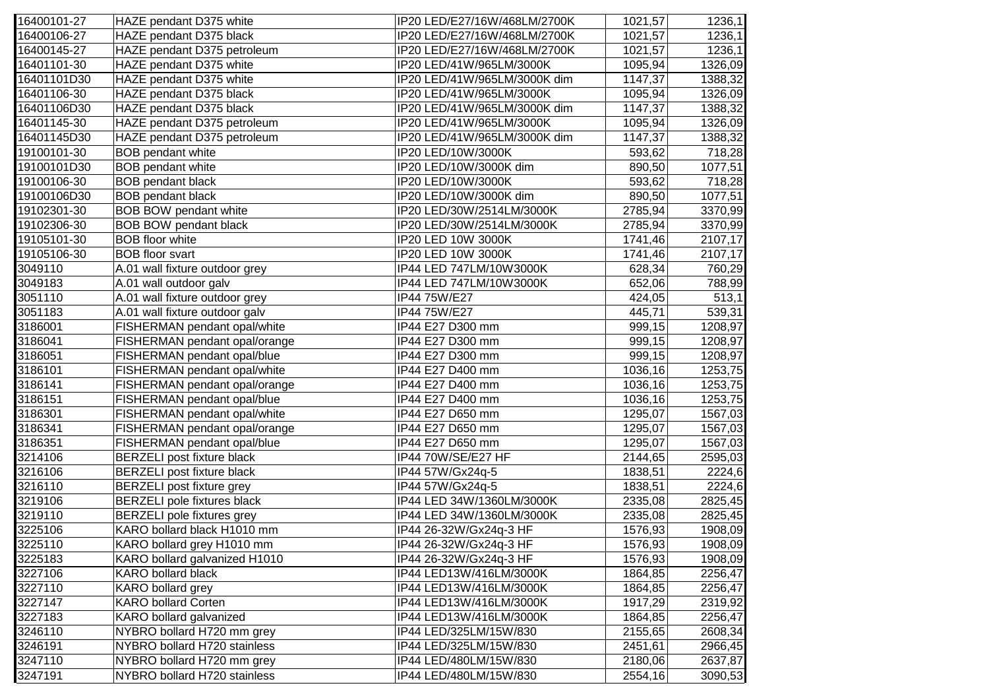| 16400101-27 | HAZE pendant D375 white            | IP20 LED/E27/16W/468LM/2700K | 1021,57 | 1236,1  |
|-------------|------------------------------------|------------------------------|---------|---------|
| 16400106-27 | HAZE pendant D375 black            | IP20 LED/E27/16W/468LM/2700K | 1021,57 | 1236,1  |
| 16400145-27 | HAZE pendant D375 petroleum        | IP20 LED/E27/16W/468LM/2700K | 1021,57 | 1236,1  |
| 16401101-30 | HAZE pendant D375 white            | IP20 LED/41W/965LM/3000K     | 1095,94 | 1326,09 |
| 16401101D30 | HAZE pendant D375 white            | IP20 LED/41W/965LM/3000K dim | 1147,37 | 1388,32 |
| 16401106-30 | HAZE pendant D375 black            | IP20 LED/41W/965LM/3000K     | 1095,94 | 1326,09 |
| 16401106D30 | HAZE pendant D375 black            | IP20 LED/41W/965LM/3000K dim | 1147,37 | 1388,32 |
| 16401145-30 | HAZE pendant D375 petroleum        | IP20 LED/41W/965LM/3000K     | 1095,94 | 1326,09 |
| 16401145D30 | HAZE pendant D375 petroleum        | IP20 LED/41W/965LM/3000K dim | 1147,37 | 1388,32 |
| 19100101-30 | <b>BOB</b> pendant white           | IP20 LED/10W/3000K           | 593,62  | 718,28  |
| 19100101D30 | <b>BOB</b> pendant white           | IP20 LED/10W/3000K dim       | 890,50  | 1077,51 |
| 19100106-30 | <b>BOB pendant black</b>           | IP20 LED/10W/3000K           | 593,62  | 718,28  |
| 19100106D30 | <b>BOB</b> pendant black           | IP20 LED/10W/3000K dim       | 890,50  | 1077,51 |
| 19102301-30 | <b>BOB BOW pendant white</b>       | IP20 LED/30W/2514LM/3000K    | 2785,94 | 3370,99 |
| 19102306-30 | <b>BOB BOW pendant black</b>       | IP20 LED/30W/2514LM/3000K    | 2785,94 | 3370,99 |
| 19105101-30 | <b>BOB</b> floor white             | IP20 LED 10W 3000K           | 1741,46 | 2107,17 |
| 19105106-30 | <b>BOB</b> floor svart             | IP20 LED 10W 3000K           | 1741,46 | 2107,17 |
| 3049110     | A.01 wall fixture outdoor grey     | IP44 LED 747LM/10W3000K      | 628,34  | 760,29  |
| 3049183     | A.01 wall outdoor galv             | IP44 LED 747LM/10W3000K      | 652,06  | 788,99  |
| 3051110     | A.01 wall fixture outdoor grey     | IP44 75W/E27                 | 424,05  | 513,1   |
| 3051183     | A.01 wall fixture outdoor galv     | IP44 75W/E27                 | 445,71  | 539,31  |
| 3186001     | FISHERMAN pendant opal/white       | IP44 E27 D300 mm             | 999,15  | 1208,97 |
| 3186041     | FISHERMAN pendant opal/orange      | IP44 E27 D300 mm             | 999,15  | 1208,97 |
| 3186051     | FISHERMAN pendant opal/blue        | IP44 E27 D300 mm             | 999,15  | 1208,97 |
| 3186101     | FISHERMAN pendant opal/white       | IP44 E27 D400 mm             | 1036,16 | 1253,75 |
| 3186141     | FISHERMAN pendant opal/orange      | IP44 E27 D400 mm             | 1036,16 | 1253,75 |
| 3186151     | FISHERMAN pendant opal/blue        | IP44 E27 D400 mm             | 1036,16 | 1253,75 |
| 3186301     | FISHERMAN pendant opal/white       | IP44 E27 D650 mm             | 1295,07 | 1567,03 |
| 3186341     | FISHERMAN pendant opal/orange      | IP44 E27 D650 mm             | 1295,07 | 1567,03 |
| 3186351     | FISHERMAN pendant opal/blue        | IP44 E27 D650 mm             | 1295,07 | 1567,03 |
| 3214106     | <b>BERZELI</b> post fixture black  | IP44 70W/SE/E27 HF           | 2144,65 | 2595,03 |
| 3216106     | <b>BERZELI</b> post fixture black  | IP44 57W/Gx24q-5             | 1838,51 | 2224,6  |
| 3216110     | <b>BERZELI</b> post fixture grey   | IP44 57W/Gx24q-5             | 1838,51 | 2224,6  |
| 3219106     | <b>BERZELI</b> pole fixtures black | IP44 LED 34W/1360LM/3000K    | 2335,08 | 2825,45 |
| 3219110     | <b>BERZELI</b> pole fixtures grey  | IP44 LED 34W/1360LM/3000K    | 2335,08 | 2825,45 |
| 3225106     | KARO bollard black H1010 mm        | IP44 26-32W/Gx24q-3 HF       | 1576,93 | 1908,09 |
| 3225110     | KARO bollard grey H1010 mm         | IP44 26-32W/Gx24q-3 HF       | 1576,93 | 1908,09 |
| 3225183     | KARO bollard galvanized H1010      | IP44 26-32W/Gx24q-3 HF       | 1576,93 | 1908,09 |
| 3227106     | <b>KARO bollard black</b>          | IP44 LED13W/416LM/3000K      | 1864,85 | 2256,47 |
| 3227110     | <b>KARO</b> bollard grey           | IP44 LED13W/416LM/3000K      | 1864,85 | 2256,47 |
| 3227147     | <b>KARO bollard Corten</b>         | IP44 LED13W/416LM/3000K      | 1917,29 | 2319,92 |
| 3227183     | KARO bollard galvanized            | IP44 LED13W/416LM/3000K      | 1864,85 | 2256,47 |
| 3246110     | NYBRO bollard H720 mm grey         | IP44 LED/325LM/15W/830       | 2155,65 | 2608,34 |
| 3246191     | NYBRO bollard H720 stainless       | IP44 LED/325LM/15W/830       | 2451,61 | 2966,45 |
| 3247110     | NYBRO bollard H720 mm grey         | IP44 LED/480LM/15W/830       | 2180,06 | 2637,87 |
| 3247191     | NYBRO bollard H720 stainless       | IP44 LED/480LM/15W/830       | 2554,16 | 3090,53 |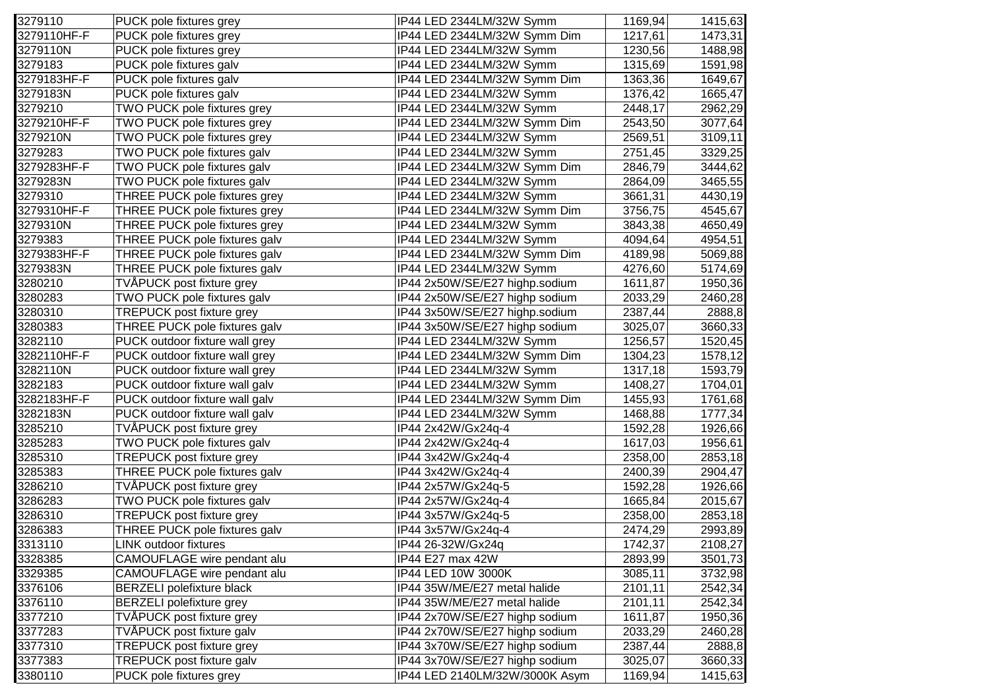| 3279110     | PUCK pole fixtures grey          | IP44 LED 2344LM/32W Symm       | 1169,94 | 1415,63 |
|-------------|----------------------------------|--------------------------------|---------|---------|
| 3279110HF-F | PUCK pole fixtures grey          | IP44 LED 2344LM/32W Symm Dim   | 1217,61 | 1473,31 |
| 3279110N    | PUCK pole fixtures grey          | IP44 LED 2344LM/32W Symm       | 1230,56 | 1488,98 |
| 3279183     | PUCK pole fixtures galv          | IP44 LED 2344LM/32W Symm       | 1315,69 | 1591,98 |
| 3279183HF-F | PUCK pole fixtures galv          | IP44 LED 2344LM/32W Symm Dim   | 1363,36 | 1649,67 |
| 3279183N    | PUCK pole fixtures galv          | IP44 LED 2344LM/32W Symm       | 1376,42 | 1665,47 |
| 3279210     | TWO PUCK pole fixtures grey      | IP44 LED 2344LM/32W Symm       | 2448,17 | 2962,29 |
| 3279210HF-F | TWO PUCK pole fixtures grey      | IP44 LED 2344LM/32W Symm Dim   | 2543,50 | 3077,64 |
| 3279210N    | TWO PUCK pole fixtures grey      | IP44 LED 2344LM/32W Symm       | 2569,51 | 3109,11 |
| 3279283     | TWO PUCK pole fixtures galv      | IP44 LED 2344LM/32W Symm       | 2751,45 | 3329,25 |
| 3279283HF-F | TWO PUCK pole fixtures galv      | IP44 LED 2344LM/32W Symm Dim   | 2846,79 | 3444,62 |
| 3279283N    | TWO PUCK pole fixtures galv      | IP44 LED 2344LM/32W Symm       | 2864,09 | 3465,55 |
| 3279310     | THREE PUCK pole fixtures grey    | IP44 LED 2344LM/32W Symm       | 3661,31 | 4430,19 |
| 3279310HF-F | THREE PUCK pole fixtures grey    | IP44 LED 2344LM/32W Symm Dim   | 3756,75 | 4545,67 |
| 3279310N    | THREE PUCK pole fixtures grey    | IP44 LED 2344LM/32W Symm       | 3843,38 | 4650,49 |
| 3279383     | THREE PUCK pole fixtures galv    | IP44 LED 2344LM/32W Symm       | 4094,64 | 4954,51 |
| 3279383HF-F | THREE PUCK pole fixtures galv    | IP44 LED 2344LM/32W Symm Dim   | 4189,98 | 5069,88 |
| 3279383N    | THREE PUCK pole fixtures galv    | IP44 LED 2344LM/32W Symm       | 4276,60 | 5174,69 |
| 3280210     | TVÅPUCK post fixture grey        | IP44 2x50W/SE/E27 highp.sodium | 1611,87 | 1950,36 |
| 3280283     | TWO PUCK pole fixtures galv      | IP44 2x50W/SE/E27 highp sodium | 2033,29 | 2460,28 |
| 3280310     | TREPUCK post fixture grey        | IP44 3x50W/SE/E27 highp.sodium | 2387,44 | 2888,8  |
| 3280383     | THREE PUCK pole fixtures galv    | IP44 3x50W/SE/E27 highp sodium | 3025,07 | 3660,33 |
| 3282110     | PUCK outdoor fixture wall grey   | IP44 LED 2344LM/32W Symm       | 1256,57 | 1520,45 |
| 3282110HF-F | PUCK outdoor fixture wall grey   | IP44 LED 2344LM/32W Symm Dim   | 1304,23 | 1578,12 |
| 3282110N    | PUCK outdoor fixture wall grey   | IP44 LED 2344LM/32W Symm       | 1317,18 | 1593,79 |
| 3282183     | PUCK outdoor fixture wall galv   | IP44 LED 2344LM/32W Symm       | 1408,27 | 1704,01 |
| 3282183HF-F | PUCK outdoor fixture wall galv   | IP44 LED 2344LM/32W Symm Dim   | 1455,93 | 1761,68 |
| 3282183N    | PUCK outdoor fixture wall galv   | IP44 LED 2344LM/32W Symm       | 1468,88 | 1777,34 |
| 3285210     | TVÅPUCK post fixture grey        | IP44 2x42W/Gx24q-4             | 1592,28 | 1926,66 |
| 3285283     | TWO PUCK pole fixtures galv      | IP44 2x42W/Gx24q-4             | 1617,03 | 1956,61 |
| 3285310     | TREPUCK post fixture grey        | IP44 3x42W/Gx24q-4             | 2358,00 | 2853,18 |
| 3285383     | THREE PUCK pole fixtures galv    | IP44 3x42W/Gx24q-4             | 2400,39 | 2904,47 |
| 3286210     | TVÅPUCK post fixture grey        | IP44 2x57W/Gx24q-5             | 1592,28 | 1926,66 |
| 3286283     | TWO PUCK pole fixtures galv      | IP44 2x57W/Gx24q-4             | 1665,84 | 2015,67 |
| 3286310     | TREPUCK post fixture grey        | IP44 3x57W/Gx24q-5             | 2358,00 | 2853,18 |
| 3286383     | THREE PUCK pole fixtures galv    | IP44 3x57W/Gx24q-4             | 2474,29 | 2993,89 |
| 3313110     | LINK outdoor fixtures            | IP44 26-32W/Gx24q              | 1742,37 | 2108,27 |
| 3328385     | CAMOUFLAGE wire pendant alu      | IP44 E27 max 42W               | 2893,99 | 3501,73 |
| 3329385     | CAMOUFLAGE wire pendant alu      | IP44 LED 10W 3000K             | 3085,11 | 3732,98 |
| 3376106     | <b>BERZELI polefixture black</b> | IP44 35W/ME/E27 metal halide   | 2101,11 | 2542,34 |
| 3376110     | <b>BERZELI</b> polefixture grey  | IP44 35W/ME/E27 metal halide   | 2101,11 | 2542,34 |
| 3377210     | TVÅPUCK post fixture grey        | IP44 2x70W/SE/E27 highp sodium | 1611,87 | 1950,36 |
| 3377283     | TVÅPUCK post fixture galv        | IP44 2x70W/SE/E27 highp sodium | 2033,29 | 2460,28 |
| 3377310     | <b>TREPUCK post fixture grey</b> | IP44 3x70W/SE/E27 highp sodium | 2387,44 | 2888,8  |
| 3377383     | TREPUCK post fixture galv        | IP44 3x70W/SE/E27 highp sodium | 3025,07 | 3660,33 |
| 3380110     | PUCK pole fixtures grey          | IP44 LED 2140LM/32W/3000K Asym | 1169,94 | 1415,63 |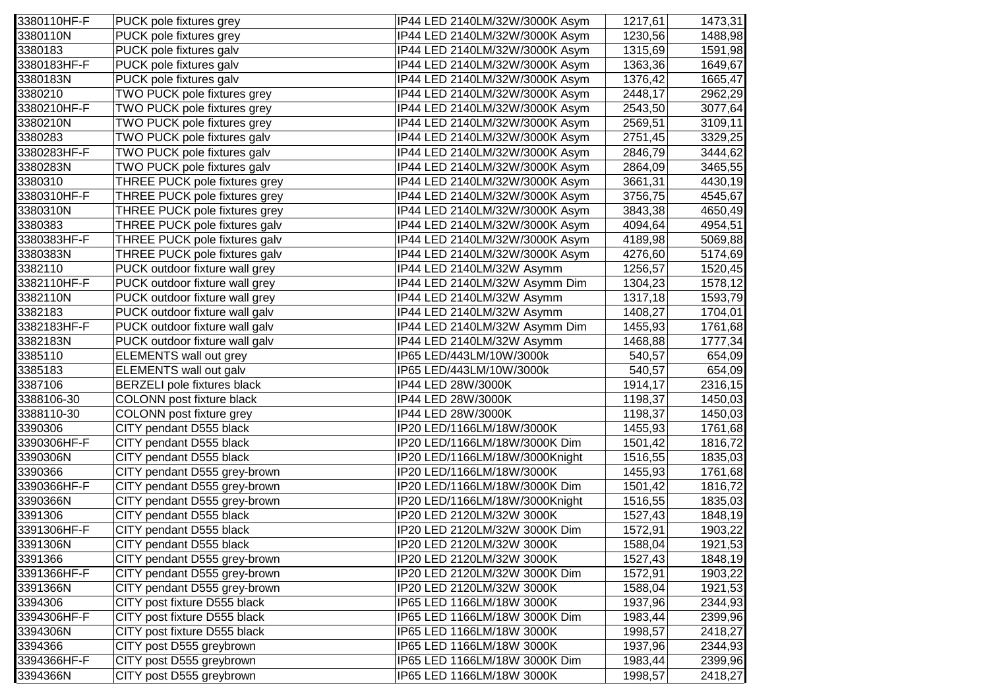| 3380110HF-F | PUCK pole fixtures grey            | IP44 LED 2140LM/32W/3000K Asym | 1217,61 | 1473,31 |
|-------------|------------------------------------|--------------------------------|---------|---------|
| 3380110N    | PUCK pole fixtures grey            | IP44 LED 2140LM/32W/3000K Asym | 1230,56 | 1488,98 |
| 3380183     | PUCK pole fixtures galv            | IP44 LED 2140LM/32W/3000K Asym | 1315,69 | 1591,98 |
| 3380183HF-F | PUCK pole fixtures galv            | IP44 LED 2140LM/32W/3000K Asym | 1363,36 | 1649,67 |
| 3380183N    | PUCK pole fixtures galv            | IP44 LED 2140LM/32W/3000K Asym | 1376,42 | 1665,47 |
| 3380210     | TWO PUCK pole fixtures grey        | IP44 LED 2140LM/32W/3000K Asym | 2448,17 | 2962,29 |
| 3380210HF-F | TWO PUCK pole fixtures grey        | IP44 LED 2140LM/32W/3000K Asym | 2543,50 | 3077,64 |
| 3380210N    | TWO PUCK pole fixtures grey        | IP44 LED 2140LM/32W/3000K Asym | 2569,51 | 3109,11 |
| 3380283     | TWO PUCK pole fixtures galv        | IP44 LED 2140LM/32W/3000K Asym | 2751,45 | 3329,25 |
| 3380283HF-F | TWO PUCK pole fixtures galv        | IP44 LED 2140LM/32W/3000K Asym | 2846,79 | 3444,62 |
| 3380283N    | TWO PUCK pole fixtures galv        | IP44 LED 2140LM/32W/3000K Asym | 2864,09 | 3465,55 |
| 3380310     | THREE PUCK pole fixtures grey      | IP44 LED 2140LM/32W/3000K Asym | 3661,31 | 4430,19 |
| 3380310HF-F | THREE PUCK pole fixtures grey      | IP44 LED 2140LM/32W/3000K Asym | 3756,75 | 4545,67 |
| 3380310N    | THREE PUCK pole fixtures grey      | IP44 LED 2140LM/32W/3000K Asym | 3843,38 | 4650,49 |
| 3380383     | THREE PUCK pole fixtures galv      | IP44 LED 2140LM/32W/3000K Asym | 4094,64 | 4954,51 |
| 3380383HF-F | THREE PUCK pole fixtures galv      | IP44 LED 2140LM/32W/3000K Asym | 4189,98 | 5069,88 |
| 3380383N    | THREE PUCK pole fixtures galv      | IP44 LED 2140LM/32W/3000K Asym | 4276,60 | 5174,69 |
| 3382110     | PUCK outdoor fixture wall grey     | IP44 LED 2140LM/32W Asymm      | 1256,57 | 1520,45 |
| 3382110HF-F | PUCK outdoor fixture wall grey     | IP44 LED 2140LM/32W Asymm Dim  | 1304,23 | 1578,12 |
| 3382110N    | PUCK outdoor fixture wall grey     | IP44 LED 2140LM/32W Asymm      | 1317,18 | 1593,79 |
| 3382183     | PUCK outdoor fixture wall galv     | IP44 LED 2140LM/32W Asymm      | 1408,27 | 1704,01 |
| 3382183HF-F | PUCK outdoor fixture wall galv     | IP44 LED 2140LM/32W Asymm Dim  | 1455,93 | 1761,68 |
| 3382183N    | PUCK outdoor fixture wall galv     | IP44 LED 2140LM/32W Asymm      | 1468,88 | 1777,34 |
| 3385110     | <b>ELEMENTS</b> wall out grey      | IP65 LED/443LM/10W/3000k       | 540,57  | 654,09  |
| 3385183     | ELEMENTS wall out galv             | IP65 LED/443LM/10W/3000k       | 540,57  | 654,09  |
| 3387106     | <b>BERZELI</b> pole fixtures black | IP44 LED 28W/3000K             | 1914,17 | 2316,15 |
| 3388106-30  | COLONN post fixture black          | IP44 LED 28W/3000K             | 1198,37 | 1450,03 |
| 3388110-30  | COLONN post fixture grey           | IP44 LED 28W/3000K             | 1198,37 | 1450,03 |
| 3390306     | CITY pendant D555 black            | IP20 LED/1166LM/18W/3000K      | 1455,93 | 1761,68 |
| 3390306HF-F | CITY pendant D555 black            | IP20 LED/1166LM/18W/3000K Dim  | 1501,42 | 1816,72 |
| 3390306N    | CITY pendant D555 black            | IP20 LED/1166LM/18W/3000Knight | 1516,55 | 1835,03 |
| 3390366     | CITY pendant D555 grey-brown       | IP20 LED/1166LM/18W/3000K      | 1455,93 | 1761,68 |
| 3390366HF-F | CITY pendant D555 grey-brown       | IP20 LED/1166LM/18W/3000K Dim  | 1501,42 | 1816,72 |
| 3390366N    | CITY pendant D555 grey-brown       | IP20 LED/1166LM/18W/3000Knight | 1516,55 | 1835,03 |
| 3391306     | CITY pendant D555 black            | IP20 LED 2120LM/32W 3000K      | 1527,43 | 1848,19 |
| 3391306HF-F | CITY pendant D555 black            | IP20 LED 2120LM/32W 3000K Dim  | 1572,91 | 1903,22 |
| 3391306N    | CITY pendant D555 black            | IP20 LED 2120LM/32W 3000K      | 1588,04 | 1921,53 |
| 3391366     | CITY pendant D555 grey-brown       | IP20 LED 2120LM/32W 3000K      | 1527,43 | 1848,19 |
| 3391366HF-F | CITY pendant D555 grey-brown       | IP20 LED 2120LM/32W 3000K Dim  | 1572,91 | 1903,22 |
| 3391366N    | CITY pendant D555 grey-brown       | IP20 LED 2120LM/32W 3000K      | 1588,04 | 1921,53 |
| 3394306     | CITY post fixture D555 black       | IP65 LED 1166LM/18W 3000K      | 1937,96 | 2344,93 |
| 3394306HF-F | CITY post fixture D555 black       | IP65 LED 1166LM/18W 3000K Dim  | 1983,44 | 2399,96 |
| 3394306N    | CITY post fixture D555 black       | IP65 LED 1166LM/18W 3000K      | 1998,57 | 2418,27 |
| 3394366     | CITY post D555 greybrown           | IP65 LED 1166LM/18W 3000K      | 1937,96 | 2344,93 |
| 3394366HF-F | CITY post D555 greybrown           | IP65 LED 1166LM/18W 3000K Dim  | 1983,44 | 2399,96 |
| 3394366N    | CITY post D555 greybrown           | IP65 LED 1166LM/18W 3000K      | 1998,57 | 2418,27 |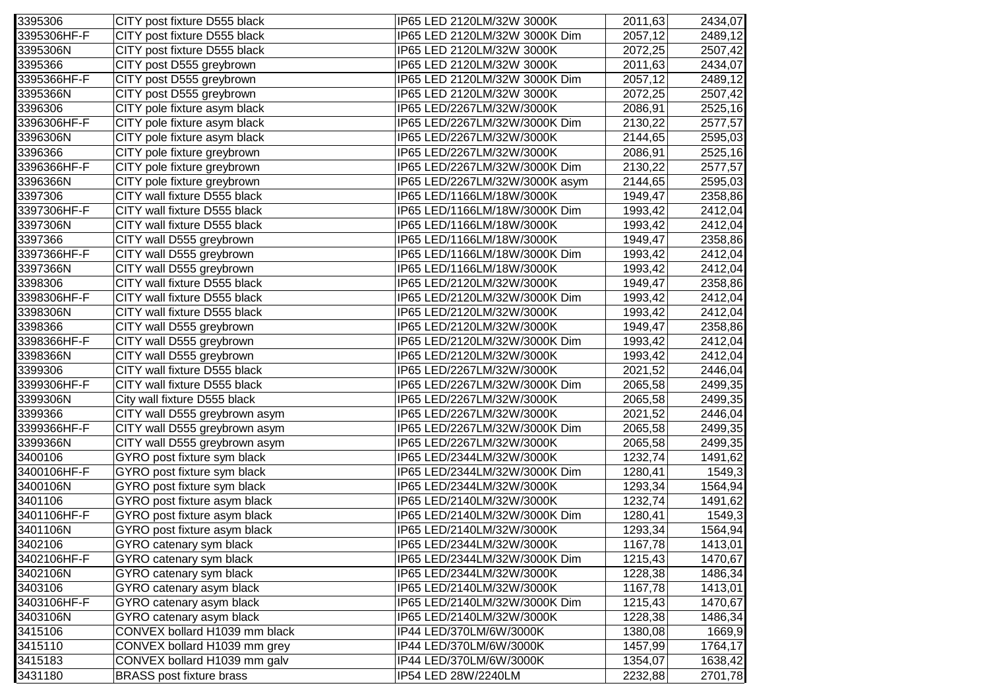| 3395306     | CITY post fixture D555 black    | IP65 LED 2120LM/32W 3000K      | 2011,63 | 2434,07 |
|-------------|---------------------------------|--------------------------------|---------|---------|
| 3395306HF-F | CITY post fixture D555 black    | IP65 LED 2120LM/32W 3000K Dim  | 2057,12 | 2489,12 |
| 3395306N    | CITY post fixture D555 black    | IP65 LED 2120LM/32W 3000K      | 2072,25 | 2507,42 |
| 3395366     | CITY post D555 greybrown        | IP65 LED 2120LM/32W 3000K      | 2011,63 | 2434,07 |
| 3395366HF-F | CITY post D555 greybrown        | IP65 LED 2120LM/32W 3000K Dim  | 2057,12 | 2489,12 |
| 3395366N    | CITY post D555 greybrown        | IP65 LED 2120LM/32W 3000K      | 2072,25 | 2507,42 |
| 3396306     | CITY pole fixture asym black    | IP65 LED/2267LM/32W/3000K      | 2086,91 | 2525,16 |
| 3396306HF-F | CITY pole fixture asym black    | IP65 LED/2267LM/32W/3000K Dim  | 2130,22 | 2577,57 |
| 3396306N    | CITY pole fixture asym black    | IP65 LED/2267LM/32W/3000K      | 2144,65 | 2595,03 |
| 3396366     | CITY pole fixture greybrown     | IP65 LED/2267LM/32W/3000K      | 2086,91 | 2525,16 |
| 3396366HF-F | CITY pole fixture greybrown     | IP65 LED/2267LM/32W/3000K Dim  | 2130,22 | 2577,57 |
| 3396366N    | CITY pole fixture greybrown     | IP65 LED/2267LM/32W/3000K asym | 2144,65 | 2595,03 |
| 3397306     | CITY wall fixture D555 black    | IP65 LED/1166LM/18W/3000K      | 1949,47 | 2358,86 |
| 3397306HF-F | CITY wall fixture D555 black    | IP65 LED/1166LM/18W/3000K Dim  | 1993,42 | 2412,04 |
| 3397306N    | CITY wall fixture D555 black    | IP65 LED/1166LM/18W/3000K      | 1993,42 | 2412,04 |
| 3397366     | CITY wall D555 greybrown        | IP65 LED/1166LM/18W/3000K      | 1949,47 | 2358,86 |
| 3397366HF-F | CITY wall D555 greybrown        | IP65 LED/1166LM/18W/3000K Dim  | 1993,42 | 2412,04 |
| 3397366N    | CITY wall D555 greybrown        | IP65 LED/1166LM/18W/3000K      | 1993,42 | 2412,04 |
| 3398306     | CITY wall fixture D555 black    | IP65 LED/2120LM/32W/3000K      | 1949,47 | 2358,86 |
| 3398306HF-F | CITY wall fixture D555 black    | IP65 LED/2120LM/32W/3000K Dim  | 1993,42 | 2412,04 |
| 3398306N    | CITY wall fixture D555 black    | IP65 LED/2120LM/32W/3000K      | 1993,42 | 2412,04 |
| 3398366     | CITY wall D555 greybrown        | IP65 LED/2120LM/32W/3000K      | 1949,47 | 2358,86 |
| 3398366HF-F | CITY wall D555 greybrown        | IP65 LED/2120LM/32W/3000K Dim  | 1993,42 | 2412,04 |
| 3398366N    | CITY wall D555 greybrown        | IP65 LED/2120LM/32W/3000K      | 1993,42 | 2412,04 |
| 3399306     | CITY wall fixture D555 black    | IP65 LED/2267LM/32W/3000K      | 2021,52 | 2446,04 |
| 3399306HF-F | CITY wall fixture D555 black    | IP65 LED/2267LM/32W/3000K Dim  | 2065,58 | 2499,35 |
| 3399306N    | City wall fixture D555 black    | IP65 LED/2267LM/32W/3000K      | 2065,58 | 2499,35 |
| 3399366     | CITY wall D555 greybrown asym   | IP65 LED/2267LM/32W/3000K      | 2021,52 | 2446,04 |
| 3399366HF-F | CITY wall D555 greybrown asym   | IP65 LED/2267LM/32W/3000K Dim  | 2065,58 | 2499,35 |
| 3399366N    | CITY wall D555 greybrown asym   | IP65 LED/2267LM/32W/3000K      | 2065,58 | 2499,35 |
| 3400106     | GYRO post fixture sym black     | IP65 LED/2344LM/32W/3000K      | 1232,74 | 1491,62 |
| 3400106HF-F | GYRO post fixture sym black     | IP65 LED/2344LM/32W/3000K Dim  | 1280,41 | 1549,3  |
| 3400106N    | GYRO post fixture sym black     | IP65 LED/2344LM/32W/3000K      | 1293,34 | 1564,94 |
| 3401106     | GYRO post fixture asym black    | IP65 LED/2140LM/32W/3000K      | 1232,74 | 1491,62 |
| 3401106HF-F | GYRO post fixture asym black    | IP65 LED/2140LM/32W/3000K Dim  | 1280,41 | 1549,3  |
| 3401106N    | GYRO post fixture asym black    | IP65 LED/2140LM/32W/3000K      | 1293,34 | 1564,94 |
| 3402106     | GYRO catenary sym black         | IP65 LED/2344LM/32W/3000K      | 1167,78 | 1413,01 |
| 3402106HF-F | GYRO catenary sym black         | IP65 LED/2344LM/32W/3000K Dim  | 1215,43 | 1470,67 |
| 3402106N    | GYRO catenary sym black         | IP65 LED/2344LM/32W/3000K      | 1228,38 | 1486,34 |
| 3403106     | GYRO catenary asym black        | IP65 LED/2140LM/32W/3000K      | 1167,78 | 1413,01 |
| 3403106HF-F | GYRO catenary asym black        | IP65 LED/2140LM/32W/3000K Dim  | 1215,43 | 1470,67 |
| 3403106N    | GYRO catenary asym black        | IP65 LED/2140LM/32W/3000K      | 1228,38 | 1486,34 |
| 3415106     | CONVEX bollard H1039 mm black   | IP44 LED/370LM/6W/3000K        | 1380,08 | 1669,9  |
| 3415110     | CONVEX bollard H1039 mm grey    | IP44 LED/370LM/6W/3000K        | 1457,99 | 1764,17 |
| 3415183     | CONVEX bollard H1039 mm galv    | IP44 LED/370LM/6W/3000K        | 1354,07 | 1638,42 |
| 3431180     | <b>BRASS post fixture brass</b> | IP54 LED 28W/2240LM            | 2232,88 | 2701,78 |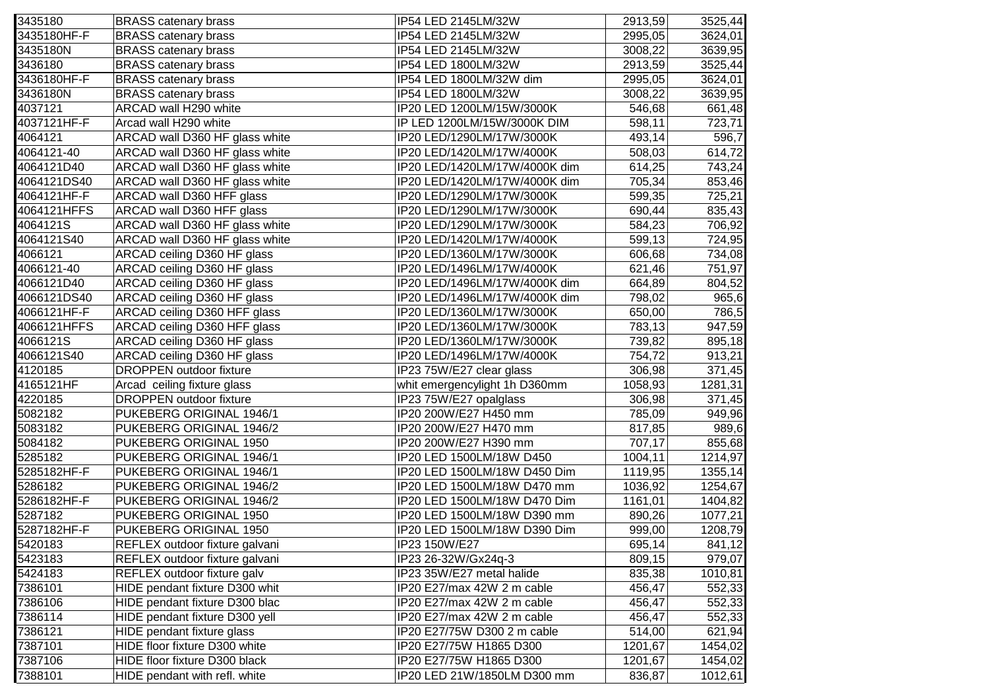| 3435180     | <b>BRASS catenary brass</b>    | IP54 LED 2145LM/32W           | 2913,59  | 3525,44 |
|-------------|--------------------------------|-------------------------------|----------|---------|
| 3435180HF-F | <b>BRASS catenary brass</b>    | IP54 LED 2145LM/32W           | 2995,05  | 3624,01 |
| 3435180N    | <b>BRASS catenary brass</b>    | IP54 LED 2145LM/32W           | 3008,22  | 3639,95 |
| 3436180     | <b>BRASS catenary brass</b>    | IP54 LED 1800LM/32W           | 2913,59  | 3525,44 |
| 3436180HF-F | <b>BRASS catenary brass</b>    | IP54 LED 1800LM/32W dim       | 2995,05  | 3624,01 |
| 3436180N    | <b>BRASS catenary brass</b>    | IP54 LED 1800LM/32W           | 3008,22  | 3639,95 |
| 4037121     | ARCAD wall H290 white          | IP20 LED 1200LM/15W/3000K     | 546,68   | 661,48  |
| 4037121HF-F | Arcad wall H290 white          | IP LED 1200LM/15W/3000K DIM   | 598,11   | 723,71  |
| 4064121     | ARCAD wall D360 HF glass white | IP20 LED/1290LM/17W/3000K     | 493,14   | 596,7   |
| 4064121-40  | ARCAD wall D360 HF glass white | IP20 LED/1420LM/17W/4000K     | 508,03   | 614,72  |
| 4064121D40  | ARCAD wall D360 HF glass white | IP20 LED/1420LM/17W/4000K dim | 614,25   | 743,24  |
| 4064121DS40 | ARCAD wall D360 HF glass white | IP20 LED/1420LM/17W/4000K dim | 705,34   | 853,46  |
| 4064121HF-F | ARCAD wall D360 HFF glass      | IP20 LED/1290LM/17W/3000K     | 599,35   | 725,21  |
| 4064121HFFS | ARCAD wall D360 HFF glass      | IP20 LED/1290LM/17W/3000K     | 690,44   | 835,43  |
| 4064121S    | ARCAD wall D360 HF glass white | IP20 LED/1290LM/17W/3000K     | 584,23   | 706,92  |
| 4064121S40  | ARCAD wall D360 HF glass white | IP20 LED/1420LM/17W/4000K     | 599,13   | 724,95  |
| 4066121     | ARCAD ceiling D360 HF glass    | IP20 LED/1360LM/17W/3000K     | 606,68   | 734,08  |
| 4066121-40  | ARCAD ceiling D360 HF glass    | IP20 LED/1496LM/17W/4000K     | 621,46   | 751,97  |
| 4066121D40  | ARCAD ceiling D360 HF glass    | IP20 LED/1496LM/17W/4000K dim | 664,89   | 804,52  |
| 4066121DS40 | ARCAD ceiling D360 HF glass    | IP20 LED/1496LM/17W/4000K dim | 798,02   | 965,6   |
| 4066121HF-F | ARCAD ceiling D360 HFF glass   | IP20 LED/1360LM/17W/3000K     | 650,00   | 786,5   |
| 4066121HFFS | ARCAD ceiling D360 HFF glass   | IP20 LED/1360LM/17W/3000K     | 783,13   | 947,59  |
| 4066121S    | ARCAD ceiling D360 HF glass    | IP20 LED/1360LM/17W/3000K     | 739,82   | 895,18  |
| 4066121S40  | ARCAD ceiling D360 HF glass    | IP20 LED/1496LM/17W/4000K     | 754,72   | 913,21  |
| 4120185     | <b>DROPPEN</b> outdoor fixture | IP23 75W/E27 clear glass      | 306,98   | 371,45  |
| 4165121HF   | Arcad ceiling fixture glass    | whit emergencylight 1h D360mm | 1058,93  | 1281,31 |
| 4220185     | <b>DROPPEN</b> outdoor fixture | IP23 75W/E27 opalglass        | 306,98   | 371,45  |
| 5082182     | PUKEBERG ORIGINAL 1946/1       | IP20 200W/E27 H450 mm         | 785,09   | 949,96  |
| 5083182     | PUKEBERG ORIGINAL 1946/2       | IP20 200W/E27 H470 mm         | 817,85   | 989,6   |
| 5084182     | PUKEBERG ORIGINAL 1950         | IP20 200W/E27 H390 mm         | 707,17   | 855,68  |
| 5285182     | PUKEBERG ORIGINAL 1946/1       | IP20 LED 1500LM/18W D450      | 1004, 11 | 1214,97 |
| 5285182HF-F | PUKEBERG ORIGINAL 1946/1       | IP20 LED 1500LM/18W D450 Dim  | 1119,95  | 1355,14 |
| 5286182     | PUKEBERG ORIGINAL 1946/2       | IP20 LED 1500LM/18W D470 mm   | 1036,92  | 1254,67 |
| 5286182HF-F | PUKEBERG ORIGINAL 1946/2       | IP20 LED 1500LM/18W D470 Dim  | 1161,01  | 1404,82 |
| 5287182     | PUKEBERG ORIGINAL 1950         | IP20 LED 1500LM/18W D390 mm   | 890,26   | 1077,21 |
| 5287182HF-F | PUKEBERG ORIGINAL 1950         | IP20 LED 1500LM/18W D390 Dim  | 999,00   | 1208,79 |
| 5420183     | REFLEX outdoor fixture galvani | IP23 150W/E27                 | 695,14   | 841,12  |
| 5423183     | REFLEX outdoor fixture galvani | IP23 26-32W/Gx24q-3           | 809,15   | 979,07  |
| 5424183     | REFLEX outdoor fixture galv    | IP23 35W/E27 metal halide     | 835,38   | 1010,81 |
| 7386101     | HIDE pendant fixture D300 whit | IP20 E27/max 42W 2 m cable    | 456,47   | 552,33  |
| 7386106     | HIDE pendant fixture D300 blac | IP20 E27/max 42W 2 m cable    | 456,47   | 552,33  |
| 7386114     | HIDE pendant fixture D300 yell | IP20 E27/max 42W 2 m cable    | 456,47   | 552,33  |
| 7386121     | HIDE pendant fixture glass     | IP20 E27/75W D300 2 m cable   | 514,00   | 621,94  |
| 7387101     | HIDE floor fixture D300 white  | IP20 E27/75W H1865 D300       | 1201,67  | 1454,02 |
| 7387106     | HIDE floor fixture D300 black  | IP20 E27/75W H1865 D300       | 1201,67  | 1454,02 |
| 7388101     | HIDE pendant with refl. white  | IP20 LED 21W/1850LM D300 mm   | 836,87   | 1012,61 |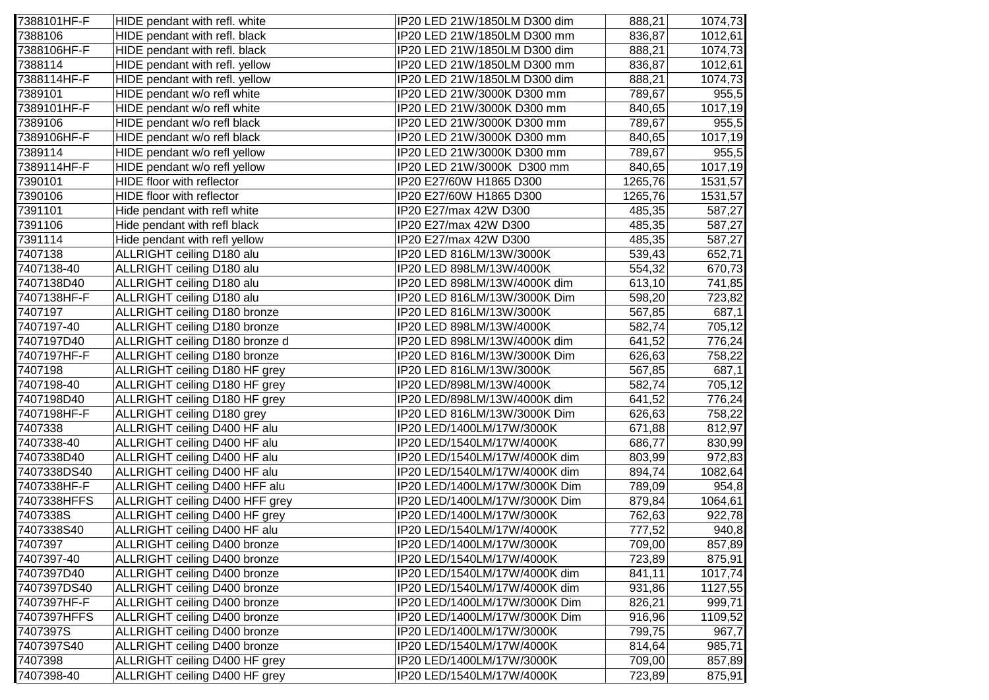| 7388101HF-F | HIDE pendant with refl. white       | IP20 LED 21W/1850LM D300 dim  | 888,21  | 1074,73 |
|-------------|-------------------------------------|-------------------------------|---------|---------|
| 7388106     | HIDE pendant with refl. black       | IP20 LED 21W/1850LM D300 mm   | 836,87  | 1012,61 |
| 7388106HF-F | HIDE pendant with refl. black       | IP20 LED 21W/1850LM D300 dim  | 888,21  | 1074,73 |
| 7388114     | HIDE pendant with refl. yellow      | IP20 LED 21W/1850LM D300 mm   | 836,87  | 1012,61 |
| 7388114HF-F | HIDE pendant with refl. yellow      | IP20 LED 21W/1850LM D300 dim  | 888,21  | 1074,73 |
| 7389101     | HIDE pendant w/o refl white         | IP20 LED 21W/3000K D300 mm    | 789,67  | 955,5   |
| 7389101HF-F | HIDE pendant w/o refl white         | IP20 LED 21W/3000K D300 mm    | 840,65  | 1017,19 |
| 7389106     | HIDE pendant w/o refl black         | IP20 LED 21W/3000K D300 mm    | 789,67  | 955,5   |
| 7389106HF-F | HIDE pendant w/o refl black         | IP20 LED 21W/3000K D300 mm    | 840,65  | 1017,19 |
| 7389114     | HIDE pendant w/o refl yellow        | IP20 LED 21W/3000K D300 mm    | 789,67  | 955,5   |
| 7389114HF-F | HIDE pendant w/o refl yellow        | IP20 LED 21W/3000K D300 mm    | 840,65  | 1017,19 |
| 7390101     | HIDE floor with reflector           | IP20 E27/60W H1865 D300       | 1265,76 | 1531,57 |
| 7390106     | HIDE floor with reflector           | IP20 E27/60W H1865 D300       | 1265,76 | 1531,57 |
| 7391101     | Hide pendant with refl white        | IP20 E27/max 42W D300         | 485,35  | 587,27  |
| 7391106     | Hide pendant with refl black        | IP20 E27/max 42W D300         | 485,35  | 587,27  |
| 7391114     | Hide pendant with refl yellow       | IP20 E27/max 42W D300         | 485,35  | 587,27  |
| 7407138     | ALLRIGHT ceiling D180 alu           | IP20 LED 816LM/13W/3000K      | 539,43  | 652,71  |
| 7407138-40  | ALLRIGHT ceiling D180 alu           | IP20 LED 898LM/13W/4000K      | 554,32  | 670,73  |
| 7407138D40  | ALLRIGHT ceiling D180 alu           | IP20 LED 898LM/13W/4000K dim  | 613,10  | 741,85  |
| 7407138HF-F | ALLRIGHT ceiling D180 alu           | IP20 LED 816LM/13W/3000K Dim  | 598,20  | 723,82  |
| 7407197     | ALLRIGHT ceiling D180 bronze        | IP20 LED 816LM/13W/3000K      | 567,85  | 687,1   |
| 7407197-40  | ALLRIGHT ceiling D180 bronze        | IP20 LED 898LM/13W/4000K      | 582,74  | 705,12  |
| 7407197D40  | ALLRIGHT ceiling D180 bronze d      | IP20 LED 898LM/13W/4000K dim  | 641,52  | 776,24  |
| 7407197HF-F | ALLRIGHT ceiling D180 bronze        | IP20 LED 816LM/13W/3000K Dim  | 626,63  | 758,22  |
| 7407198     | ALLRIGHT ceiling D180 HF grey       | IP20 LED 816LM/13W/3000K      | 567,85  | 687,1   |
| 7407198-40  | ALLRIGHT ceiling D180 HF grey       | IP20 LED/898LM/13W/4000K      | 582,74  | 705,12  |
| 7407198D40  | ALLRIGHT ceiling D180 HF grey       | IP20 LED/898LM/13W/4000K dim  | 641,52  | 776,24  |
| 7407198HF-F | ALLRIGHT ceiling D180 grey          | IP20 LED 816LM/13W/3000K Dim  | 626,63  | 758,22  |
| 7407338     | ALLRIGHT ceiling D400 HF alu        | IP20 LED/1400LM/17W/3000K     | 671,88  | 812,97  |
| 7407338-40  | ALLRIGHT ceiling D400 HF alu        | IP20 LED/1540LM/17W/4000K     | 686,77  | 830,99  |
| 7407338D40  | ALLRIGHT ceiling D400 HF alu        | IP20 LED/1540LM/17W/4000K dim | 803,99  | 972,83  |
| 7407338DS40 | ALLRIGHT ceiling D400 HF alu        | IP20 LED/1540LM/17W/4000K dim | 894,74  | 1082,64 |
| 7407338HF-F | ALLRIGHT ceiling D400 HFF alu       | IP20 LED/1400LM/17W/3000K Dim | 789,09  | 954,8   |
| 7407338HFFS | ALLRIGHT ceiling D400 HFF grey      | IP20 LED/1400LM/17W/3000K Dim | 879,84  | 1064,61 |
| 7407338S    | ALLRIGHT ceiling D400 HF grey       | IP20 LED/1400LM/17W/3000K     | 762,63  | 922,78  |
| 7407338S40  | ALLRIGHT ceiling D400 HF alu        | IP20 LED/1540LM/17W/4000K     | 777,52  | 940,8   |
| 7407397     | <b>ALLRIGHT ceiling D400 bronze</b> | IP20 LED/1400LM/17W/3000K     | 709,00  | 857,89  |
| 7407397-40  | ALLRIGHT ceiling D400 bronze        | IP20 LED/1540LM/17W/4000K     | 723,89  | 875,91  |
| 7407397D40  | ALLRIGHT ceiling D400 bronze        | IP20 LED/1540LM/17W/4000K dim | 841,11  | 1017,74 |
| 7407397DS40 | ALLRIGHT ceiling D400 bronze        | IP20 LED/1540LM/17W/4000K dim | 931,86  | 1127,55 |
| 7407397HF-F | ALLRIGHT ceiling D400 bronze        | IP20 LED/1400LM/17W/3000K Dim | 826,21  | 999,71  |
| 7407397HFFS | ALLRIGHT ceiling D400 bronze        | IP20 LED/1400LM/17W/3000K Dim | 916,96  | 1109,52 |
| 7407397S    | ALLRIGHT ceiling D400 bronze        | IP20 LED/1400LM/17W/3000K     | 799,75  | 967,7   |
| 7407397S40  | ALLRIGHT ceiling D400 bronze        | IP20 LED/1540LM/17W/4000K     | 814,64  | 985,71  |
| 7407398     | ALLRIGHT ceiling D400 HF grey       | IP20 LED/1400LM/17W/3000K     | 709,00  | 857,89  |
| 7407398-40  | ALLRIGHT ceiling D400 HF grey       | IP20 LED/1540LM/17W/4000K     | 723,89  | 875,91  |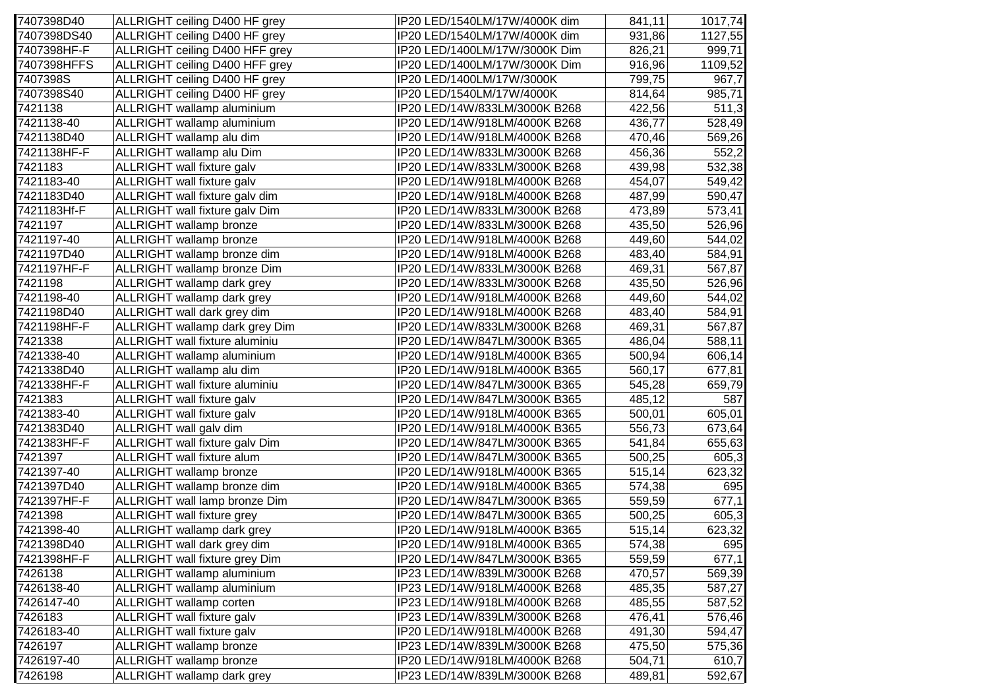| 7407398D40  | ALLRIGHT ceiling D400 HF grey     | IP20 LED/1540LM/17W/4000K dim | 841,11 | 1017,74 |
|-------------|-----------------------------------|-------------------------------|--------|---------|
| 7407398DS40 | ALLRIGHT ceiling D400 HF grey     | IP20 LED/1540LM/17W/4000K dim | 931,86 | 1127,55 |
| 7407398HF-F | ALLRIGHT ceiling D400 HFF grey    | IP20 LED/1400LM/17W/3000K Dim | 826,21 | 999,71  |
| 7407398HFFS | ALLRIGHT ceiling D400 HFF grey    | IP20 LED/1400LM/17W/3000K Dim | 916,96 | 1109,52 |
| 7407398S    | ALLRIGHT ceiling D400 HF grey     | IP20 LED/1400LM/17W/3000K     | 799,75 | 967,7   |
| 7407398S40  | ALLRIGHT ceiling D400 HF grey     | IP20 LED/1540LM/17W/4000K     | 814,64 | 985,71  |
| 7421138     | ALLRIGHT wallamp aluminium        | IP20 LED/14W/833LM/3000K B268 | 422,56 | 511,3   |
| 7421138-40  | ALLRIGHT wallamp aluminium        | IP20 LED/14W/918LM/4000K B268 | 436,77 | 528,49  |
| 7421138D40  | ALLRIGHT wallamp alu dim          | IP20 LED/14W/918LM/4000K B268 | 470,46 | 569,26  |
| 7421138HF-F | ALLRIGHT wallamp alu Dim          | IP20 LED/14W/833LM/3000K B268 | 456,36 | 552,2   |
| 7421183     | ALLRIGHT wall fixture galv        | IP20 LED/14W/833LM/3000K B268 | 439,98 | 532,38  |
| 7421183-40  | ALLRIGHT wall fixture galv        | IP20 LED/14W/918LM/4000K B268 | 454,07 | 549,42  |
| 7421183D40  | ALLRIGHT wall fixture galv dim    | IP20 LED/14W/918LM/4000K B268 | 487,99 | 590,47  |
| 7421183Hf-F | ALLRIGHT wall fixture galv Dim    | IP20 LED/14W/833LM/3000K B268 | 473,89 | 573,41  |
| 7421197     | ALLRIGHT wallamp bronze           | IP20 LED/14W/833LM/3000K B268 | 435,50 | 526,96  |
| 7421197-40  | <b>ALLRIGHT</b> wallamp bronze    | IP20 LED/14W/918LM/4000K B268 | 449,60 | 544,02  |
| 7421197D40  | ALLRIGHT wallamp bronze dim       | IP20 LED/14W/918LM/4000K B268 | 483,40 | 584,91  |
| 7421197HF-F | ALLRIGHT wallamp bronze Dim       | IP20 LED/14W/833LM/3000K B268 | 469,31 | 567,87  |
| 7421198     | ALLRIGHT wallamp dark grey        | IP20 LED/14W/833LM/3000K B268 | 435,50 | 526,96  |
| 7421198-40  | ALLRIGHT wallamp dark grey        | IP20 LED/14W/918LM/4000K B268 | 449,60 | 544,02  |
| 7421198D40  | ALLRIGHT wall dark grey dim       | IP20 LED/14W/918LM/4000K B268 | 483,40 | 584,91  |
| 7421198HF-F | ALLRIGHT wallamp dark grey Dim    | IP20 LED/14W/833LM/3000K B268 | 469,31 | 567,87  |
| 7421338     | ALLRIGHT wall fixture aluminiu    | IP20 LED/14W/847LM/3000K B365 | 486,04 | 588,11  |
| 7421338-40  | ALLRIGHT wallamp aluminium        | IP20 LED/14W/918LM/4000K B365 | 500,94 | 606,14  |
| 7421338D40  | ALLRIGHT wallamp alu dim          | IP20 LED/14W/918LM/4000K B365 | 560,17 | 677,81  |
| 7421338HF-F | ALLRIGHT wall fixture aluminiu    | IP20 LED/14W/847LM/3000K B365 | 545,28 | 659,79  |
| 7421383     | ALLRIGHT wall fixture galv        | IP20 LED/14W/847LM/3000K B365 | 485,12 | 587     |
| 7421383-40  | ALLRIGHT wall fixture galv        | IP20 LED/14W/918LM/4000K B365 | 500,01 | 605,01  |
| 7421383D40  | ALLRIGHT wall galv dim            | IP20 LED/14W/918LM/4000K B365 | 556,73 | 673,64  |
| 7421383HF-F | ALLRIGHT wall fixture galv Dim    | IP20 LED/14W/847LM/3000K B365 | 541,84 | 655,63  |
| 7421397     | ALLRIGHT wall fixture alum        | IP20 LED/14W/847LM/3000K B365 | 500,25 | 605,3   |
| 7421397-40  | ALLRIGHT wallamp bronze           | IP20 LED/14W/918LM/4000K B365 | 515,14 | 623,32  |
| 7421397D40  | ALLRIGHT wallamp bronze dim       | IP20 LED/14W/918LM/4000K B365 | 574,38 | 695     |
| 7421397HF-F | ALLRIGHT wall lamp bronze Dim     | IP20 LED/14W/847LM/3000K B365 | 559,59 | 677,1   |
| 7421398     | <b>ALLRIGHT</b> wall fixture grey | IP20 LED/14W/847LM/3000K B365 | 500,25 | 605,3   |
| 7421398-40  | ALLRIGHT wallamp dark grey        | IP20 LED/14W/918LM/4000K B365 | 515,14 | 623,32  |
| 7421398D40  | ALLRIGHT wall dark grey dim       | IP20 LED/14W/918LM/4000K B365 | 574,38 | 695     |
| 7421398HF-F | ALLRIGHT wall fixture grey Dim    | IP20 LED/14W/847LM/3000K B365 | 559,59 | 677,1   |
| 7426138     | ALLRIGHT wallamp aluminium        | IP23 LED/14W/839LM/3000K B268 | 470,57 | 569,39  |
| 7426138-40  | ALLRIGHT wallamp aluminium        | IP23 LED/14W/918LM/4000K B268 | 485,35 | 587,27  |
| 7426147-40  | ALLRIGHT wallamp corten           | IP23 LED/14W/918LM/4000K B268 | 485,55 | 587,52  |
| 7426183     | ALLRIGHT wall fixture galv        | IP23 LED/14W/839LM/3000K B268 | 476,41 | 576,46  |
| 7426183-40  | ALLRIGHT wall fixture galv        | IP20 LED/14W/918LM/4000K B268 | 491,30 | 594,47  |
| 7426197     | ALLRIGHT wallamp bronze           | IP23 LED/14W/839LM/3000K B268 | 475,50 | 575,36  |
| 7426197-40  | ALLRIGHT wallamp bronze           | IP20 LED/14W/918LM/4000K B268 | 504,71 | 610,7   |
| 7426198     | ALLRIGHT wallamp dark grey        | IP23 LED/14W/839LM/3000K B268 | 489,81 | 592,67  |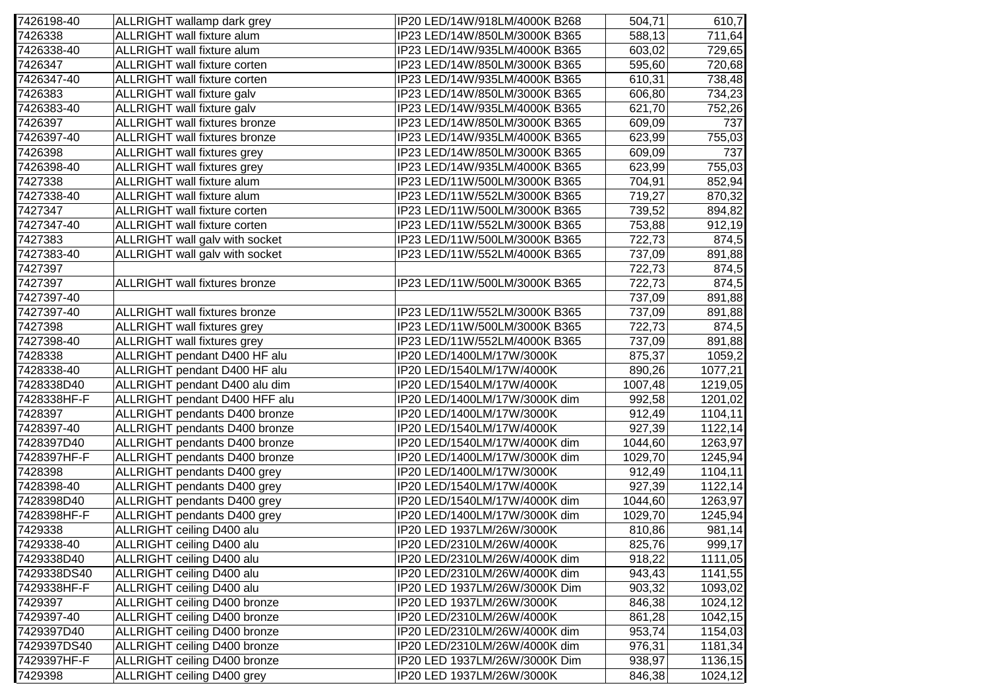| 7426198-40  | ALLRIGHT wallamp dark grey           | IP20 LED/14W/918LM/4000K B268 | 504,71  | 610,7   |
|-------------|--------------------------------------|-------------------------------|---------|---------|
| 7426338     | ALLRIGHT wall fixture alum           | IP23 LED/14W/850LM/3000K B365 | 588,13  | 711,64  |
| 7426338-40  | ALLRIGHT wall fixture alum           | IP23 LED/14W/935LM/4000K B365 | 603,02  | 729,65  |
| 7426347     | <b>ALLRIGHT</b> wall fixture corten  | IP23 LED/14W/850LM/3000K B365 | 595,60  | 720,68  |
| 7426347-40  | <b>ALLRIGHT</b> wall fixture corten  | IP23 LED/14W/935LM/4000K B365 | 610,31  | 738,48  |
| 7426383     | ALLRIGHT wall fixture galv           | IP23 LED/14W/850LM/3000K B365 | 606,80  | 734,23  |
| 7426383-40  | ALLRIGHT wall fixture galv           | IP23 LED/14W/935LM/4000K B365 | 621,70  | 752,26  |
| 7426397     | <b>ALLRIGHT</b> wall fixtures bronze | IP23 LED/14W/850LM/3000K B365 | 609,09  | 737     |
| 7426397-40  | <b>ALLRIGHT</b> wall fixtures bronze | IP23 LED/14W/935LM/4000K B365 | 623,99  | 755,03  |
| 7426398     | <b>ALLRIGHT</b> wall fixtures grey   | IP23 LED/14W/850LM/3000K B365 | 609,09  | 737     |
| 7426398-40  | <b>ALLRIGHT</b> wall fixtures grey   | IP23 LED/14W/935LM/4000K B365 | 623,99  | 755,03  |
| 7427338     | ALLRIGHT wall fixture alum           | IP23 LED/11W/500LM/3000K B365 | 704,91  | 852,94  |
| 7427338-40  | ALLRIGHT wall fixture alum           | IP23 LED/11W/552LM/3000K B365 | 719,27  | 870,32  |
| 7427347     | <b>ALLRIGHT</b> wall fixture corten  | IP23 LED/11W/500LM/3000K B365 | 739,52  | 894,82  |
| 7427347-40  | ALLRIGHT wall fixture corten         | IP23 LED/11W/552LM/3000K B365 | 753,88  | 912,19  |
| 7427383     | ALLRIGHT wall galv with socket       | IP23 LED/11W/500LM/3000K B365 | 722,73  | 874,5   |
| 7427383-40  | ALLRIGHT wall galv with socket       | IP23 LED/11W/552LM/4000K B365 | 737,09  | 891,88  |
| 7427397     |                                      |                               | 722,73  | 874,5   |
| 7427397     | <b>ALLRIGHT</b> wall fixtures bronze | IP23 LED/11W/500LM/3000K B365 | 722,73  | 874,5   |
| 7427397-40  |                                      |                               | 737,09  | 891,88  |
| 7427397-40  | <b>ALLRIGHT</b> wall fixtures bronze | IP23 LED/11W/552LM/3000K B365 | 737,09  | 891,88  |
| 7427398     | ALLRIGHT wall fixtures grey          | IP23 LED/11W/500LM/3000K B365 | 722,73  | 874,5   |
| 7427398-40  | <b>ALLRIGHT</b> wall fixtures grey   | IP23 LED/11W/552LM/4000K B365 | 737,09  | 891,88  |
| 7428338     | ALLRIGHT pendant D400 HF alu         | IP20 LED/1400LM/17W/3000K     | 875,37  | 1059,2  |
| 7428338-40  | ALLRIGHT pendant D400 HF alu         | IP20 LED/1540LM/17W/4000K     | 890,26  | 1077,21 |
| 7428338D40  | ALLRIGHT pendant D400 alu dim        | IP20 LED/1540LM/17W/4000K     | 1007,48 | 1219,05 |
| 7428338HF-F | ALLRIGHT pendant D400 HFF alu        | IP20 LED/1400LM/17W/3000K dim | 992,58  | 1201,02 |
| 7428397     | ALLRIGHT pendants D400 bronze        | IP20 LED/1400LM/17W/3000K     | 912,49  | 1104,11 |
| 7428397-40  | ALLRIGHT pendants D400 bronze        | IP20 LED/1540LM/17W/4000K     | 927,39  | 1122,14 |
| 7428397D40  | ALLRIGHT pendants D400 bronze        | IP20 LED/1540LM/17W/4000K dim | 1044,60 | 1263,97 |
| 7428397HF-F | ALLRIGHT pendants D400 bronze        | IP20 LED/1400LM/17W/3000K dim | 1029,70 | 1245,94 |
| 7428398     | ALLRIGHT pendants D400 grey          | IP20 LED/1400LM/17W/3000K     | 912,49  | 1104,11 |
| 7428398-40  | ALLRIGHT pendants D400 grey          | IP20 LED/1540LM/17W/4000K     | 927,39  | 1122,14 |
| 7428398D40  | ALLRIGHT pendants D400 grey          | IP20 LED/1540LM/17W/4000K dim | 1044,60 | 1263,97 |
| 7428398HF-F | ALLRIGHT pendants D400 grey          | IP20 LED/1400LM/17W/3000K dim | 1029,70 | 1245,94 |
| 7429338     | ALLRIGHT ceiling D400 alu            | IP20 LED 1937LM/26W/3000K     | 810,86  | 981,14  |
| 7429338-40  | ALLRIGHT ceiling D400 alu            | IP20 LED/2310LM/26W/4000K     | 825,76  | 999,17  |
| 7429338D40  | ALLRIGHT ceiling D400 alu            | IP20 LED/2310LM/26W/4000K dim | 918,22  | 1111,05 |
| 7429338DS40 | ALLRIGHT ceiling D400 alu            | IP20 LED/2310LM/26W/4000K dim | 943,43  | 1141,55 |
| 7429338HF-F | ALLRIGHT ceiling D400 alu            | IP20 LED 1937LM/26W/3000K Dim | 903,32  | 1093,02 |
| 7429397     | ALLRIGHT ceiling D400 bronze         | IP20 LED 1937LM/26W/3000K     | 846,38  | 1024,12 |
| 7429397-40  | ALLRIGHT ceiling D400 bronze         | IP20 LED/2310LM/26W/4000K     | 861,28  | 1042,15 |
| 7429397D40  | ALLRIGHT ceiling D400 bronze         | IP20 LED/2310LM/26W/4000K dim | 953,74  | 1154,03 |
| 7429397DS40 | ALLRIGHT ceiling D400 bronze         | IP20 LED/2310LM/26W/4000K dim | 976,31  | 1181,34 |
| 7429397HF-F | ALLRIGHT ceiling D400 bronze         | IP20 LED 1937LM/26W/3000K Dim | 938,97  | 1136,15 |
| 7429398     | ALLRIGHT ceiling D400 grey           | IP20 LED 1937LM/26W/3000K     | 846,38  | 1024,12 |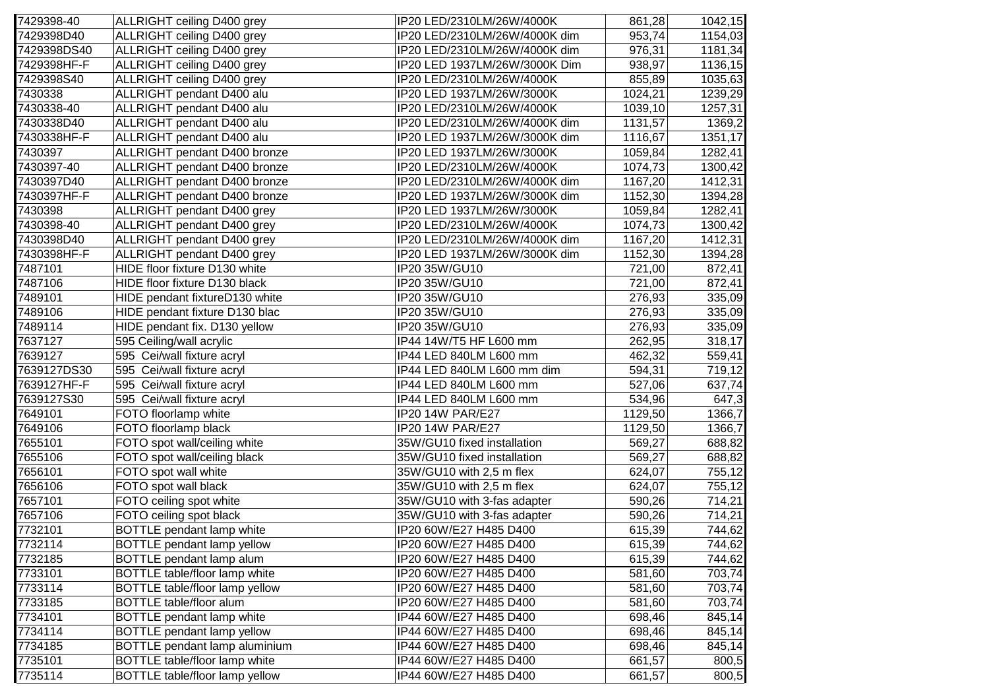| 7429398-40  | ALLRIGHT ceiling D400 grey           | IP20 LED/2310LM/26W/4000K     | 861,28  | 1042,15 |
|-------------|--------------------------------------|-------------------------------|---------|---------|
| 7429398D40  | ALLRIGHT ceiling D400 grey           | IP20 LED/2310LM/26W/4000K dim | 953,74  | 1154,03 |
| 7429398DS40 | ALLRIGHT ceiling D400 grey           | IP20 LED/2310LM/26W/4000K dim | 976,31  | 1181,34 |
| 7429398HF-F | ALLRIGHT ceiling D400 grey           | IP20 LED 1937LM/26W/3000K Dim | 938,97  | 1136,15 |
| 7429398S40  | ALLRIGHT ceiling D400 grey           | IP20 LED/2310LM/26W/4000K     | 855,89  | 1035,63 |
| 7430338     | ALLRIGHT pendant D400 alu            | IP20 LED 1937LM/26W/3000K     | 1024,21 | 1239,29 |
| 7430338-40  | ALLRIGHT pendant D400 alu            | IP20 LED/2310LM/26W/4000K     | 1039,10 | 1257,31 |
| 7430338D40  | ALLRIGHT pendant D400 alu            | IP20 LED/2310LM/26W/4000K dim | 1131,57 | 1369,2  |
| 7430338HF-F | ALLRIGHT pendant D400 alu            | IP20 LED 1937LM/26W/3000K dim | 1116,67 | 1351,17 |
| 7430397     | ALLRIGHT pendant D400 bronze         | IP20 LED 1937LM/26W/3000K     | 1059,84 | 1282,41 |
| 7430397-40  | ALLRIGHT pendant D400 bronze         | IP20 LED/2310LM/26W/4000K     | 1074,73 | 1300,42 |
| 7430397D40  | ALLRIGHT pendant D400 bronze         | IP20 LED/2310LM/26W/4000K dim | 1167,20 | 1412,31 |
| 7430397HF-F | ALLRIGHT pendant D400 bronze         | IP20 LED 1937LM/26W/3000K dim | 1152,30 | 1394,28 |
| 7430398     | ALLRIGHT pendant D400 grey           | IP20 LED 1937LM/26W/3000K     | 1059,84 | 1282,41 |
| 7430398-40  | ALLRIGHT pendant D400 grey           | IP20 LED/2310LM/26W/4000K     | 1074,73 | 1300,42 |
| 7430398D40  | ALLRIGHT pendant D400 grey           | IP20 LED/2310LM/26W/4000K dim | 1167,20 | 1412,31 |
| 7430398HF-F | ALLRIGHT pendant D400 grey           | IP20 LED 1937LM/26W/3000K dim | 1152,30 | 1394,28 |
| 7487101     | HIDE floor fixture D130 white        | IP20 35W/GU10                 | 721,00  | 872,41  |
| 7487106     | HIDE floor fixture D130 black        | IP20 35W/GU10                 | 721,00  | 872,41  |
| 7489101     | HIDE pendant fixtureD130 white       | IP20 35W/GU10                 | 276,93  | 335,09  |
| 7489106     | HIDE pendant fixture D130 blac       | IP20 35W/GU10                 | 276,93  | 335,09  |
| 7489114     | HIDE pendant fix. D130 yellow        | IP20 35W/GU10                 | 276,93  | 335,09  |
| 7637127     | 595 Ceiling/wall acrylic             | IP44 14W/T5 HF L600 mm        | 262,95  | 318,17  |
| 7639127     | 595 Cei/wall fixture acryl           | IP44 LED 840LM L600 mm        | 462,32  | 559,41  |
| 7639127DS30 | 595 Cei/wall fixture acryl           | IP44 LED 840LM L600 mm dim    | 594,31  | 719,12  |
| 7639127HF-F | 595 Cei/wall fixture acryl           | IP44 LED 840LM L600 mm        | 527,06  | 637,74  |
| 7639127S30  | 595 Cei/wall fixture acryl           | IP44 LED 840LM L600 mm        | 534,96  | 647,3   |
| 7649101     | FOTO floorlamp white                 | IP20 14W PAR/E27              | 1129,50 | 1366,7  |
| 7649106     | FOTO floorlamp black                 | IP20 14W PAR/E27              | 1129,50 | 1366,7  |
| 7655101     | FOTO spot wall/ceiling white         | 35W/GU10 fixed installation   | 569,27  | 688,82  |
| 7655106     | FOTO spot wall/ceiling black         | 35W/GU10 fixed installation   | 569,27  | 688,82  |
| 7656101     | FOTO spot wall white                 | 35W/GU10 with 2,5 m flex      | 624,07  | 755,12  |
| 7656106     | FOTO spot wall black                 | 35W/GU10 with 2,5 m flex      | 624,07  | 755,12  |
| 7657101     | FOTO ceiling spot white              | 35W/GU10 with 3-fas adapter   | 590,26  | 714,21  |
| 7657106     | FOTO ceiling spot black              | 35W/GU10 with 3-fas adapter   | 590,26  | 714,21  |
| 7732101     | BOTTLE pendant lamp white            | IP20 60W/E27 H485 D400        | 615,39  | 744,62  |
| 7732114     | <b>BOTTLE</b> pendant lamp yellow    | IP20 60W/E27 H485 D400        | 615,39  | 744,62  |
| 7732185     | BOTTLE pendant lamp alum             | IP20 60W/E27 H485 D400        | 615,39  | 744,62  |
| 7733101     | <b>BOTTLE table/floor lamp white</b> | IP20 60W/E27 H485 D400        | 581,60  | 703,74  |
| 7733114     | BOTTLE table/floor lamp yellow       | IP20 60W/E27 H485 D400        | 581,60  | 703,74  |
| 7733185     | <b>BOTTLE table/floor alum</b>       | IP20 60W/E27 H485 D400        | 581,60  | 703,74  |
| 7734101     | <b>BOTTLE</b> pendant lamp white     | IP44 60W/E27 H485 D400        | 698,46  | 845,14  |
| 7734114     | BOTTLE pendant lamp yellow           | IP44 60W/E27 H485 D400        | 698,46  | 845,14  |
| 7734185     | BOTTLE pendant lamp aluminium        | IP44 60W/E27 H485 D400        | 698,46  | 845,14  |
| 7735101     | BOTTLE table/floor lamp white        | IP44 60W/E27 H485 D400        | 661,57  | 800,5   |
| 7735114     | BOTTLE table/floor lamp yellow       | IP44 60W/E27 H485 D400        | 661,57  | 800,5   |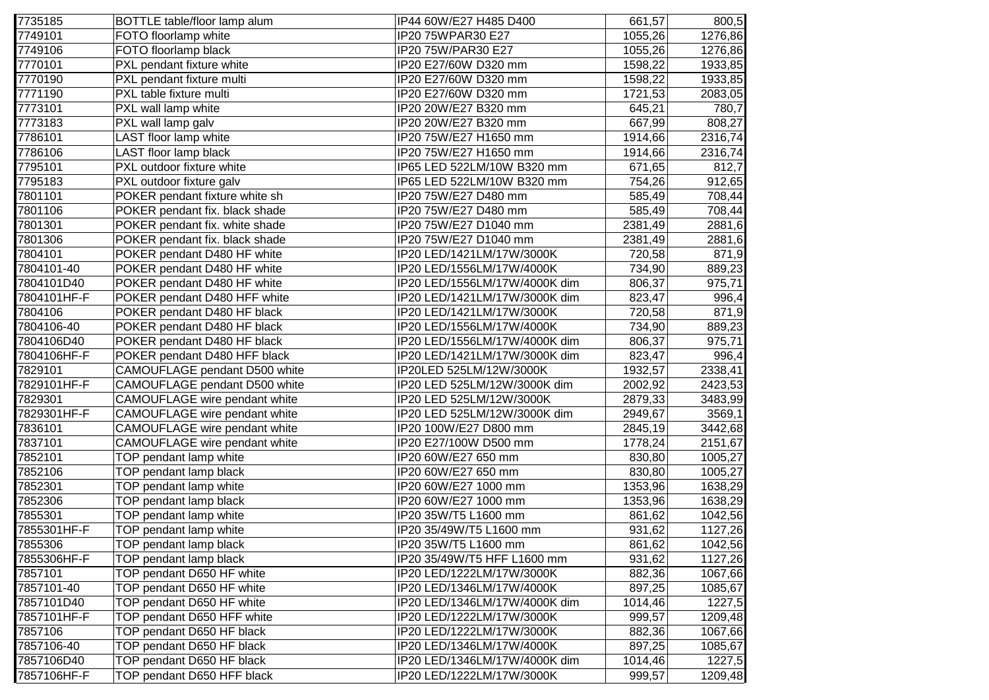| 7735185     | BOTTLE table/floor lamp alum   | IP44 60W/E27 H485 D400        | 661,57  | 800,5   |
|-------------|--------------------------------|-------------------------------|---------|---------|
| 7749101     | FOTO floorlamp white           | IP20 75WPAR30 E27             | 1055,26 | 1276,86 |
| 7749106     | FOTO floorlamp black           | IP20 75W/PAR30 E27            | 1055,26 | 1276,86 |
| 7770101     | PXL pendant fixture white      | IP20 E27/60W D320 mm          | 1598,22 | 1933,85 |
| 7770190     | PXL pendant fixture multi      | IP20 E27/60W D320 mm          | 1598,22 | 1933,85 |
| 7771190     | PXL table fixture multi        | IP20 E27/60W D320 mm          | 1721,53 | 2083,05 |
| 7773101     | PXL wall lamp white            | IP20 20W/E27 B320 mm          | 645,21  | 780,7   |
| 7773183     | PXL wall lamp galv             | IP20 20W/E27 B320 mm          | 667,99  | 808,27  |
| 7786101     | LAST floor lamp white          | IP20 75W/E27 H1650 mm         | 1914,66 | 2316,74 |
| 7786106     | LAST floor lamp black          | IP20 75W/E27 H1650 mm         | 1914,66 | 2316,74 |
| 7795101     | PXL outdoor fixture white      | IP65 LED 522LM/10W B320 mm    | 671,65  | 812,7   |
| 7795183     | PXL outdoor fixture galv       | IP65 LED 522LM/10W B320 mm    | 754,26  | 912,65  |
| 7801101     | POKER pendant fixture white sh | IP20 75W/E27 D480 mm          | 585,49  | 708,44  |
| 7801106     | POKER pendant fix. black shade | IP20 75W/E27 D480 mm          | 585,49  | 708,44  |
| 7801301     | POKER pendant fix. white shade | IP20 75W/E27 D1040 mm         | 2381,49 | 2881,6  |
| 7801306     | POKER pendant fix. black shade | IP20 75W/E27 D1040 mm         | 2381,49 | 2881,6  |
| 7804101     | POKER pendant D480 HF white    | IP20 LED/1421LM/17W/3000K     | 720,58  | 871,9   |
| 7804101-40  | POKER pendant D480 HF white    | IP20 LED/1556LM/17W/4000K     | 734,90  | 889,23  |
| 7804101D40  | POKER pendant D480 HF white    | IP20 LED/1556LM/17W/4000K dim | 806,37  | 975,71  |
| 7804101HF-F | POKER pendant D480 HFF white   | IP20 LED/1421LM/17W/3000K dim | 823,47  | 996,4   |
| 7804106     | POKER pendant D480 HF black    | IP20 LED/1421LM/17W/3000K     | 720,58  | 871,9   |
| 7804106-40  | POKER pendant D480 HF black    | IP20 LED/1556LM/17W/4000K     | 734,90  | 889,23  |
| 7804106D40  | POKER pendant D480 HF black    | IP20 LED/1556LM/17W/4000K dim | 806,37  | 975,71  |
| 7804106HF-F | POKER pendant D480 HFF black   | IP20 LED/1421LM/17W/3000K dim | 823,47  | 996,4   |
| 7829101     | CAMOUFLAGE pendant D500 white  | IP20LED 525LM/12W/3000K       | 1932,57 | 2338,41 |
| 7829101HF-F | CAMOUFLAGE pendant D500 white  | IP20 LED 525LM/12W/3000K dim  | 2002,92 | 2423,53 |
| 7829301     | CAMOUFLAGE wire pendant white  | IP20 LED 525LM/12W/3000K      | 2879,33 | 3483,99 |
| 7829301HF-F | CAMOUFLAGE wire pendant white  | IP20 LED 525LM/12W/3000K dim  | 2949,67 | 3569,1  |
| 7836101     | CAMOUFLAGE wire pendant white  | IP20 100W/E27 D800 mm         | 2845,19 | 3442,68 |
| 7837101     | CAMOUFLAGE wire pendant white  | IP20 E27/100W D500 mm         | 1778,24 | 2151,67 |
| 7852101     | TOP pendant lamp white         | IP20 60W/E27 650 mm           | 830,80  | 1005,27 |
| 7852106     | TOP pendant lamp black         | IP20 60W/E27 650 mm           | 830,80  | 1005,27 |
| 7852301     | TOP pendant lamp white         | IP20 60W/E27 1000 mm          | 1353,96 | 1638,29 |
| 7852306     | TOP pendant lamp black         | IP20 60W/E27 1000 mm          | 1353,96 | 1638,29 |
| 7855301     | TOP pendant lamp white         | IP20 35W/T5 L1600 mm          | 861,62  | 1042,56 |
| 7855301HF-F | TOP pendant lamp white         | IP20 35/49W/T5 L1600 mm       | 931,62  | 1127,26 |
| 7855306     | TOP pendant lamp black         | IP20 35W/T5 L1600 mm          | 861,62  | 1042,56 |
| 7855306HF-F | TOP pendant lamp black         | IP20 35/49W/T5 HFF L1600 mm   | 931,62  | 1127,26 |
| 7857101     | TOP pendant D650 HF white      | IP20 LED/1222LM/17W/3000K     | 882,36  | 1067,66 |
| 7857101-40  | TOP pendant D650 HF white      | IP20 LED/1346LM/17W/4000K     | 897,25  | 1085,67 |
| 7857101D40  | TOP pendant D650 HF white      | IP20 LED/1346LM/17W/4000K dim | 1014,46 | 1227,5  |
| 7857101HF-F | TOP pendant D650 HFF white     | IP20 LED/1222LM/17W/3000K     | 999,57  | 1209,48 |
| 7857106     | TOP pendant D650 HF black      | IP20 LED/1222LM/17W/3000K     | 882,36  | 1067,66 |
| 7857106-40  | TOP pendant D650 HF black      | IP20 LED/1346LM/17W/4000K     | 897,25  | 1085,67 |
| 7857106D40  | TOP pendant D650 HF black      | IP20 LED/1346LM/17W/4000K dim | 1014,46 | 1227,5  |
| 7857106HF-F | TOP pendant D650 HFF black     | IP20 LED/1222LM/17W/3000K     | 999,57  | 1209,48 |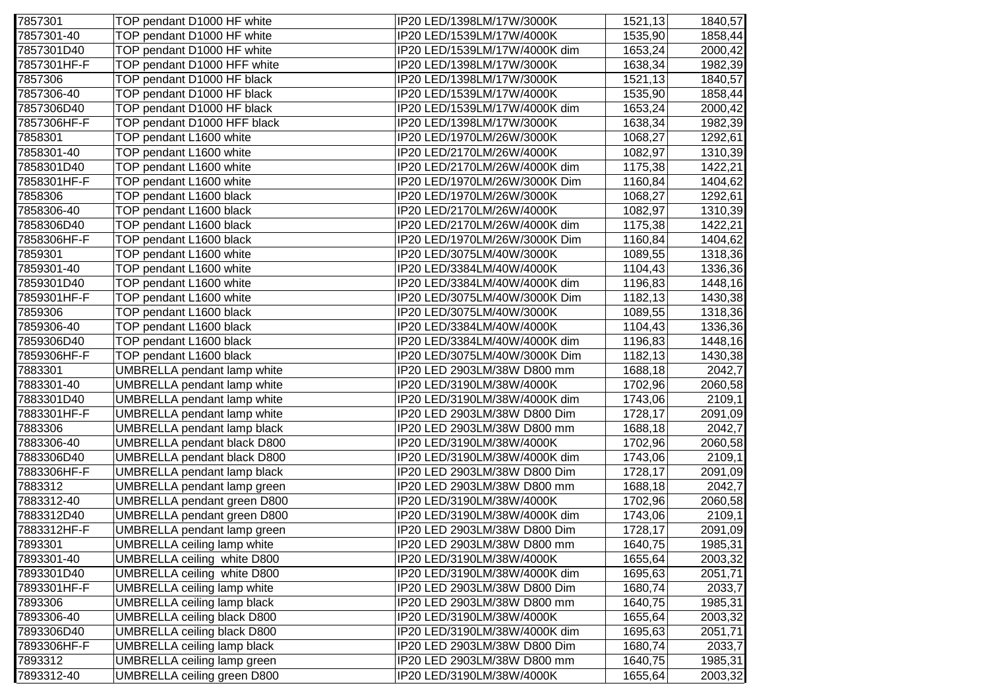| 7857301     | TOP pendant D1000 HF white         | IP20 LED/1398LM/17W/3000K     | 1521,13 | 1840,57 |
|-------------|------------------------------------|-------------------------------|---------|---------|
| 7857301-40  | TOP pendant D1000 HF white         | IP20 LED/1539LM/17W/4000K     | 1535,90 | 1858,44 |
| 7857301D40  | TOP pendant D1000 HF white         | IP20 LED/1539LM/17W/4000K dim | 1653,24 | 2000,42 |
| 7857301HF-F | TOP pendant D1000 HFF white        | IP20 LED/1398LM/17W/3000K     | 1638,34 | 1982,39 |
| 7857306     | TOP pendant D1000 HF black         | IP20 LED/1398LM/17W/3000K     | 1521,13 | 1840,57 |
| 7857306-40  | TOP pendant D1000 HF black         | IP20 LED/1539LM/17W/4000K     | 1535,90 | 1858,44 |
| 7857306D40  | TOP pendant D1000 HF black         | IP20 LED/1539LM/17W/4000K dim | 1653,24 | 2000,42 |
| 7857306HF-F | TOP pendant D1000 HFF black        | IP20 LED/1398LM/17W/3000K     | 1638,34 | 1982,39 |
| 7858301     | TOP pendant L1600 white            | IP20 LED/1970LM/26W/3000K     | 1068,27 | 1292,61 |
| 7858301-40  | TOP pendant L1600 white            | IP20 LED/2170LM/26W/4000K     | 1082,97 | 1310,39 |
| 7858301D40  | TOP pendant L1600 white            | IP20 LED/2170LM/26W/4000K dim | 1175,38 | 1422,21 |
| 7858301HF-F | TOP pendant L1600 white            | IP20 LED/1970LM/26W/3000K Dim | 1160,84 | 1404,62 |
| 7858306     | TOP pendant L1600 black            | IP20 LED/1970LM/26W/3000K     | 1068,27 | 1292,61 |
| 7858306-40  | TOP pendant L1600 black            | IP20 LED/2170LM/26W/4000K     | 1082,97 | 1310,39 |
| 7858306D40  | TOP pendant L1600 black            | IP20 LED/2170LM/26W/4000K dim | 1175,38 | 1422,21 |
| 7858306HF-F | TOP pendant L1600 black            | IP20 LED/1970LM/26W/3000K Dim | 1160,84 | 1404,62 |
| 7859301     | TOP pendant L1600 white            | IP20 LED/3075LM/40W/3000K     | 1089,55 | 1318,36 |
| 7859301-40  | TOP pendant L1600 white            | IP20 LED/3384LM/40W/4000K     | 1104,43 | 1336,36 |
| 7859301D40  | TOP pendant L1600 white            | IP20 LED/3384LM/40W/4000K dim | 1196,83 | 1448,16 |
| 7859301HF-F | TOP pendant L1600 white            | IP20 LED/3075LM/40W/3000K Dim | 1182,13 | 1430,38 |
| 7859306     | TOP pendant L1600 black            | IP20 LED/3075LM/40W/3000K     | 1089,55 | 1318,36 |
| 7859306-40  | TOP pendant L1600 black            | IP20 LED/3384LM/40W/4000K     | 1104,43 | 1336,36 |
| 7859306D40  | TOP pendant L1600 black            | IP20 LED/3384LM/40W/4000K dim | 1196,83 | 1448,16 |
| 7859306HF-F | TOP pendant L1600 black            | IP20 LED/3075LM/40W/3000K Dim | 1182,13 | 1430,38 |
| 7883301     | UMBRELLA pendant lamp white        | IP20 LED 2903LM/38W D800 mm   | 1688,18 | 2042,7  |
| 7883301-40  | UMBRELLA pendant lamp white        | IP20 LED/3190LM/38W/4000K     | 1702,96 | 2060,58 |
| 7883301D40  | UMBRELLA pendant lamp white        | IP20 LED/3190LM/38W/4000K dim | 1743,06 | 2109,1  |
| 7883301HF-F | UMBRELLA pendant lamp white        | IP20 LED 2903LM/38W D800 Dim  | 1728,17 | 2091,09 |
| 7883306     | <b>UMBRELLA pendant lamp black</b> | IP20 LED 2903LM/38W D800 mm   | 1688,18 | 2042,7  |
| 7883306-40  | <b>UMBRELLA pendant black D800</b> | IP20 LED/3190LM/38W/4000K     | 1702,96 | 2060,58 |
| 7883306D40  | UMBRELLA pendant black D800        | IP20 LED/3190LM/38W/4000K dim | 1743,06 | 2109,1  |
| 7883306HF-F | <b>UMBRELLA</b> pendant lamp black | IP20 LED 2903LM/38W D800 Dim  | 1728,17 | 2091,09 |
| 7883312     | UMBRELLA pendant lamp green        | IP20 LED 2903LM/38W D800 mm   | 1688,18 | 2042,7  |
| 7883312-40  | <b>UMBRELLA pendant green D800</b> | IP20 LED/3190LM/38W/4000K     | 1702,96 | 2060,58 |
| 7883312D40  | UMBRELLA pendant green D800        | IP20 LED/3190LM/38W/4000K dim | 1743,06 | 2109,1  |
| 7883312HF-F | UMBRELLA pendant lamp green        | IP20 LED 2903LM/38W D800 Dim  | 1728,17 | 2091,09 |
| 7893301     | UMBRELLA ceiling lamp white        | IP20 LED 2903LM/38W D800 mm   | 1640,75 | 1985,31 |
| 7893301-40  | UMBRELLA ceiling white D800        | IP20 LED/3190LM/38W/4000K     | 1655,64 | 2003,32 |
| 7893301D40  | UMBRELLA ceiling white D800        | IP20 LED/3190LM/38W/4000K dim | 1695,63 | 2051,71 |
| 7893301HF-F | UMBRELLA ceiling lamp white        | IP20 LED 2903LM/38W D800 Dim  | 1680,74 | 2033,7  |
| 7893306     | <b>UMBRELLA ceiling lamp black</b> | IP20 LED 2903LM/38W D800 mm   | 1640,75 | 1985,31 |
| 7893306-40  | <b>UMBRELLA ceiling black D800</b> | IP20 LED/3190LM/38W/4000K     | 1655,64 | 2003,32 |
| 7893306D40  | <b>UMBRELLA ceiling black D800</b> | IP20 LED/3190LM/38W/4000K dim | 1695,63 | 2051,71 |
| 7893306HF-F | <b>UMBRELLA ceiling lamp black</b> | IP20 LED 2903LM/38W D800 Dim  | 1680,74 | 2033,7  |
| 7893312     | <b>UMBRELLA ceiling lamp green</b> | IP20 LED 2903LM/38W D800 mm   | 1640,75 | 1985,31 |
| 7893312-40  | <b>UMBRELLA ceiling green D800</b> | IP20 LED/3190LM/38W/4000K     | 1655,64 | 2003,32 |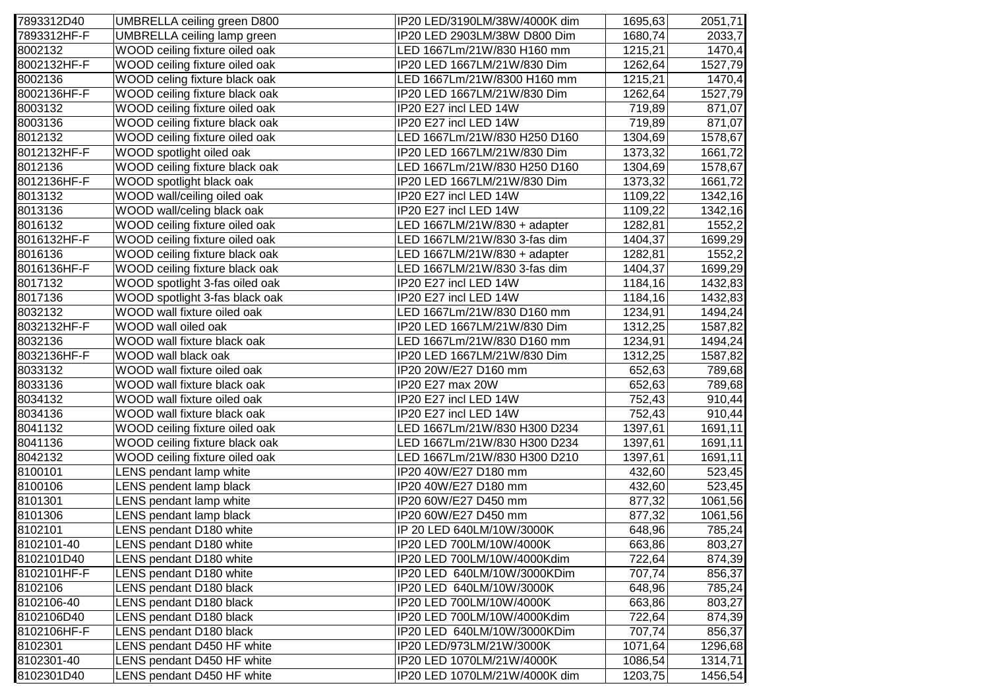| 7893312HF-F<br>IP20 LED 2903LM/38W D800 Dim<br>2033,7<br>UMBRELLA ceiling lamp green<br>1680,74<br>WOOD ceiling fixture oiled oak<br>LED 1667Lm/21W/830 H160 mm<br>1215,21<br>WOOD ceiling fixture oiled oak<br>IP20 LED 1667LM/21W/830 Dim<br>1262,64<br>WOOD celing fixture black oak<br>LED 1667Lm/21W/8300 H160 mm<br>1215,21<br>WOOD ceiling fixture black oak<br>IP20 LED 1667LM/21W/830 Dim<br>1262,64<br>WOOD ceiling fixture oiled oak<br>IP20 E27 incl LED 14W<br>719,89<br>WOOD ceiling fixture black oak<br>IP20 E27 incl LED 14W<br>719,89<br>WOOD ceiling fixture oiled oak<br>LED 1667Lm/21W/830 H250 D160<br>1304,69<br>IP20 LED 1667LM/21W/830 Dim<br>WOOD spotlight oiled oak<br>1373,32<br>LED 1667Lm/21W/830 H250 D160<br>WOOD ceiling fixture black oak<br>1304,69<br>IP20 LED 1667LM/21W/830 Dim<br>1373,32<br>WOOD spotlight black oak<br>WOOD wall/ceiling oiled oak<br>IP20 E27 incl LED 14W<br>1109,22<br>WOOD wall/celing black oak<br>IP20 E27 incl LED 14W<br>1109,22<br>WOOD ceiling fixture oiled oak<br>LED 1667LM/21W/830 + adapter<br>1282,81<br>LED 1667LM/21W/830 3-fas dim<br>WOOD ceiling fixture oiled oak<br>1404,37<br>WOOD ceiling fixture black oak<br>LED 1667LM/21W/830 + adapter<br>1282,81<br>WOOD ceiling fixture black oak<br>LED 1667LM/21W/830 3-fas dim<br>1404,37<br>WOOD spotlight 3-fas oiled oak<br>IP20 E27 incl LED 14W<br>1184,16<br>WOOD spotlight 3-fas black oak<br>IP20 E27 incl LED 14W<br>1184,16<br>WOOD wall fixture oiled oak<br>LED 1667Lm/21W/830 D160 mm<br>1234,91<br>WOOD wall oiled oak<br>IP20 LED 1667LM/21W/830 Dim<br>1312,25<br>WOOD wall fixture black oak<br>LED 1667Lm/21W/830 D160 mm<br>1234,91<br>WOOD wall black oak<br>IP20 LED 1667LM/21W/830 Dim<br>1312,25<br>WOOD wall fixture oiled oak<br>IP20 20W/E27 D160 mm<br>652,63<br>IP20 E27 max 20W<br>WOOD wall fixture black oak<br>652,63<br>WOOD wall fixture oiled oak<br>IP20 E27 incl LED 14W<br>752,43<br>WOOD wall fixture black oak<br>IP20 E27 incl LED 14W<br>752,43<br>WOOD ceiling fixture oiled oak<br>LED 1667Lm/21W/830 H300 D234<br>1397,61<br>WOOD ceiling fixture black oak<br>LED 1667Lm/21W/830 H300 D234<br>1397,61<br>WOOD ceiling fixture oiled oak<br>LED 1667Lm/21W/830 H300 D210<br>1397,61<br>IP20 40W/E27 D180 mm<br>LENS pendant lamp white<br>432,60<br>LENS pendent lamp black<br>IP20 40W/E27 D180 mm<br>432,60 |
|-----------------------------------------------------------------------------------------------------------------------------------------------------------------------------------------------------------------------------------------------------------------------------------------------------------------------------------------------------------------------------------------------------------------------------------------------------------------------------------------------------------------------------------------------------------------------------------------------------------------------------------------------------------------------------------------------------------------------------------------------------------------------------------------------------------------------------------------------------------------------------------------------------------------------------------------------------------------------------------------------------------------------------------------------------------------------------------------------------------------------------------------------------------------------------------------------------------------------------------------------------------------------------------------------------------------------------------------------------------------------------------------------------------------------------------------------------------------------------------------------------------------------------------------------------------------------------------------------------------------------------------------------------------------------------------------------------------------------------------------------------------------------------------------------------------------------------------------------------------------------------------------------------------------------------------------------------------------------------------------------------------------------------------------------------------------------------------------------------------------------------------------------------------------------------------------------------------------------------------------------------------------------------------------------------------------------------------------------------------------------------------------|
| 8002132<br>1470,4<br>8002132HF-F<br>8002136<br>8002136HF-F<br>8003132<br>8003136<br>8012132<br>8012132HF-F<br>8012136<br>8012136HF-F<br>8013132<br>8013136                                                                                                                                                                                                                                                                                                                                                                                                                                                                                                                                                                                                                                                                                                                                                                                                                                                                                                                                                                                                                                                                                                                                                                                                                                                                                                                                                                                                                                                                                                                                                                                                                                                                                                                                                                                                                                                                                                                                                                                                                                                                                                                                                                                                                              |
| 1527,79<br>1470,4<br>1527,79<br>871,07<br>871,07<br>1578,67<br>1661,72<br>1578,67<br>1661,72<br>1342,16<br>1342,16<br>1552,2<br>1699,29<br>1552,2<br>1699,29<br>1432,83<br>1432,83<br>1494,24<br>1587,82<br>1494,24<br>1587,82<br>789,68<br>789,68<br>910,44<br>910,44<br>1691,11<br>1691,11<br>1691,11<br>523,45<br>523,45                                                                                                                                                                                                                                                                                                                                                                                                                                                                                                                                                                                                                                                                                                                                                                                                                                                                                                                                                                                                                                                                                                                                                                                                                                                                                                                                                                                                                                                                                                                                                                                                                                                                                                                                                                                                                                                                                                                                                                                                                                                             |
|                                                                                                                                                                                                                                                                                                                                                                                                                                                                                                                                                                                                                                                                                                                                                                                                                                                                                                                                                                                                                                                                                                                                                                                                                                                                                                                                                                                                                                                                                                                                                                                                                                                                                                                                                                                                                                                                                                                                                                                                                                                                                                                                                                                                                                                                                                                                                                                         |
|                                                                                                                                                                                                                                                                                                                                                                                                                                                                                                                                                                                                                                                                                                                                                                                                                                                                                                                                                                                                                                                                                                                                                                                                                                                                                                                                                                                                                                                                                                                                                                                                                                                                                                                                                                                                                                                                                                                                                                                                                                                                                                                                                                                                                                                                                                                                                                                         |
|                                                                                                                                                                                                                                                                                                                                                                                                                                                                                                                                                                                                                                                                                                                                                                                                                                                                                                                                                                                                                                                                                                                                                                                                                                                                                                                                                                                                                                                                                                                                                                                                                                                                                                                                                                                                                                                                                                                                                                                                                                                                                                                                                                                                                                                                                                                                                                                         |
|                                                                                                                                                                                                                                                                                                                                                                                                                                                                                                                                                                                                                                                                                                                                                                                                                                                                                                                                                                                                                                                                                                                                                                                                                                                                                                                                                                                                                                                                                                                                                                                                                                                                                                                                                                                                                                                                                                                                                                                                                                                                                                                                                                                                                                                                                                                                                                                         |
|                                                                                                                                                                                                                                                                                                                                                                                                                                                                                                                                                                                                                                                                                                                                                                                                                                                                                                                                                                                                                                                                                                                                                                                                                                                                                                                                                                                                                                                                                                                                                                                                                                                                                                                                                                                                                                                                                                                                                                                                                                                                                                                                                                                                                                                                                                                                                                                         |
|                                                                                                                                                                                                                                                                                                                                                                                                                                                                                                                                                                                                                                                                                                                                                                                                                                                                                                                                                                                                                                                                                                                                                                                                                                                                                                                                                                                                                                                                                                                                                                                                                                                                                                                                                                                                                                                                                                                                                                                                                                                                                                                                                                                                                                                                                                                                                                                         |
|                                                                                                                                                                                                                                                                                                                                                                                                                                                                                                                                                                                                                                                                                                                                                                                                                                                                                                                                                                                                                                                                                                                                                                                                                                                                                                                                                                                                                                                                                                                                                                                                                                                                                                                                                                                                                                                                                                                                                                                                                                                                                                                                                                                                                                                                                                                                                                                         |
|                                                                                                                                                                                                                                                                                                                                                                                                                                                                                                                                                                                                                                                                                                                                                                                                                                                                                                                                                                                                                                                                                                                                                                                                                                                                                                                                                                                                                                                                                                                                                                                                                                                                                                                                                                                                                                                                                                                                                                                                                                                                                                                                                                                                                                                                                                                                                                                         |
|                                                                                                                                                                                                                                                                                                                                                                                                                                                                                                                                                                                                                                                                                                                                                                                                                                                                                                                                                                                                                                                                                                                                                                                                                                                                                                                                                                                                                                                                                                                                                                                                                                                                                                                                                                                                                                                                                                                                                                                                                                                                                                                                                                                                                                                                                                                                                                                         |
|                                                                                                                                                                                                                                                                                                                                                                                                                                                                                                                                                                                                                                                                                                                                                                                                                                                                                                                                                                                                                                                                                                                                                                                                                                                                                                                                                                                                                                                                                                                                                                                                                                                                                                                                                                                                                                                                                                                                                                                                                                                                                                                                                                                                                                                                                                                                                                                         |
| 8016132<br>8016132HF-F<br>8016136<br>8016136HF-F<br>8017132                                                                                                                                                                                                                                                                                                                                                                                                                                                                                                                                                                                                                                                                                                                                                                                                                                                                                                                                                                                                                                                                                                                                                                                                                                                                                                                                                                                                                                                                                                                                                                                                                                                                                                                                                                                                                                                                                                                                                                                                                                                                                                                                                                                                                                                                                                                             |
|                                                                                                                                                                                                                                                                                                                                                                                                                                                                                                                                                                                                                                                                                                                                                                                                                                                                                                                                                                                                                                                                                                                                                                                                                                                                                                                                                                                                                                                                                                                                                                                                                                                                                                                                                                                                                                                                                                                                                                                                                                                                                                                                                                                                                                                                                                                                                                                         |
|                                                                                                                                                                                                                                                                                                                                                                                                                                                                                                                                                                                                                                                                                                                                                                                                                                                                                                                                                                                                                                                                                                                                                                                                                                                                                                                                                                                                                                                                                                                                                                                                                                                                                                                                                                                                                                                                                                                                                                                                                                                                                                                                                                                                                                                                                                                                                                                         |
|                                                                                                                                                                                                                                                                                                                                                                                                                                                                                                                                                                                                                                                                                                                                                                                                                                                                                                                                                                                                                                                                                                                                                                                                                                                                                                                                                                                                                                                                                                                                                                                                                                                                                                                                                                                                                                                                                                                                                                                                                                                                                                                                                                                                                                                                                                                                                                                         |
|                                                                                                                                                                                                                                                                                                                                                                                                                                                                                                                                                                                                                                                                                                                                                                                                                                                                                                                                                                                                                                                                                                                                                                                                                                                                                                                                                                                                                                                                                                                                                                                                                                                                                                                                                                                                                                                                                                                                                                                                                                                                                                                                                                                                                                                                                                                                                                                         |
| 8017136<br>8032132<br>8032132HF-F<br>8032136<br>8032136HF-F<br>8033132<br>8033136<br>8034132<br>8034136<br>8041132<br>8041136<br>8042132<br>8100101<br>8100106                                                                                                                                                                                                                                                                                                                                                                                                                                                                                                                                                                                                                                                                                                                                                                                                                                                                                                                                                                                                                                                                                                                                                                                                                                                                                                                                                                                                                                                                                                                                                                                                                                                                                                                                                                                                                                                                                                                                                                                                                                                                                                                                                                                                                          |
|                                                                                                                                                                                                                                                                                                                                                                                                                                                                                                                                                                                                                                                                                                                                                                                                                                                                                                                                                                                                                                                                                                                                                                                                                                                                                                                                                                                                                                                                                                                                                                                                                                                                                                                                                                                                                                                                                                                                                                                                                                                                                                                                                                                                                                                                                                                                                                                         |
|                                                                                                                                                                                                                                                                                                                                                                                                                                                                                                                                                                                                                                                                                                                                                                                                                                                                                                                                                                                                                                                                                                                                                                                                                                                                                                                                                                                                                                                                                                                                                                                                                                                                                                                                                                                                                                                                                                                                                                                                                                                                                                                                                                                                                                                                                                                                                                                         |
|                                                                                                                                                                                                                                                                                                                                                                                                                                                                                                                                                                                                                                                                                                                                                                                                                                                                                                                                                                                                                                                                                                                                                                                                                                                                                                                                                                                                                                                                                                                                                                                                                                                                                                                                                                                                                                                                                                                                                                                                                                                                                                                                                                                                                                                                                                                                                                                         |
|                                                                                                                                                                                                                                                                                                                                                                                                                                                                                                                                                                                                                                                                                                                                                                                                                                                                                                                                                                                                                                                                                                                                                                                                                                                                                                                                                                                                                                                                                                                                                                                                                                                                                                                                                                                                                                                                                                                                                                                                                                                                                                                                                                                                                                                                                                                                                                                         |
|                                                                                                                                                                                                                                                                                                                                                                                                                                                                                                                                                                                                                                                                                                                                                                                                                                                                                                                                                                                                                                                                                                                                                                                                                                                                                                                                                                                                                                                                                                                                                                                                                                                                                                                                                                                                                                                                                                                                                                                                                                                                                                                                                                                                                                                                                                                                                                                         |
|                                                                                                                                                                                                                                                                                                                                                                                                                                                                                                                                                                                                                                                                                                                                                                                                                                                                                                                                                                                                                                                                                                                                                                                                                                                                                                                                                                                                                                                                                                                                                                                                                                                                                                                                                                                                                                                                                                                                                                                                                                                                                                                                                                                                                                                                                                                                                                                         |
|                                                                                                                                                                                                                                                                                                                                                                                                                                                                                                                                                                                                                                                                                                                                                                                                                                                                                                                                                                                                                                                                                                                                                                                                                                                                                                                                                                                                                                                                                                                                                                                                                                                                                                                                                                                                                                                                                                                                                                                                                                                                                                                                                                                                                                                                                                                                                                                         |
|                                                                                                                                                                                                                                                                                                                                                                                                                                                                                                                                                                                                                                                                                                                                                                                                                                                                                                                                                                                                                                                                                                                                                                                                                                                                                                                                                                                                                                                                                                                                                                                                                                                                                                                                                                                                                                                                                                                                                                                                                                                                                                                                                                                                                                                                                                                                                                                         |
|                                                                                                                                                                                                                                                                                                                                                                                                                                                                                                                                                                                                                                                                                                                                                                                                                                                                                                                                                                                                                                                                                                                                                                                                                                                                                                                                                                                                                                                                                                                                                                                                                                                                                                                                                                                                                                                                                                                                                                                                                                                                                                                                                                                                                                                                                                                                                                                         |
|                                                                                                                                                                                                                                                                                                                                                                                                                                                                                                                                                                                                                                                                                                                                                                                                                                                                                                                                                                                                                                                                                                                                                                                                                                                                                                                                                                                                                                                                                                                                                                                                                                                                                                                                                                                                                                                                                                                                                                                                                                                                                                                                                                                                                                                                                                                                                                                         |
|                                                                                                                                                                                                                                                                                                                                                                                                                                                                                                                                                                                                                                                                                                                                                                                                                                                                                                                                                                                                                                                                                                                                                                                                                                                                                                                                                                                                                                                                                                                                                                                                                                                                                                                                                                                                                                                                                                                                                                                                                                                                                                                                                                                                                                                                                                                                                                                         |
|                                                                                                                                                                                                                                                                                                                                                                                                                                                                                                                                                                                                                                                                                                                                                                                                                                                                                                                                                                                                                                                                                                                                                                                                                                                                                                                                                                                                                                                                                                                                                                                                                                                                                                                                                                                                                                                                                                                                                                                                                                                                                                                                                                                                                                                                                                                                                                                         |
|                                                                                                                                                                                                                                                                                                                                                                                                                                                                                                                                                                                                                                                                                                                                                                                                                                                                                                                                                                                                                                                                                                                                                                                                                                                                                                                                                                                                                                                                                                                                                                                                                                                                                                                                                                                                                                                                                                                                                                                                                                                                                                                                                                                                                                                                                                                                                                                         |
|                                                                                                                                                                                                                                                                                                                                                                                                                                                                                                                                                                                                                                                                                                                                                                                                                                                                                                                                                                                                                                                                                                                                                                                                                                                                                                                                                                                                                                                                                                                                                                                                                                                                                                                                                                                                                                                                                                                                                                                                                                                                                                                                                                                                                                                                                                                                                                                         |
| 8101301<br>LENS pendant lamp white<br>IP20 60W/E27 D450 mm<br>877,32<br>1061,56                                                                                                                                                                                                                                                                                                                                                                                                                                                                                                                                                                                                                                                                                                                                                                                                                                                                                                                                                                                                                                                                                                                                                                                                                                                                                                                                                                                                                                                                                                                                                                                                                                                                                                                                                                                                                                                                                                                                                                                                                                                                                                                                                                                                                                                                                                         |
| IP20 60W/E27 D450 mm<br>8101306<br>LENS pendant lamp black<br>877,32<br>1061,56                                                                                                                                                                                                                                                                                                                                                                                                                                                                                                                                                                                                                                                                                                                                                                                                                                                                                                                                                                                                                                                                                                                                                                                                                                                                                                                                                                                                                                                                                                                                                                                                                                                                                                                                                                                                                                                                                                                                                                                                                                                                                                                                                                                                                                                                                                         |
| 8102101<br>LENS pendant D180 white<br>IP 20 LED 640LM/10W/3000K<br>648,96<br>785,24                                                                                                                                                                                                                                                                                                                                                                                                                                                                                                                                                                                                                                                                                                                                                                                                                                                                                                                                                                                                                                                                                                                                                                                                                                                                                                                                                                                                                                                                                                                                                                                                                                                                                                                                                                                                                                                                                                                                                                                                                                                                                                                                                                                                                                                                                                     |
| 8102101-40<br>LENS pendant D180 white<br>IP20 LED 700LM/10W/4000K<br>663,86<br>803,27                                                                                                                                                                                                                                                                                                                                                                                                                                                                                                                                                                                                                                                                                                                                                                                                                                                                                                                                                                                                                                                                                                                                                                                                                                                                                                                                                                                                                                                                                                                                                                                                                                                                                                                                                                                                                                                                                                                                                                                                                                                                                                                                                                                                                                                                                                   |
| 8102101D40<br>LENS pendant D180 white<br>IP20 LED 700LM/10W/4000Kdim<br>722,64<br>874,39                                                                                                                                                                                                                                                                                                                                                                                                                                                                                                                                                                                                                                                                                                                                                                                                                                                                                                                                                                                                                                                                                                                                                                                                                                                                                                                                                                                                                                                                                                                                                                                                                                                                                                                                                                                                                                                                                                                                                                                                                                                                                                                                                                                                                                                                                                |
| 8102101HF-F<br>LENS pendant D180 white<br>IP20 LED 640LM/10W/3000KDim<br>707,74<br>856,37                                                                                                                                                                                                                                                                                                                                                                                                                                                                                                                                                                                                                                                                                                                                                                                                                                                                                                                                                                                                                                                                                                                                                                                                                                                                                                                                                                                                                                                                                                                                                                                                                                                                                                                                                                                                                                                                                                                                                                                                                                                                                                                                                                                                                                                                                               |
| 8102106<br>LENS pendant D180 black<br>IP20 LED 640LM/10W/3000K<br>785,24<br>648,96                                                                                                                                                                                                                                                                                                                                                                                                                                                                                                                                                                                                                                                                                                                                                                                                                                                                                                                                                                                                                                                                                                                                                                                                                                                                                                                                                                                                                                                                                                                                                                                                                                                                                                                                                                                                                                                                                                                                                                                                                                                                                                                                                                                                                                                                                                      |
| 8102106-40<br>LENS pendant D180 black<br>IP20 LED 700LM/10W/4000K<br>803,27<br>663,86                                                                                                                                                                                                                                                                                                                                                                                                                                                                                                                                                                                                                                                                                                                                                                                                                                                                                                                                                                                                                                                                                                                                                                                                                                                                                                                                                                                                                                                                                                                                                                                                                                                                                                                                                                                                                                                                                                                                                                                                                                                                                                                                                                                                                                                                                                   |
| 8102106D40<br>LENS pendant D180 black<br>IP20 LED 700LM/10W/4000Kdim<br>874,39<br>722,64                                                                                                                                                                                                                                                                                                                                                                                                                                                                                                                                                                                                                                                                                                                                                                                                                                                                                                                                                                                                                                                                                                                                                                                                                                                                                                                                                                                                                                                                                                                                                                                                                                                                                                                                                                                                                                                                                                                                                                                                                                                                                                                                                                                                                                                                                                |
| 8102106HF-F<br>LENS pendant D180 black<br>IP20 LED 640LM/10W/3000KDim<br>856,37<br>707,74                                                                                                                                                                                                                                                                                                                                                                                                                                                                                                                                                                                                                                                                                                                                                                                                                                                                                                                                                                                                                                                                                                                                                                                                                                                                                                                                                                                                                                                                                                                                                                                                                                                                                                                                                                                                                                                                                                                                                                                                                                                                                                                                                                                                                                                                                               |
| 8102301<br>LENS pendant D450 HF white<br>IP20 LED/973LM/21W/3000K<br>1071,64<br>1296,68                                                                                                                                                                                                                                                                                                                                                                                                                                                                                                                                                                                                                                                                                                                                                                                                                                                                                                                                                                                                                                                                                                                                                                                                                                                                                                                                                                                                                                                                                                                                                                                                                                                                                                                                                                                                                                                                                                                                                                                                                                                                                                                                                                                                                                                                                                 |
| 8102301-40<br>LENS pendant D450 HF white<br>IP20 LED 1070LM/21W/4000K<br>1314,71<br>1086,54                                                                                                                                                                                                                                                                                                                                                                                                                                                                                                                                                                                                                                                                                                                                                                                                                                                                                                                                                                                                                                                                                                                                                                                                                                                                                                                                                                                                                                                                                                                                                                                                                                                                                                                                                                                                                                                                                                                                                                                                                                                                                                                                                                                                                                                                                             |
| 8102301D40<br>LENS pendant D450 HF white<br>IP20 LED 1070LM/21W/4000K dim<br>1203,75<br>1456,54                                                                                                                                                                                                                                                                                                                                                                                                                                                                                                                                                                                                                                                                                                                                                                                                                                                                                                                                                                                                                                                                                                                                                                                                                                                                                                                                                                                                                                                                                                                                                                                                                                                                                                                                                                                                                                                                                                                                                                                                                                                                                                                                                                                                                                                                                         |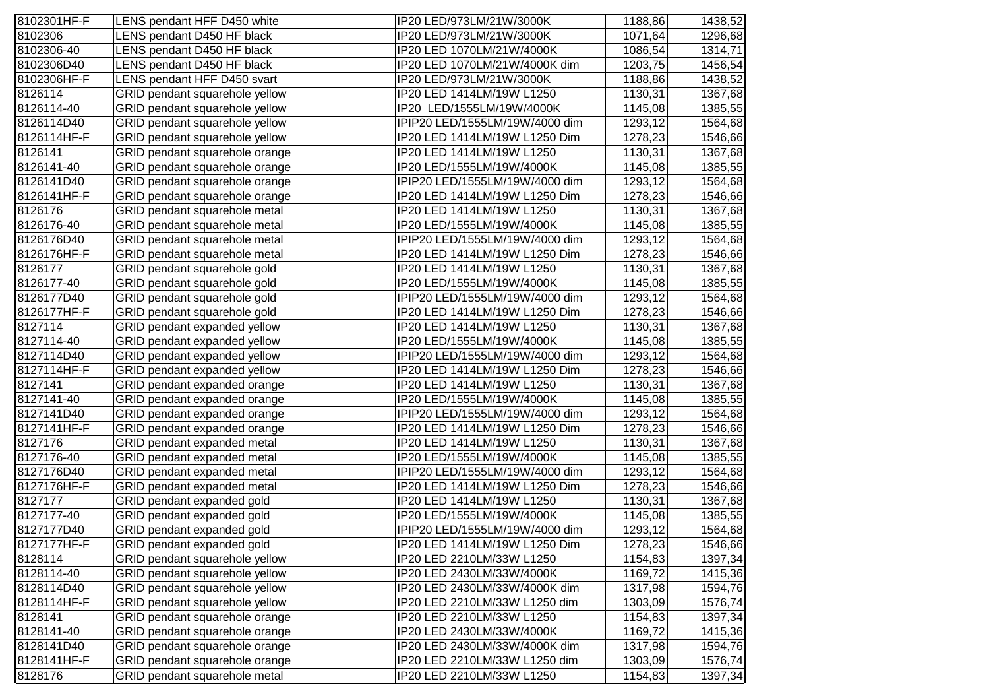| 8102301HF-F | LENS pendant HFF D450 white    | IP20 LED/973LM/21W/3000K       | 1188,86 | 1438,52 |
|-------------|--------------------------------|--------------------------------|---------|---------|
| 8102306     | LENS pendant D450 HF black     | IP20 LED/973LM/21W/3000K       | 1071,64 | 1296,68 |
| 8102306-40  | LENS pendant D450 HF black     | IP20 LED 1070LM/21W/4000K      | 1086,54 | 1314,71 |
| 8102306D40  | LENS pendant D450 HF black     | IP20 LED 1070LM/21W/4000K dim  | 1203,75 | 1456,54 |
| 8102306HF-F | LENS pendant HFF D450 svart    | IP20 LED/973LM/21W/3000K       | 1188,86 | 1438,52 |
| 8126114     | GRID pendant squarehole yellow | IP20 LED 1414LM/19W L1250      | 1130,31 | 1367,68 |
| 8126114-40  | GRID pendant squarehole yellow | IP20 LED/1555LM/19W/4000K      | 1145,08 | 1385,55 |
| 8126114D40  | GRID pendant squarehole yellow | IPIP20 LED/1555LM/19W/4000 dim | 1293,12 | 1564,68 |
| 8126114HF-F | GRID pendant squarehole yellow | IP20 LED 1414LM/19W L1250 Dim  | 1278,23 | 1546,66 |
| 8126141     | GRID pendant squarehole orange | IP20 LED 1414LM/19W L1250      | 1130,31 | 1367,68 |
| 8126141-40  | GRID pendant squarehole orange | IP20 LED/1555LM/19W/4000K      | 1145,08 | 1385,55 |
| 8126141D40  | GRID pendant squarehole orange | IPIP20 LED/1555LM/19W/4000 dim | 1293,12 | 1564,68 |
| 8126141HF-F | GRID pendant squarehole orange | IP20 LED 1414LM/19W L1250 Dim  | 1278,23 | 1546,66 |
| 8126176     | GRID pendant squarehole metal  | IP20 LED 1414LM/19W L1250      | 1130,31 | 1367,68 |
| 8126176-40  | GRID pendant squarehole metal  | IP20 LED/1555LM/19W/4000K      | 1145,08 | 1385,55 |
| 8126176D40  | GRID pendant squarehole metal  | IPIP20 LED/1555LM/19W/4000 dim | 1293,12 | 1564,68 |
| 8126176HF-F | GRID pendant squarehole metal  | IP20 LED 1414LM/19W L1250 Dim  | 1278,23 | 1546,66 |
| 8126177     | GRID pendant squarehole gold   | IP20 LED 1414LM/19W L1250      | 1130,31 | 1367,68 |
| 8126177-40  | GRID pendant squarehole gold   | IP20 LED/1555LM/19W/4000K      | 1145,08 | 1385,55 |
| 8126177D40  | GRID pendant squarehole gold   | IPIP20 LED/1555LM/19W/4000 dim | 1293,12 | 1564,68 |
| 8126177HF-F | GRID pendant squarehole gold   | IP20 LED 1414LM/19W L1250 Dim  | 1278,23 | 1546,66 |
| 8127114     | GRID pendant expanded yellow   | IP20 LED 1414LM/19W L1250      | 1130,31 | 1367,68 |
| 8127114-40  | GRID pendant expanded yellow   | IP20 LED/1555LM/19W/4000K      | 1145,08 | 1385,55 |
| 8127114D40  | GRID pendant expanded yellow   | IPIP20 LED/1555LM/19W/4000 dim | 1293,12 | 1564,68 |
| 8127114HF-F | GRID pendant expanded yellow   | IP20 LED 1414LM/19W L1250 Dim  | 1278,23 | 1546,66 |
| 8127141     | GRID pendant expanded orange   | IP20 LED 1414LM/19W L1250      | 1130,31 | 1367,68 |
| 8127141-40  | GRID pendant expanded orange   | IP20 LED/1555LM/19W/4000K      | 1145,08 | 1385,55 |
| 8127141D40  | GRID pendant expanded orange   | IPIP20 LED/1555LM/19W/4000 dim | 1293,12 | 1564,68 |
| 8127141HF-F | GRID pendant expanded orange   | IP20 LED 1414LM/19W L1250 Dim  | 1278,23 | 1546,66 |
| 8127176     | GRID pendant expanded metal    | IP20 LED 1414LM/19W L1250      | 1130,31 | 1367,68 |
| 8127176-40  | GRID pendant expanded metal    | IP20 LED/1555LM/19W/4000K      | 1145,08 | 1385,55 |
| 8127176D40  | GRID pendant expanded metal    | IPIP20 LED/1555LM/19W/4000 dim | 1293,12 | 1564,68 |
| 8127176HF-F | GRID pendant expanded metal    | IP20 LED 1414LM/19W L1250 Dim  | 1278,23 | 1546,66 |
| 8127177     | GRID pendant expanded gold     | IP20 LED 1414LM/19W L1250      | 1130,31 | 1367,68 |
| 8127177-40  | GRID pendant expanded gold     | IP20 LED/1555LM/19W/4000K      | 1145,08 | 1385,55 |
| 8127177D40  | GRID pendant expanded gold     | IPIP20 LED/1555LM/19W/4000 dim | 1293,12 | 1564,68 |
| 8127177HF-F | GRID pendant expanded gold     | IP20 LED 1414LM/19W L1250 Dim  | 1278,23 | 1546,66 |
| 8128114     | GRID pendant squarehole yellow | IP20 LED 2210LM/33W L1250      | 1154,83 | 1397,34 |
| 8128114-40  | GRID pendant squarehole yellow | IP20 LED 2430LM/33W/4000K      | 1169,72 | 1415,36 |
| 8128114D40  | GRID pendant squarehole yellow | IP20 LED 2430LM/33W/4000K dim  | 1317,98 | 1594,76 |
| 8128114HF-F | GRID pendant squarehole yellow | IP20 LED 2210LM/33W L1250 dim  | 1303,09 | 1576,74 |
| 8128141     | GRID pendant squarehole orange | IP20 LED 2210LM/33W L1250      | 1154,83 | 1397,34 |
| 8128141-40  | GRID pendant squarehole orange | IP20 LED 2430LM/33W/4000K      | 1169,72 | 1415,36 |
| 8128141D40  | GRID pendant squarehole orange | IP20 LED 2430LM/33W/4000K dim  | 1317,98 | 1594,76 |
| 8128141HF-F | GRID pendant squarehole orange | IP20 LED 2210LM/33W L1250 dim  | 1303,09 | 1576,74 |
| 8128176     | GRID pendant squarehole metal  | IP20 LED 2210LM/33W L1250      | 1154,83 | 1397,34 |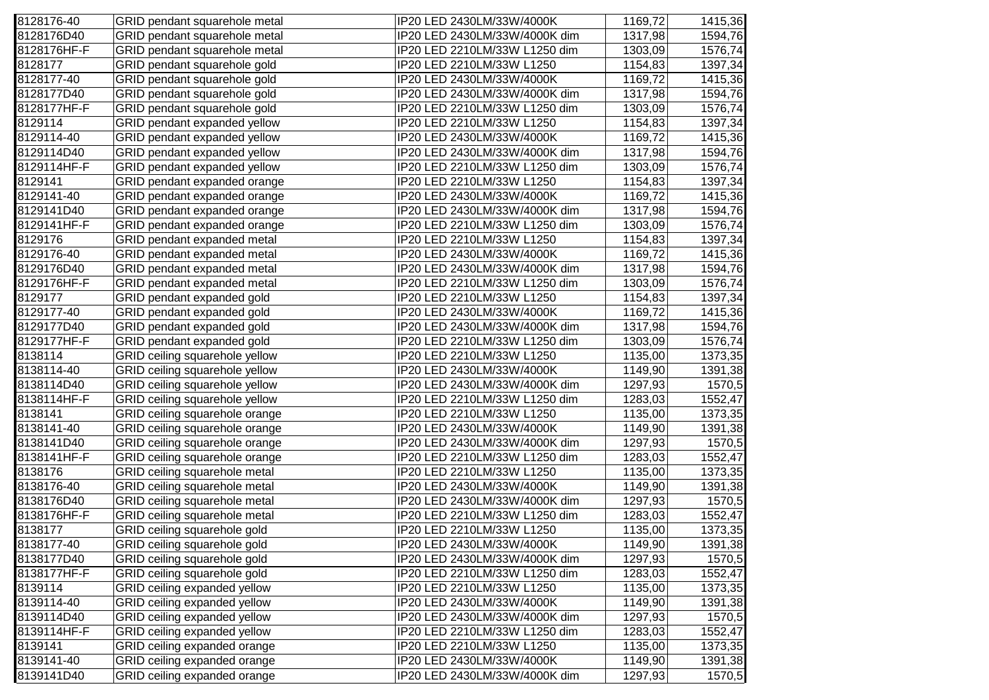| 8128176-40  | GRID pendant squarehole metal       | IP20 LED 2430LM/33W/4000K     | 1169,72 | 1415,36 |
|-------------|-------------------------------------|-------------------------------|---------|---------|
| 8128176D40  | GRID pendant squarehole metal       | IP20 LED 2430LM/33W/4000K dim | 1317,98 | 1594,76 |
| 8128176HF-F | GRID pendant squarehole metal       | IP20 LED 2210LM/33W L1250 dim | 1303,09 | 1576,74 |
| 8128177     | GRID pendant squarehole gold        | IP20 LED 2210LM/33W L1250     | 1154,83 | 1397,34 |
| 8128177-40  | GRID pendant squarehole gold        | IP20 LED 2430LM/33W/4000K     | 1169,72 | 1415,36 |
| 8128177D40  | GRID pendant squarehole gold        | IP20 LED 2430LM/33W/4000K dim | 1317,98 | 1594,76 |
| 8128177HF-F | GRID pendant squarehole gold        | IP20 LED 2210LM/33W L1250 dim | 1303,09 | 1576,74 |
| 8129114     | GRID pendant expanded yellow        | IP20 LED 2210LM/33W L1250     | 1154,83 | 1397,34 |
| 8129114-40  | GRID pendant expanded yellow        | IP20 LED 2430LM/33W/4000K     | 1169,72 | 1415,36 |
| 8129114D40  | GRID pendant expanded yellow        | IP20 LED 2430LM/33W/4000K dim | 1317,98 | 1594,76 |
| 8129114HF-F | GRID pendant expanded yellow        | IP20 LED 2210LM/33W L1250 dim | 1303,09 | 1576,74 |
| 8129141     | GRID pendant expanded orange        | IP20 LED 2210LM/33W L1250     | 1154,83 | 1397,34 |
| 8129141-40  | GRID pendant expanded orange        | IP20 LED 2430LM/33W/4000K     | 1169,72 | 1415,36 |
| 8129141D40  | GRID pendant expanded orange        | IP20 LED 2430LM/33W/4000K dim | 1317,98 | 1594,76 |
| 8129141HF-F | GRID pendant expanded orange        | IP20 LED 2210LM/33W L1250 dim | 1303,09 | 1576,74 |
| 8129176     | GRID pendant expanded metal         | IP20 LED 2210LM/33W L1250     | 1154,83 | 1397,34 |
| 8129176-40  | GRID pendant expanded metal         | IP20 LED 2430LM/33W/4000K     | 1169,72 | 1415,36 |
| 8129176D40  | GRID pendant expanded metal         | IP20 LED 2430LM/33W/4000K dim | 1317,98 | 1594,76 |
| 8129176HF-F | GRID pendant expanded metal         | IP20 LED 2210LM/33W L1250 dim | 1303,09 | 1576,74 |
| 8129177     | GRID pendant expanded gold          | IP20 LED 2210LM/33W L1250     | 1154,83 | 1397,34 |
| 8129177-40  | GRID pendant expanded gold          | IP20 LED 2430LM/33W/4000K     | 1169,72 | 1415,36 |
| 8129177D40  | GRID pendant expanded gold          | IP20 LED 2430LM/33W/4000K dim | 1317,98 | 1594,76 |
| 8129177HF-F | GRID pendant expanded gold          | IP20 LED 2210LM/33W L1250 dim | 1303,09 | 1576,74 |
| 8138114     | GRID ceiling squarehole yellow      | IP20 LED 2210LM/33W L1250     | 1135,00 | 1373,35 |
| 8138114-40  | GRID ceiling squarehole yellow      | IP20 LED 2430LM/33W/4000K     | 1149,90 | 1391,38 |
| 8138114D40  | GRID ceiling squarehole yellow      | IP20 LED 2430LM/33W/4000K dim | 1297,93 | 1570,5  |
| 8138114HF-F | GRID ceiling squarehole yellow      | IP20 LED 2210LM/33W L1250 dim | 1283,03 | 1552,47 |
| 8138141     | GRID ceiling squarehole orange      | IP20 LED 2210LM/33W L1250     | 1135,00 | 1373,35 |
| 8138141-40  | GRID ceiling squarehole orange      | IP20 LED 2430LM/33W/4000K     | 1149,90 | 1391,38 |
| 8138141D40  | GRID ceiling squarehole orange      | IP20 LED 2430LM/33W/4000K dim | 1297,93 | 1570,5  |
| 8138141HF-F | GRID ceiling squarehole orange      | IP20 LED 2210LM/33W L1250 dim | 1283,03 | 1552,47 |
| 8138176     | GRID ceiling squarehole metal       | IP20 LED 2210LM/33W L1250     | 1135,00 | 1373,35 |
| 8138176-40  | GRID ceiling squarehole metal       | IP20 LED 2430LM/33W/4000K     | 1149,90 | 1391,38 |
| 8138176D40  | GRID ceiling squarehole metal       | IP20 LED 2430LM/33W/4000K dim | 1297,93 | 1570,5  |
| 8138176HF-F | GRID ceiling squarehole metal       | IP20 LED 2210LM/33W L1250 dim | 1283,03 | 1552,47 |
| 8138177     | GRID ceiling squarehole gold        | IP20 LED 2210LM/33W L1250     | 1135,00 | 1373,35 |
| 8138177-40  | GRID ceiling squarehole gold        | IP20 LED 2430LM/33W/4000K     | 1149,90 | 1391,38 |
| 8138177D40  | GRID ceiling squarehole gold        | IP20 LED 2430LM/33W/4000K dim | 1297,93 | 1570,5  |
| 8138177HF-F | GRID ceiling squarehole gold        | IP20 LED 2210LM/33W L1250 dim | 1283,03 | 1552,47 |
| 8139114     | GRID ceiling expanded yellow        | IP20 LED 2210LM/33W L1250     | 1135,00 | 1373,35 |
| 8139114-40  | GRID ceiling expanded yellow        | IP20 LED 2430LM/33W/4000K     | 1149,90 | 1391,38 |
| 8139114D40  | GRID ceiling expanded yellow        | IP20 LED 2430LM/33W/4000K dim | 1297,93 | 1570,5  |
| 8139114HF-F | <b>GRID</b> ceiling expanded yellow | IP20 LED 2210LM/33W L1250 dim | 1283,03 | 1552,47 |
| 8139141     | GRID ceiling expanded orange        | IP20 LED 2210LM/33W L1250     | 1135,00 | 1373,35 |
| 8139141-40  | GRID ceiling expanded orange        | IP20 LED 2430LM/33W/4000K     | 1149,90 | 1391,38 |
| 8139141D40  | GRID ceiling expanded orange        | IP20 LED 2430LM/33W/4000K dim | 1297,93 | 1570,5  |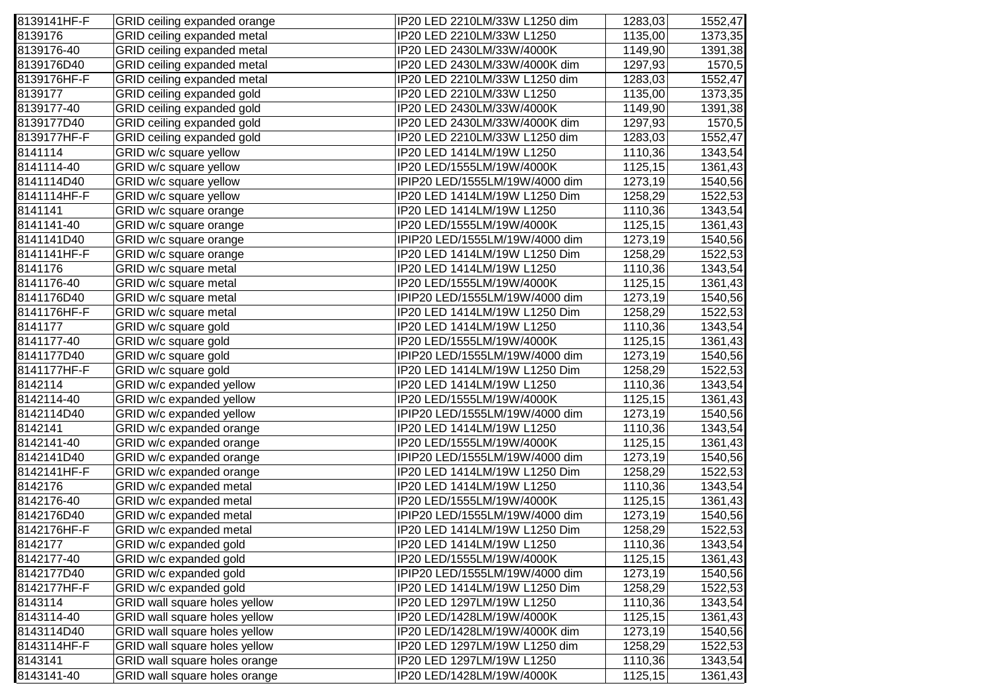| 8139141HF-F | GRID ceiling expanded orange  | IP20 LED 2210LM/33W L1250 dim  | 1283,03 | 1552,47 |
|-------------|-------------------------------|--------------------------------|---------|---------|
| 8139176     | GRID ceiling expanded metal   | IP20 LED 2210LM/33W L1250      | 1135,00 | 1373,35 |
| 8139176-40  | GRID ceiling expanded metal   | IP20 LED 2430LM/33W/4000K      | 1149,90 | 1391,38 |
| 8139176D40  | GRID ceiling expanded metal   | IP20 LED 2430LM/33W/4000K dim  | 1297,93 | 1570,5  |
| 8139176HF-F | GRID ceiling expanded metal   | IP20 LED 2210LM/33W L1250 dim  | 1283,03 | 1552,47 |
| 8139177     | GRID ceiling expanded gold    | IP20 LED 2210LM/33W L1250      | 1135,00 | 1373,35 |
| 8139177-40  | GRID ceiling expanded gold    | IP20 LED 2430LM/33W/4000K      | 1149,90 | 1391,38 |
| 8139177D40  | GRID ceiling expanded gold    | IP20 LED 2430LM/33W/4000K dim  | 1297,93 | 1570,5  |
| 8139177HF-F | GRID ceiling expanded gold    | IP20 LED 2210LM/33W L1250 dim  | 1283,03 | 1552,47 |
| 8141114     | GRID w/c square yellow        | IP20 LED 1414LM/19W L1250      | 1110,36 | 1343,54 |
| 8141114-40  | GRID w/c square yellow        | IP20 LED/1555LM/19W/4000K      | 1125,15 | 1361,43 |
| 8141114D40  | GRID w/c square yellow        | IPIP20 LED/1555LM/19W/4000 dim | 1273,19 | 1540,56 |
| 8141114HF-F | GRID w/c square yellow        | IP20 LED 1414LM/19W L1250 Dim  | 1258,29 | 1522,53 |
| 8141141     | GRID w/c square orange        | IP20 LED 1414LM/19W L1250      | 1110,36 | 1343,54 |
| 8141141-40  | GRID w/c square orange        | IP20 LED/1555LM/19W/4000K      | 1125,15 | 1361,43 |
| 8141141D40  | GRID w/c square orange        | IPIP20 LED/1555LM/19W/4000 dim | 1273,19 | 1540,56 |
| 8141141HF-F | GRID w/c square orange        | IP20 LED 1414LM/19W L1250 Dim  | 1258,29 | 1522,53 |
| 8141176     | GRID w/c square metal         | IP20 LED 1414LM/19W L1250      | 1110,36 | 1343,54 |
| 8141176-40  | GRID w/c square metal         | IP20 LED/1555LM/19W/4000K      | 1125,15 | 1361,43 |
| 8141176D40  | GRID w/c square metal         | IPIP20 LED/1555LM/19W/4000 dim | 1273,19 | 1540,56 |
| 8141176HF-F | GRID w/c square metal         | IP20 LED 1414LM/19W L1250 Dim  | 1258,29 | 1522,53 |
| 8141177     | GRID w/c square gold          | IP20 LED 1414LM/19W L1250      | 1110,36 | 1343,54 |
| 8141177-40  | GRID w/c square gold          | IP20 LED/1555LM/19W/4000K      | 1125,15 | 1361,43 |
| 8141177D40  | GRID w/c square gold          | IPIP20 LED/1555LM/19W/4000 dim | 1273,19 | 1540,56 |
| 8141177HF-F | GRID w/c square gold          | IP20 LED 1414LM/19W L1250 Dim  | 1258,29 | 1522,53 |
| 8142114     | GRID w/c expanded yellow      | IP20 LED 1414LM/19W L1250      | 1110,36 | 1343,54 |
| 8142114-40  | GRID w/c expanded yellow      | IP20 LED/1555LM/19W/4000K      | 1125,15 | 1361,43 |
| 8142114D40  | GRID w/c expanded yellow      | IPIP20 LED/1555LM/19W/4000 dim | 1273,19 | 1540,56 |
| 8142141     | GRID w/c expanded orange      | IP20 LED 1414LM/19W L1250      | 1110,36 | 1343,54 |
| 8142141-40  | GRID w/c expanded orange      | IP20 LED/1555LM/19W/4000K      | 1125,15 | 1361,43 |
| 8142141D40  | GRID w/c expanded orange      | IPIP20 LED/1555LM/19W/4000 dim | 1273,19 | 1540,56 |
| 8142141HF-F | GRID w/c expanded orange      | IP20 LED 1414LM/19W L1250 Dim  | 1258,29 | 1522,53 |
| 8142176     | GRID w/c expanded metal       | IP20 LED 1414LM/19W L1250      | 1110,36 | 1343,54 |
| 8142176-40  | GRID w/c expanded metal       | IP20 LED/1555LM/19W/4000K      | 1125,15 | 1361,43 |
| 8142176D40  | GRID w/c expanded metal       | IPIP20 LED/1555LM/19W/4000 dim | 1273,19 | 1540,56 |
| 8142176HF-F | GRID w/c expanded metal       | IP20 LED 1414LM/19W L1250 Dim  | 1258,29 | 1522,53 |
| 8142177     | GRID w/c expanded gold        | IP20 LED 1414LM/19W L1250      | 1110,36 | 1343,54 |
| 8142177-40  | GRID w/c expanded gold        | IP20 LED/1555LM/19W/4000K      | 1125,15 | 1361,43 |
| 8142177D40  | GRID w/c expanded gold        | IPIP20 LED/1555LM/19W/4000 dim | 1273,19 | 1540,56 |
| 8142177HF-F | GRID w/c expanded gold        | IP20 LED 1414LM/19W L1250 Dim  | 1258,29 | 1522,53 |
| 8143114     | GRID wall square holes yellow | IP20 LED 1297LM/19W L1250      | 1110,36 | 1343,54 |
| 8143114-40  | GRID wall square holes yellow | IP20 LED/1428LM/19W/4000K      | 1125,15 | 1361,43 |
| 8143114D40  | GRID wall square holes yellow | IP20 LED/1428LM/19W/4000K dim  | 1273,19 | 1540,56 |
| 8143114HF-F | GRID wall square holes yellow | IP20 LED 1297LM/19W L1250 dim  | 1258,29 | 1522,53 |
| 8143141     | GRID wall square holes orange | IP20 LED 1297LM/19W L1250      | 1110,36 | 1343,54 |
| 8143141-40  | GRID wall square holes orange | IP20 LED/1428LM/19W/4000K      | 1125,15 | 1361,43 |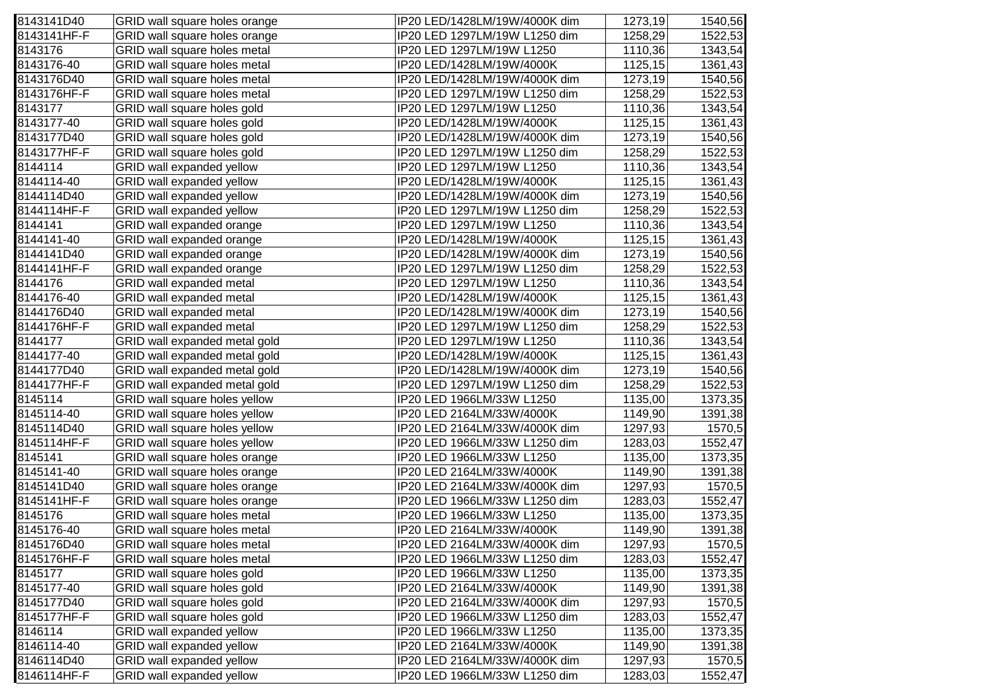| 8143141D40  | GRID wall square holes orange    | IP20 LED/1428LM/19W/4000K dim | 1273,19 | 1540,56 |
|-------------|----------------------------------|-------------------------------|---------|---------|
| 8143141HF-F | GRID wall square holes orange    | IP20 LED 1297LM/19W L1250 dim | 1258,29 | 1522,53 |
| 8143176     | GRID wall square holes metal     | IP20 LED 1297LM/19W L1250     | 1110,36 | 1343,54 |
| 8143176-40  | GRID wall square holes metal     | IP20 LED/1428LM/19W/4000K     | 1125,15 | 1361,43 |
| 8143176D40  | GRID wall square holes metal     | IP20 LED/1428LM/19W/4000K dim | 1273,19 | 1540,56 |
| 8143176HF-F | GRID wall square holes metal     | IP20 LED 1297LM/19W L1250 dim | 1258,29 | 1522,53 |
| 8143177     | GRID wall square holes gold      | IP20 LED 1297LM/19W L1250     | 1110,36 | 1343,54 |
| 8143177-40  | GRID wall square holes gold      | IP20 LED/1428LM/19W/4000K     | 1125,15 | 1361,43 |
| 8143177D40  | GRID wall square holes gold      | IP20 LED/1428LM/19W/4000K dim | 1273,19 | 1540,56 |
| 8143177HF-F | GRID wall square holes gold      | IP20 LED 1297LM/19W L1250 dim | 1258,29 | 1522,53 |
| 8144114     | GRID wall expanded yellow        | IP20 LED 1297LM/19W L1250     | 1110,36 | 1343,54 |
| 8144114-40  | GRID wall expanded yellow        | IP20 LED/1428LM/19W/4000K     | 1125,15 | 1361,43 |
| 8144114D40  | GRID wall expanded yellow        | IP20 LED/1428LM/19W/4000K dim | 1273,19 | 1540,56 |
| 8144114HF-F | GRID wall expanded yellow        | IP20 LED 1297LM/19W L1250 dim | 1258,29 | 1522,53 |
| 8144141     | GRID wall expanded orange        | IP20 LED 1297LM/19W L1250     | 1110,36 | 1343,54 |
| 8144141-40  | GRID wall expanded orange        | IP20 LED/1428LM/19W/4000K     | 1125,15 | 1361,43 |
| 8144141D40  | GRID wall expanded orange        | IP20 LED/1428LM/19W/4000K dim | 1273,19 | 1540,56 |
| 8144141HF-F | GRID wall expanded orange        | IP20 LED 1297LM/19W L1250 dim | 1258,29 | 1522,53 |
| 8144176     | GRID wall expanded metal         | IP20 LED 1297LM/19W L1250     | 1110,36 | 1343,54 |
| 8144176-40  | GRID wall expanded metal         | IP20 LED/1428LM/19W/4000K     | 1125,15 | 1361,43 |
| 8144176D40  | GRID wall expanded metal         | IP20 LED/1428LM/19W/4000K dim | 1273,19 | 1540,56 |
| 8144176HF-F | GRID wall expanded metal         | IP20 LED 1297LM/19W L1250 dim | 1258,29 | 1522,53 |
| 8144177     | GRID wall expanded metal gold    | IP20 LED 1297LM/19W L1250     | 1110,36 | 1343,54 |
| 8144177-40  | GRID wall expanded metal gold    | IP20 LED/1428LM/19W/4000K     | 1125,15 | 1361,43 |
| 8144177D40  | GRID wall expanded metal gold    | IP20 LED/1428LM/19W/4000K dim | 1273,19 | 1540,56 |
| 8144177HF-F | GRID wall expanded metal gold    | IP20 LED 1297LM/19W L1250 dim | 1258,29 | 1522,53 |
| 8145114     | GRID wall square holes yellow    | IP20 LED 1966LM/33W L1250     | 1135,00 | 1373,35 |
| 8145114-40  | GRID wall square holes yellow    | IP20 LED 2164LM/33W/4000K     | 1149,90 | 1391,38 |
| 8145114D40  | GRID wall square holes yellow    | IP20 LED 2164LM/33W/4000K dim | 1297,93 | 1570,5  |
| 8145114HF-F | GRID wall square holes yellow    | IP20 LED 1966LM/33W L1250 dim | 1283,03 | 1552,47 |
| 8145141     | GRID wall square holes orange    | IP20 LED 1966LM/33W L1250     | 1135,00 | 1373,35 |
| 8145141-40  | GRID wall square holes orange    | IP20 LED 2164LM/33W/4000K     | 1149,90 | 1391,38 |
| 8145141D40  | GRID wall square holes orange    | IP20 LED 2164LM/33W/4000K dim | 1297,93 | 1570,5  |
| 8145141HF-F | GRID wall square holes orange    | IP20 LED 1966LM/33W L1250 dim | 1283,03 | 1552,47 |
| 8145176     | GRID wall square holes metal     | IP20 LED 1966LM/33W L1250     | 1135,00 | 1373,35 |
| 8145176-40  | GRID wall square holes metal     | IP20 LED 2164LM/33W/4000K     | 1149,90 | 1391,38 |
| 8145176D40  | GRID wall square holes metal     | IP20 LED 2164LM/33W/4000K dim | 1297,93 | 1570,5  |
| 8145176HF-F | GRID wall square holes metal     | IP20 LED 1966LM/33W L1250 dim | 1283,03 | 1552,47 |
| 8145177     | GRID wall square holes gold      | IP20 LED 1966LM/33W L1250     | 1135,00 | 1373,35 |
| 8145177-40  | GRID wall square holes gold      | IP20 LED 2164LM/33W/4000K     | 1149,90 | 1391,38 |
| 8145177D40  | GRID wall square holes gold      | IP20 LED 2164LM/33W/4000K dim | 1297,93 | 1570,5  |
| 8145177HF-F | GRID wall square holes gold      | IP20 LED 1966LM/33W L1250 dim | 1283,03 | 1552,47 |
| 8146114     | GRID wall expanded yellow        | IP20 LED 1966LM/33W L1250     | 1135,00 | 1373,35 |
| 8146114-40  | <b>GRID wall expanded yellow</b> | IP20 LED 2164LM/33W/4000K     | 1149,90 | 1391,38 |
| 8146114D40  | GRID wall expanded yellow        | IP20 LED 2164LM/33W/4000K dim | 1297,93 | 1570,5  |
| 8146114HF-F | GRID wall expanded yellow        | IP20 LED 1966LM/33W L1250 dim | 1283,03 | 1552,47 |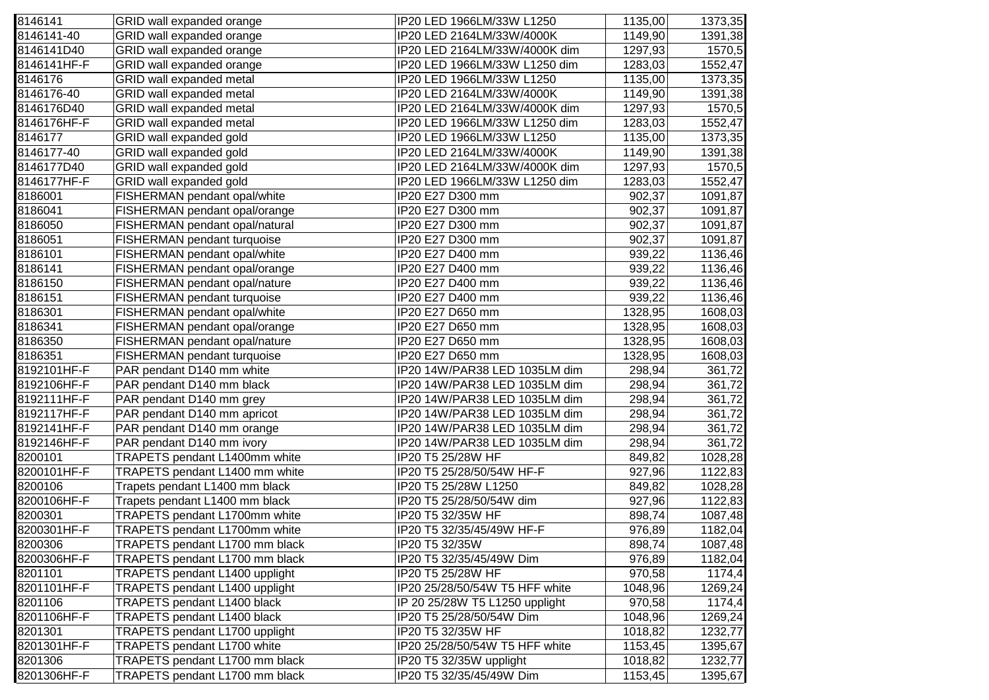| 8146141     | GRID wall expanded orange      | IP20 LED 1966LM/33W L1250      | 1135,00 | 1373,35 |
|-------------|--------------------------------|--------------------------------|---------|---------|
| 8146141-40  | GRID wall expanded orange      | IP20 LED 2164LM/33W/4000K      | 1149,90 | 1391,38 |
| 8146141D40  | GRID wall expanded orange      | IP20 LED 2164LM/33W/4000K dim  | 1297,93 | 1570,5  |
| 8146141HF-F | GRID wall expanded orange      | IP20 LED 1966LM/33W L1250 dim  | 1283,03 | 1552,47 |
| 8146176     | GRID wall expanded metal       | IP20 LED 1966LM/33W L1250      | 1135,00 | 1373,35 |
| 8146176-40  | GRID wall expanded metal       | IP20 LED 2164LM/33W/4000K      | 1149,90 | 1391,38 |
| 8146176D40  | GRID wall expanded metal       | IP20 LED 2164LM/33W/4000K dim  | 1297,93 | 1570,5  |
| 8146176HF-F | GRID wall expanded metal       | IP20 LED 1966LM/33W L1250 dim  | 1283,03 | 1552,47 |
| 8146177     | GRID wall expanded gold        | IP20 LED 1966LM/33W L1250      | 1135,00 | 1373,35 |
| 8146177-40  | GRID wall expanded gold        | IP20 LED 2164LM/33W/4000K      | 1149,90 | 1391,38 |
| 8146177D40  | GRID wall expanded gold        | IP20 LED 2164LM/33W/4000K dim  | 1297,93 | 1570,5  |
| 8146177HF-F | GRID wall expanded gold        | IP20 LED 1966LM/33W L1250 dim  | 1283,03 | 1552,47 |
| 8186001     | FISHERMAN pendant opal/white   | IP20 E27 D300 mm               | 902,37  | 1091,87 |
| 8186041     | FISHERMAN pendant opal/orange  | IP20 E27 D300 mm               | 902,37  | 1091,87 |
| 8186050     | FISHERMAN pendant opal/natural | IP20 E27 D300 mm               | 902,37  | 1091,87 |
| 8186051     | FISHERMAN pendant turquoise    | IP20 E27 D300 mm               | 902,37  | 1091,87 |
| 8186101     | FISHERMAN pendant opal/white   | IP20 E27 D400 mm               | 939,22  | 1136,46 |
| 8186141     | FISHERMAN pendant opal/orange  | IP20 E27 D400 mm               | 939,22  | 1136,46 |
| 8186150     | FISHERMAN pendant opal/nature  | IP20 E27 D400 mm               | 939,22  | 1136,46 |
| 8186151     | FISHERMAN pendant turquoise    | IP20 E27 D400 mm               | 939,22  | 1136,46 |
| 8186301     | FISHERMAN pendant opal/white   | IP20 E27 D650 mm               | 1328,95 | 1608,03 |
| 8186341     | FISHERMAN pendant opal/orange  | IP20 E27 D650 mm               | 1328,95 | 1608,03 |
| 8186350     | FISHERMAN pendant opal/nature  | IP20 E27 D650 mm               | 1328,95 | 1608,03 |
| 8186351     | FISHERMAN pendant turquoise    | IP20 E27 D650 mm               | 1328,95 | 1608,03 |
| 8192101HF-F | PAR pendant D140 mm white      | IP20 14W/PAR38 LED 1035LM dim  | 298,94  | 361,72  |
| 8192106HF-F | PAR pendant D140 mm black      | IP20 14W/PAR38 LED 1035LM dim  | 298,94  | 361,72  |
| 8192111HF-F | PAR pendant D140 mm grey       | IP20 14W/PAR38 LED 1035LM dim  | 298,94  | 361,72  |
| 8192117HF-F | PAR pendant D140 mm apricot    | IP20 14W/PAR38 LED 1035LM dim  | 298,94  | 361,72  |
| 8192141HF-F | PAR pendant D140 mm orange     | IP20 14W/PAR38 LED 1035LM dim  | 298,94  | 361,72  |
| 8192146HF-F | PAR pendant D140 mm ivory      | IP20 14W/PAR38 LED 1035LM dim  | 298,94  | 361,72  |
| 8200101     | TRAPETS pendant L1400mm white  | IP20 T5 25/28W HF              | 849,82  | 1028,28 |
| 8200101HF-F | TRAPETS pendant L1400 mm white | IP20 T5 25/28/50/54W HF-F      | 927,96  | 1122,83 |
| 8200106     | Trapets pendant L1400 mm black | IP20 T5 25/28W L1250           | 849,82  | 1028,28 |
| 8200106HF-F | Trapets pendant L1400 mm black | IP20 T5 25/28/50/54W dim       | 927,96  | 1122,83 |
| 8200301     | TRAPETS pendant L1700mm white  | IP20 T5 32/35W HF              | 898,74  | 1087,48 |
| 8200301HF-F | TRAPETS pendant L1700mm white  | IP20 T5 32/35/45/49W HF-F      | 976,89  | 1182,04 |
| 8200306     | TRAPETS pendant L1700 mm black | IP20 T5 32/35W                 | 898,74  | 1087,48 |
| 8200306HF-F | TRAPETS pendant L1700 mm black | IP20 T5 32/35/45/49W Dim       | 976,89  | 1182,04 |
| 8201101     | TRAPETS pendant L1400 upplight | IP20 T5 25/28W HF              | 970,58  | 1174,4  |
| 8201101HF-F | TRAPETS pendant L1400 upplight | IP20 25/28/50/54W T5 HFF white | 1048,96 | 1269,24 |
| 8201106     | TRAPETS pendant L1400 black    | IP 20 25/28W T5 L1250 upplight | 970,58  | 1174,4  |
| 8201106HF-F | TRAPETS pendant L1400 black    | IP20 T5 25/28/50/54W Dim       | 1048,96 | 1269,24 |
| 8201301     | TRAPETS pendant L1700 upplight | IP20 T5 32/35W HF              | 1018,82 | 1232,77 |
| 8201301HF-F | TRAPETS pendant L1700 white    | IP20 25/28/50/54W T5 HFF white | 1153,45 | 1395,67 |
| 8201306     | TRAPETS pendant L1700 mm black | IP20 T5 32/35W upplight        | 1018,82 | 1232,77 |
| 8201306HF-F | TRAPETS pendant L1700 mm black | IP20 T5 32/35/45/49W Dim       | 1153,45 | 1395,67 |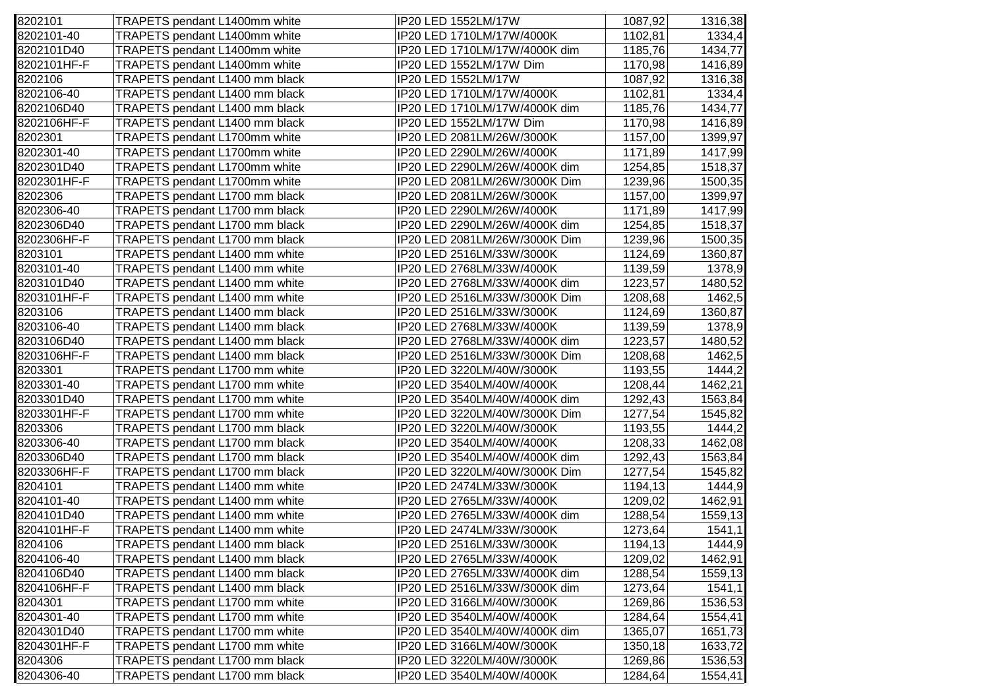| 8202101     | TRAPETS pendant L1400mm white  | IP20 LED 1552LM/17W           | 1087,92 | 1316,38 |
|-------------|--------------------------------|-------------------------------|---------|---------|
| 8202101-40  | TRAPETS pendant L1400mm white  | IP20 LED 1710LM/17W/4000K     | 1102,81 | 1334,4  |
| 8202101D40  | TRAPETS pendant L1400mm white  | IP20 LED 1710LM/17W/4000K dim | 1185,76 | 1434,77 |
| 8202101HF-F | TRAPETS pendant L1400mm white  | IP20 LED 1552LM/17W Dim       | 1170,98 | 1416,89 |
| 8202106     | TRAPETS pendant L1400 mm black | IP20 LED 1552LM/17W           | 1087,92 | 1316,38 |
| 8202106-40  | TRAPETS pendant L1400 mm black | IP20 LED 1710LM/17W/4000K     | 1102,81 | 1334,4  |
| 8202106D40  | TRAPETS pendant L1400 mm black | IP20 LED 1710LM/17W/4000K dim | 1185,76 | 1434,77 |
| 8202106HF-F | TRAPETS pendant L1400 mm black | IP20 LED 1552LM/17W Dim       | 1170,98 | 1416,89 |
| 8202301     | TRAPETS pendant L1700mm white  | IP20 LED 2081LM/26W/3000K     | 1157,00 | 1399,97 |
| 8202301-40  | TRAPETS pendant L1700mm white  | IP20 LED 2290LM/26W/4000K     | 1171,89 | 1417,99 |
| 8202301D40  | TRAPETS pendant L1700mm white  | IP20 LED 2290LM/26W/4000K dim | 1254,85 | 1518,37 |
| 8202301HF-F | TRAPETS pendant L1700mm white  | IP20 LED 2081LM/26W/3000K Dim | 1239,96 | 1500,35 |
| 8202306     | TRAPETS pendant L1700 mm black | IP20 LED 2081LM/26W/3000K     | 1157,00 | 1399,97 |
| 8202306-40  | TRAPETS pendant L1700 mm black | IP20 LED 2290LM/26W/4000K     | 1171,89 | 1417,99 |
| 8202306D40  | TRAPETS pendant L1700 mm black | IP20 LED 2290LM/26W/4000K dim | 1254,85 | 1518,37 |
| 8202306HF-F | TRAPETS pendant L1700 mm black | IP20 LED 2081LM/26W/3000K Dim | 1239,96 | 1500,35 |
| 8203101     | TRAPETS pendant L1400 mm white | IP20 LED 2516LM/33W/3000K     | 1124,69 | 1360,87 |
| 8203101-40  | TRAPETS pendant L1400 mm white | IP20 LED 2768LM/33W/4000K     | 1139,59 | 1378,9  |
| 8203101D40  | TRAPETS pendant L1400 mm white | IP20 LED 2768LM/33W/4000K dim | 1223,57 | 1480,52 |
| 8203101HF-F | TRAPETS pendant L1400 mm white | IP20 LED 2516LM/33W/3000K Dim | 1208,68 | 1462,5  |
| 8203106     | TRAPETS pendant L1400 mm black | IP20 LED 2516LM/33W/3000K     | 1124,69 | 1360,87 |
| 8203106-40  | TRAPETS pendant L1400 mm black | IP20 LED 2768LM/33W/4000K     | 1139,59 | 1378,9  |
| 8203106D40  | TRAPETS pendant L1400 mm black | IP20 LED 2768LM/33W/4000K dim | 1223,57 | 1480,52 |
| 8203106HF-F | TRAPETS pendant L1400 mm black | IP20 LED 2516LM/33W/3000K Dim | 1208,68 | 1462,5  |
| 8203301     | TRAPETS pendant L1700 mm white | IP20 LED 3220LM/40W/3000K     | 1193,55 | 1444,2  |
| 8203301-40  | TRAPETS pendant L1700 mm white | IP20 LED 3540LM/40W/4000K     | 1208,44 | 1462,21 |
| 8203301D40  | TRAPETS pendant L1700 mm white | IP20 LED 3540LM/40W/4000K dim | 1292,43 | 1563,84 |
| 8203301HF-F | TRAPETS pendant L1700 mm white | IP20 LED 3220LM/40W/3000K Dim | 1277,54 | 1545,82 |
| 8203306     | TRAPETS pendant L1700 mm black | IP20 LED 3220LM/40W/3000K     | 1193,55 | 1444,2  |
| 8203306-40  | TRAPETS pendant L1700 mm black | IP20 LED 3540LM/40W/4000K     | 1208,33 | 1462,08 |
| 8203306D40  | TRAPETS pendant L1700 mm black | IP20 LED 3540LM/40W/4000K dim | 1292,43 | 1563,84 |
| 8203306HF-F | TRAPETS pendant L1700 mm black | IP20 LED 3220LM/40W/3000K Dim | 1277,54 | 1545,82 |
| 8204101     | TRAPETS pendant L1400 mm white | IP20 LED 2474LM/33W/3000K     | 1194,13 | 1444,9  |
| 8204101-40  | TRAPETS pendant L1400 mm white | IP20 LED 2765LM/33W/4000K     | 1209,02 | 1462,91 |
| 8204101D40  | TRAPETS pendant L1400 mm white | IP20 LED 2765LM/33W/4000K dim | 1288,54 | 1559,13 |
| 8204101HF-F | TRAPETS pendant L1400 mm white | IP20 LED 2474LM/33W/3000K     | 1273,64 | 1541,1  |
| 8204106     | TRAPETS pendant L1400 mm black | IP20 LED 2516LM/33W/3000K     | 1194,13 | 1444,9  |
| 8204106-40  | TRAPETS pendant L1400 mm black | IP20 LED 2765LM/33W/4000K     | 1209,02 | 1462,91 |
| 8204106D40  | TRAPETS pendant L1400 mm black | IP20 LED 2765LM/33W/4000K dim | 1288,54 | 1559,13 |
| 8204106HF-F | TRAPETS pendant L1400 mm black | IP20 LED 2516LM/33W/3000K dim | 1273,64 | 1541,1  |
| 8204301     | TRAPETS pendant L1700 mm white | IP20 LED 3166LM/40W/3000K     | 1269,86 | 1536,53 |
| 8204301-40  | TRAPETS pendant L1700 mm white | IP20 LED 3540LM/40W/4000K     | 1284,64 | 1554,41 |
| 8204301D40  | TRAPETS pendant L1700 mm white | IP20 LED 3540LM/40W/4000K dim | 1365,07 | 1651,73 |
| 8204301HF-F | TRAPETS pendant L1700 mm white | IP20 LED 3166LM/40W/3000K     | 1350,18 | 1633,72 |
| 8204306     | TRAPETS pendant L1700 mm black | IP20 LED 3220LM/40W/3000K     | 1269,86 | 1536,53 |
| 8204306-40  | TRAPETS pendant L1700 mm black | IP20 LED 3540LM/40W/4000K     | 1284,64 | 1554,41 |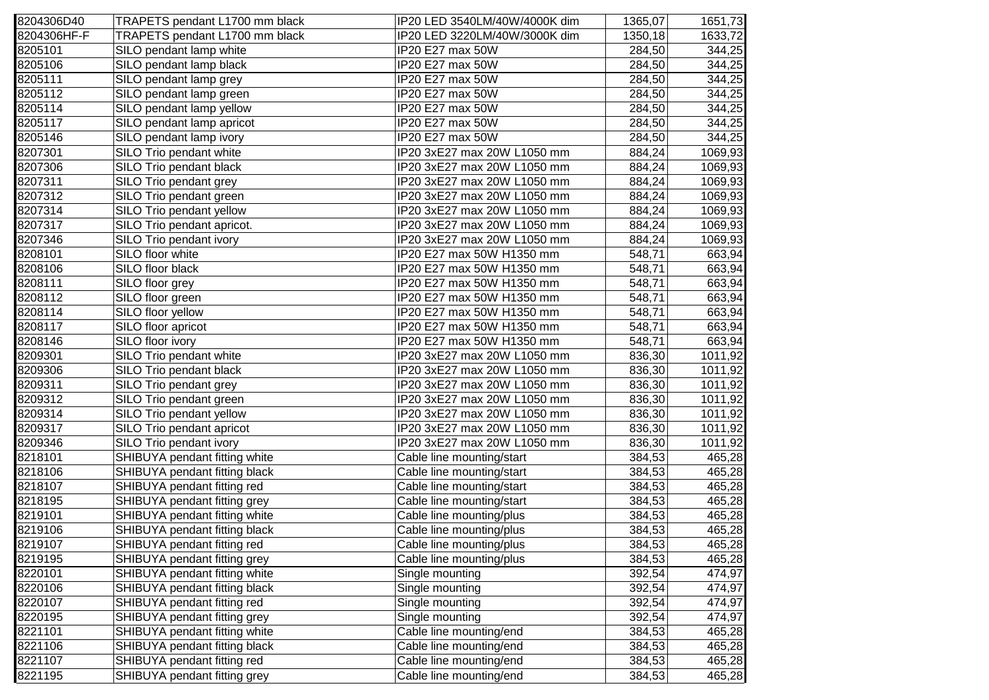| 8204306D40  | TRAPETS pendant L1700 mm black | IP20 LED 3540LM/40W/4000K dim | 1365,07 | 1651,73 |
|-------------|--------------------------------|-------------------------------|---------|---------|
| 8204306HF-F | TRAPETS pendant L1700 mm black | IP20 LED 3220LM/40W/3000K dim | 1350,18 | 1633,72 |
| 8205101     | SILO pendant lamp white        | IP20 E27 max 50W              | 284,50  | 344,25  |
| 8205106     | SILO pendant lamp black        | IP20 E27 max 50W              | 284,50  | 344,25  |
| 8205111     | SILO pendant lamp grey         | IP20 E27 max 50W              | 284,50  | 344,25  |
| 8205112     | SILO pendant lamp green        | IP20 E27 max 50W              | 284,50  | 344,25  |
| 8205114     | SILO pendant lamp yellow       | IP20 E27 max 50W              | 284,50  | 344,25  |
| 8205117     | SILO pendant lamp apricot      | IP20 E27 max 50W              | 284,50  | 344,25  |
| 8205146     | SILO pendant lamp ivory        | IP20 E27 max 50W              | 284,50  | 344,25  |
| 8207301     | SILO Trio pendant white        | IP20 3xE27 max 20W L1050 mm   | 884,24  | 1069,93 |
| 8207306     | SILO Trio pendant black        | IP20 3xE27 max 20W L1050 mm   | 884,24  | 1069,93 |
| 8207311     | SILO Trio pendant grey         | IP20 3xE27 max 20W L1050 mm   | 884,24  | 1069,93 |
| 8207312     | SILO Trio pendant green        | IP20 3xE27 max 20W L1050 mm   | 884,24  | 1069,93 |
| 8207314     | SILO Trio pendant yellow       | IP20 3xE27 max 20W L1050 mm   | 884,24  | 1069,93 |
| 8207317     | SILO Trio pendant apricot.     | IP20 3xE27 max 20W L1050 mm   | 884,24  | 1069,93 |
| 8207346     | SILO Trio pendant ivory        | IP20 3xE27 max 20W L1050 mm   | 884,24  | 1069,93 |
| 8208101     | SILO floor white               | IP20 E27 max 50W H1350 mm     | 548,71  | 663,94  |
| 8208106     | SILO floor black               | IP20 E27 max 50W H1350 mm     | 548,71  | 663,94  |
| 8208111     | SILO floor grey                | IP20 E27 max 50W H1350 mm     | 548,71  | 663,94  |
| 8208112     | SILO floor green               | IP20 E27 max 50W H1350 mm     | 548,71  | 663,94  |
| 8208114     | SILO floor yellow              | IP20 E27 max 50W H1350 mm     | 548,71  | 663,94  |
| 8208117     | SILO floor apricot             | IP20 E27 max 50W H1350 mm     | 548,71  | 663,94  |
| 8208146     | SILO floor ivory               | IP20 E27 max 50W H1350 mm     | 548,71  | 663,94  |
| 8209301     | SILO Trio pendant white        | IP20 3xE27 max 20W L1050 mm   | 836,30  | 1011,92 |
| 8209306     | SILO Trio pendant black        | IP20 3xE27 max 20W L1050 mm   | 836,30  | 1011,92 |
| 8209311     | SILO Trio pendant grey         | IP20 3xE27 max 20W L1050 mm   | 836,30  | 1011,92 |
| 8209312     | SILO Trio pendant green        | IP20 3xE27 max 20W L1050 mm   | 836,30  | 1011,92 |
| 8209314     | SILO Trio pendant yellow       | IP20 3xE27 max 20W L1050 mm   | 836,30  | 1011,92 |
| 8209317     | SILO Trio pendant apricot      | IP20 3xE27 max 20W L1050 mm   | 836,30  | 1011,92 |
| 8209346     | SILO Trio pendant ivory        | IP20 3xE27 max 20W L1050 mm   | 836,30  | 1011,92 |
| 8218101     | SHIBUYA pendant fitting white  | Cable line mounting/start     | 384,53  | 465,28  |
| 8218106     | SHIBUYA pendant fitting black  | Cable line mounting/start     | 384,53  | 465,28  |
| 8218107     | SHIBUYA pendant fitting red    | Cable line mounting/start     | 384,53  | 465,28  |
| 8218195     | SHIBUYA pendant fitting grey   | Cable line mounting/start     | 384,53  | 465,28  |
| 8219101     | SHIBUYA pendant fitting white  | Cable line mounting/plus      | 384,53  | 465,28  |
| 8219106     | SHIBUYA pendant fitting black  | Cable line mounting/plus      | 384,53  | 465,28  |
| 8219107     | SHIBUYA pendant fitting red    | Cable line mounting/plus      | 384,53  | 465,28  |
| 8219195     | SHIBUYA pendant fitting grey   | Cable line mounting/plus      | 384,53  | 465,28  |
| 8220101     | SHIBUYA pendant fitting white  | Single mounting               | 392,54  | 474,97  |
| 8220106     | SHIBUYA pendant fitting black  | Single mounting               | 392,54  | 474,97  |
| 8220107     | SHIBUYA pendant fitting red    | Single mounting               | 392,54  | 474,97  |
| 8220195     | SHIBUYA pendant fitting grey   | Single mounting               | 392,54  | 474,97  |
| 8221101     | SHIBUYA pendant fitting white  | Cable line mounting/end       | 384,53  | 465,28  |
| 8221106     | SHIBUYA pendant fitting black  | Cable line mounting/end       | 384,53  | 465,28  |
| 8221107     | SHIBUYA pendant fitting red    | Cable line mounting/end       | 384,53  | 465,28  |
| 8221195     | SHIBUYA pendant fitting grey   | Cable line mounting/end       | 384,53  | 465,28  |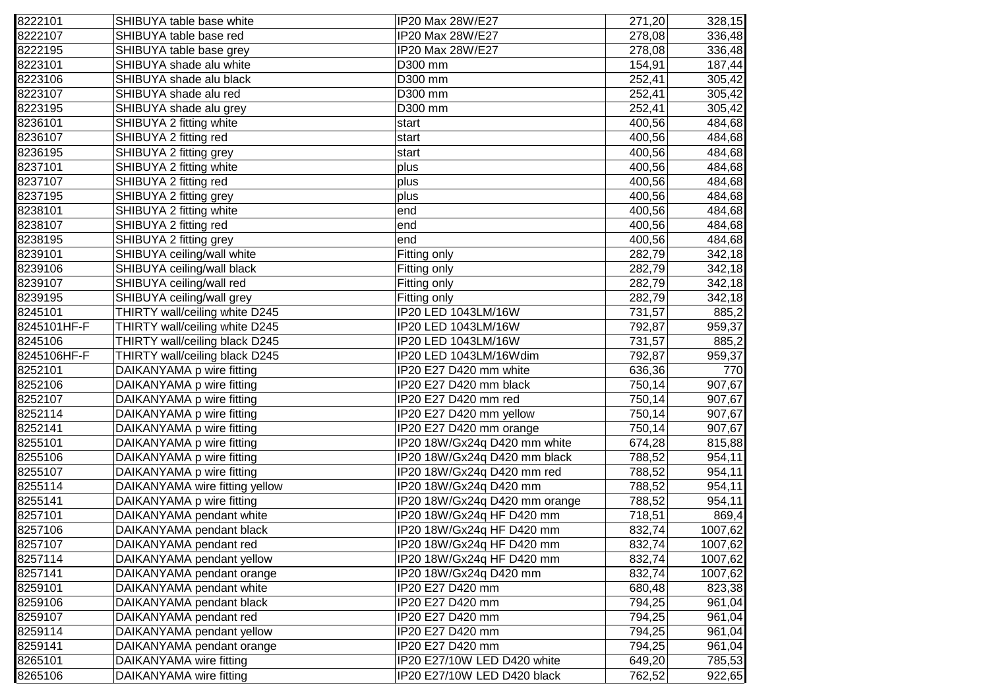| 8222101     | SHIBUYA table base white       | IP20 Max 28W/E27              | 271,20 | 328,15  |
|-------------|--------------------------------|-------------------------------|--------|---------|
| 8222107     | SHIBUYA table base red         | IP20 Max 28W/E27              | 278,08 | 336,48  |
| 8222195     | SHIBUYA table base grey        | IP20 Max 28W/E27              | 278,08 | 336,48  |
| 8223101     | SHIBUYA shade alu white        | D300 mm                       | 154,91 | 187,44  |
| 8223106     | SHIBUYA shade alu black        | D300 mm                       | 252,41 | 305,42  |
| 8223107     | SHIBUYA shade alu red          | D300 mm                       | 252,41 | 305,42  |
| 8223195     | SHIBUYA shade alu grey         | D300 mm                       | 252,41 | 305,42  |
| 8236101     | SHIBUYA 2 fitting white        | start                         | 400,56 | 484,68  |
| 8236107     | SHIBUYA 2 fitting red          | start                         | 400,56 | 484,68  |
| 8236195     | SHIBUYA 2 fitting grey         | start                         | 400,56 | 484,68  |
| 8237101     | SHIBUYA 2 fitting white        | plus                          | 400,56 | 484,68  |
| 8237107     | SHIBUYA 2 fitting red          | plus                          | 400,56 | 484,68  |
| 8237195     | SHIBUYA 2 fitting grey         | plus                          | 400,56 | 484,68  |
| 8238101     | SHIBUYA 2 fitting white        | end                           | 400,56 | 484,68  |
| 8238107     | SHIBUYA 2 fitting red          | end                           | 400,56 | 484,68  |
| 8238195     | SHIBUYA 2 fitting grey         | end                           | 400,56 | 484,68  |
| 8239101     | SHIBUYA ceiling/wall white     | Fitting only                  | 282,79 | 342,18  |
| 8239106     | SHIBUYA ceiling/wall black     | Fitting only                  | 282,79 | 342,18  |
| 8239107     | SHIBUYA ceiling/wall red       | Fitting only                  | 282,79 | 342,18  |
| 8239195     | SHIBUYA ceiling/wall grey      | Fitting only                  | 282,79 | 342,18  |
| 8245101     | THIRTY wall/ceiling white D245 | IP20 LED 1043LM/16W           | 731,57 | 885,2   |
| 8245101HF-F | THIRTY wall/ceiling white D245 | IP20 LED 1043LM/16W           | 792,87 | 959,37  |
| 8245106     | THIRTY wall/ceiling black D245 | IP20 LED 1043LM/16W           | 731,57 | 885,2   |
| 8245106HF-F | THIRTY wall/ceiling black D245 | IP20 LED 1043LM/16Wdim        | 792,87 | 959,37  |
| 8252101     | DAIKANYAMA p wire fitting      | IP20 E27 D420 mm white        | 636,36 | 770     |
| 8252106     | DAIKANYAMA p wire fitting      | IP20 E27 D420 mm black        | 750,14 | 907,67  |
| 8252107     | DAIKANYAMA p wire fitting      | IP20 E27 D420 mm red          | 750,14 | 907,67  |
| 8252114     | DAIKANYAMA p wire fitting      | IP20 E27 D420 mm yellow       | 750,14 | 907,67  |
| 8252141     | DAIKANYAMA p wire fitting      | IP20 E27 D420 mm orange       | 750,14 | 907,67  |
| 8255101     | DAIKANYAMA p wire fitting      | IP20 18W/Gx24q D420 mm white  | 674,28 | 815,88  |
| 8255106     | DAIKANYAMA p wire fitting      | IP20 18W/Gx24q D420 mm black  | 788,52 | 954,11  |
| 8255107     | DAIKANYAMA p wire fitting      | IP20 18W/Gx24q D420 mm red    | 788,52 | 954,11  |
| 8255114     | DAIKANYAMA wire fitting yellow | IP20 18W/Gx24q D420 mm        | 788,52 | 954,11  |
| 8255141     | DAIKANYAMA p wire fitting      | IP20 18W/Gx24q D420 mm orange | 788,52 | 954,11  |
| 8257101     | DAIKANYAMA pendant white       | IP20 18W/Gx24q HF D420 mm     | 718,51 | 869,4   |
| 8257106     | DAIKANYAMA pendant black       | IP20 18W/Gx24q HF D420 mm     | 832,74 | 1007,62 |
| 8257107     | DAIKANYAMA pendant red         | IP20 18W/Gx24q HF D420 mm     | 832,74 | 1007,62 |
| 8257114     | DAIKANYAMA pendant yellow      | IP20 18W/Gx24q HF D420 mm     | 832,74 | 1007,62 |
| 8257141     | DAIKANYAMA pendant orange      | IP20 18W/Gx24q D420 mm        | 832,74 | 1007,62 |
| 8259101     | DAIKANYAMA pendant white       | IP20 E27 D420 mm              | 680,48 | 823,38  |
| 8259106     | DAIKANYAMA pendant black       | IP20 E27 D420 mm              | 794,25 | 961,04  |
| 8259107     | DAIKANYAMA pendant red         | IP20 E27 D420 mm              | 794,25 | 961,04  |
| 8259114     | DAIKANYAMA pendant yellow      | IP20 E27 D420 mm              | 794,25 | 961,04  |
| 8259141     | DAIKANYAMA pendant orange      | IP20 E27 D420 mm              | 794,25 | 961,04  |
| 8265101     | DAIKANYAMA wire fitting        | IP20 E27/10W LED D420 white   | 649,20 | 785,53  |
| 8265106     | DAIKANYAMA wire fitting        | IP20 E27/10W LED D420 black   | 762,52 | 922,65  |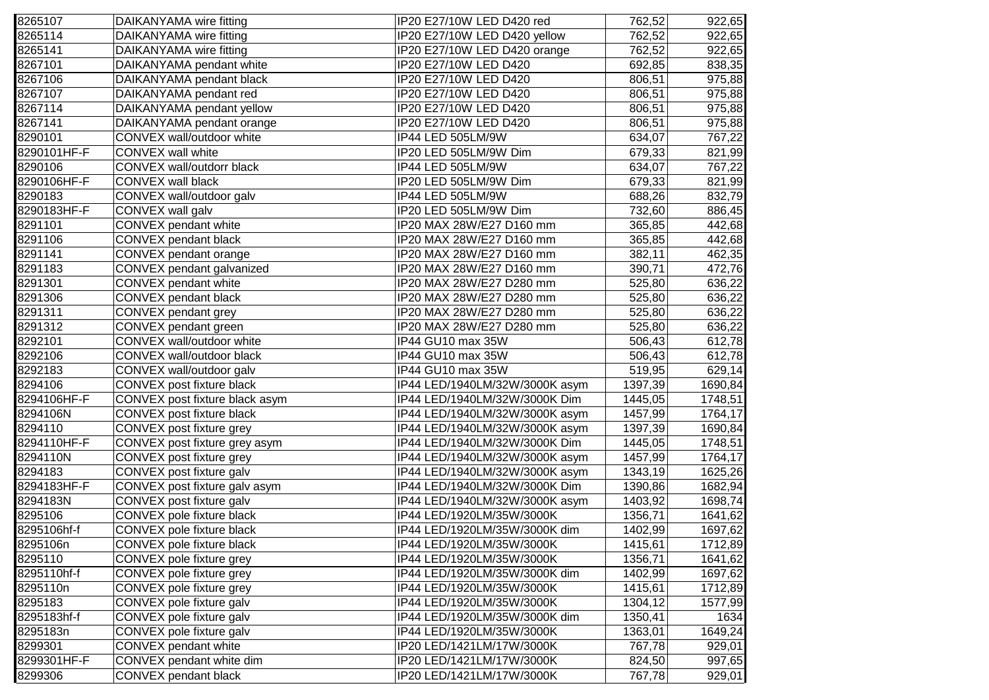| 8265107     | DAIKANYAMA wire fitting        | IP20 E27/10W LED D420 red      | 762,52  | 922,65  |
|-------------|--------------------------------|--------------------------------|---------|---------|
| 8265114     | DAIKANYAMA wire fitting        | IP20 E27/10W LED D420 yellow   | 762,52  | 922,65  |
| 8265141     | DAIKANYAMA wire fitting        | IP20 E27/10W LED D420 orange   | 762,52  | 922,65  |
| 8267101     | DAIKANYAMA pendant white       | IP20 E27/10W LED D420          | 692,85  | 838,35  |
| 8267106     | DAIKANYAMA pendant black       | IP20 E27/10W LED D420          | 806,51  | 975,88  |
| 8267107     | DAIKANYAMA pendant red         | IP20 E27/10W LED D420          | 806,51  | 975,88  |
| 8267114     | DAIKANYAMA pendant yellow      | IP20 E27/10W LED D420          | 806,51  | 975,88  |
| 8267141     | DAIKANYAMA pendant orange      | IP20 E27/10W LED D420          | 806,51  | 975,88  |
| 8290101     | CONVEX wall/outdoor white      | IP44 LED 505LM/9W              | 634,07  | 767,22  |
| 8290101HF-F | <b>CONVEX wall white</b>       | IP20 LED 505LM/9W Dim          | 679,33  | 821,99  |
| 8290106     | CONVEX wall/outdorr black      | IP44 LED 505LM/9W              | 634,07  | 767,22  |
| 8290106HF-F | <b>CONVEX wall black</b>       | IP20 LED 505LM/9W Dim          | 679,33  | 821,99  |
| 8290183     | CONVEX wall/outdoor galv       | IP44 LED 505LM/9W              | 688,26  | 832,79  |
| 8290183HF-F | CONVEX wall galv               | IP20 LED 505LM/9W Dim          | 732,60  | 886,45  |
| 8291101     | CONVEX pendant white           | IP20 MAX 28W/E27 D160 mm       | 365,85  | 442,68  |
| 8291106     | CONVEX pendant black           | IP20 MAX 28W/E27 D160 mm       | 365,85  | 442,68  |
| 8291141     | CONVEX pendant orange          | IP20 MAX 28W/E27 D160 mm       | 382,11  | 462,35  |
| 8291183     | CONVEX pendant galvanized      | IP20 MAX 28W/E27 D160 mm       | 390,71  | 472,76  |
| 8291301     | CONVEX pendant white           | IP20 MAX 28W/E27 D280 mm       | 525,80  | 636,22  |
| 8291306     | CONVEX pendant black           | IP20 MAX 28W/E27 D280 mm       | 525,80  | 636,22  |
| 8291311     | CONVEX pendant grey            | IP20 MAX 28W/E27 D280 mm       | 525,80  | 636,22  |
| 8291312     | CONVEX pendant green           | IP20 MAX 28W/E27 D280 mm       | 525,80  | 636,22  |
| 8292101     | CONVEX wall/outdoor white      | IP44 GU10 max 35W              | 506,43  | 612,78  |
| 8292106     | CONVEX wall/outdoor black      | IP44 GU10 max 35W              | 506,43  | 612,78  |
| 8292183     | CONVEX wall/outdoor galv       | IP44 GU10 max 35W              | 519,95  | 629,14  |
| 8294106     | CONVEX post fixture black      | IP44 LED/1940LM/32W/3000K asym | 1397,39 | 1690,84 |
| 8294106HF-F | CONVEX post fixture black asym | IP44 LED/1940LM/32W/3000K Dim  | 1445,05 | 1748,51 |
| 8294106N    | CONVEX post fixture black      | IP44 LED/1940LM/32W/3000K asym | 1457,99 | 1764,17 |
| 8294110     | CONVEX post fixture grey       | IP44 LED/1940LM/32W/3000K asym | 1397,39 | 1690,84 |
| 8294110HF-F | CONVEX post fixture grey asym  | IP44 LED/1940LM/32W/3000K Dim  | 1445,05 | 1748,51 |
| 8294110N    | CONVEX post fixture grey       | IP44 LED/1940LM/32W/3000K asym | 1457,99 | 1764,17 |
| 8294183     | CONVEX post fixture galv       | IP44 LED/1940LM/32W/3000K asym | 1343,19 | 1625,26 |
| 8294183HF-F | CONVEX post fixture galv asym  | IP44 LED/1940LM/32W/3000K Dim  | 1390,86 | 1682,94 |
| 8294183N    | CONVEX post fixture galv       | IP44 LED/1940LM/32W/3000K asym | 1403,92 | 1698,74 |
| 8295106     | CONVEX pole fixture black      | IP44 LED/1920LM/35W/3000K      | 1356,71 | 1641,62 |
| 8295106hf-f | CONVEX pole fixture black      | IP44 LED/1920LM/35W/3000K dim  | 1402,99 | 1697,62 |
| 8295106n    | CONVEX pole fixture black      | IP44 LED/1920LM/35W/3000K      | 1415,61 | 1712,89 |
| 8295110     | CONVEX pole fixture grey       | IP44 LED/1920LM/35W/3000K      | 1356,71 | 1641,62 |
| 8295110hf-f | CONVEX pole fixture grey       | IP44 LED/1920LM/35W/3000K dim  | 1402,99 | 1697,62 |
| 8295110n    | CONVEX pole fixture grey       | IP44 LED/1920LM/35W/3000K      | 1415,61 | 1712,89 |
| 8295183     | CONVEX pole fixture galv       | IP44 LED/1920LM/35W/3000K      | 1304,12 | 1577,99 |
| 8295183hf-f | CONVEX pole fixture galv       | IP44 LED/1920LM/35W/3000K dim  | 1350,41 | 1634    |
| 8295183n    | CONVEX pole fixture galv       | IP44 LED/1920LM/35W/3000K      | 1363,01 | 1649,24 |
| 8299301     | CONVEX pendant white           | IP20 LED/1421LM/17W/3000K      | 767,78  | 929,01  |
| 8299301HF-F | CONVEX pendant white dim       | IP20 LED/1421LM/17W/3000K      | 824,50  | 997,65  |
| 8299306     | CONVEX pendant black           | IP20 LED/1421LM/17W/3000K      | 767,78  | 929,01  |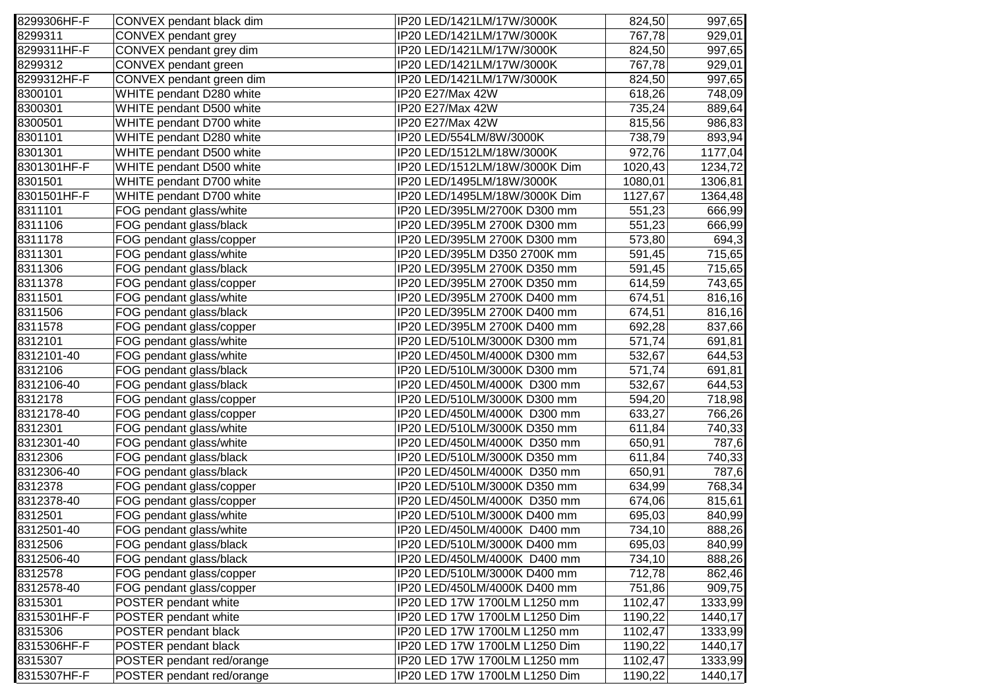| 8299306HF-F | CONVEX pendant black dim  | IP20 LED/1421LM/17W/3000K     | 824,50  | 997,65  |
|-------------|---------------------------|-------------------------------|---------|---------|
| 8299311     | CONVEX pendant grey       | IP20 LED/1421LM/17W/3000K     | 767,78  | 929,01  |
| 8299311HF-F | CONVEX pendant grey dim   | IP20 LED/1421LM/17W/3000K     | 824,50  | 997,65  |
| 8299312     | CONVEX pendant green      | IP20 LED/1421LM/17W/3000K     | 767,78  | 929,01  |
| 8299312HF-F | CONVEX pendant green dim  | IP20 LED/1421LM/17W/3000K     | 824,50  | 997,65  |
| 8300101     | WHITE pendant D280 white  | IP20 E27/Max 42W              | 618,26  | 748,09  |
| 8300301     | WHITE pendant D500 white  | IP20 E27/Max 42W              | 735,24  | 889,64  |
| 8300501     | WHITE pendant D700 white  | IP20 E27/Max 42W              | 815,56  | 986,83  |
| 8301101     | WHITE pendant D280 white  | IP20 LED/554LM/8W/3000K       | 738,79  | 893,94  |
| 8301301     | WHITE pendant D500 white  | IP20 LED/1512LM/18W/3000K     | 972,76  | 1177,04 |
| 8301301HF-F | WHITE pendant D500 white  | IP20 LED/1512LM/18W/3000K Dim | 1020,43 | 1234,72 |
| 8301501     | WHITE pendant D700 white  | IP20 LED/1495LM/18W/3000K     | 1080,01 | 1306,81 |
| 8301501HF-F | WHITE pendant D700 white  | IP20 LED/1495LM/18W/3000K Dim | 1127,67 | 1364,48 |
| 8311101     | FOG pendant glass/white   | IP20 LED/395LM/2700K D300 mm  | 551,23  | 666,99  |
| 8311106     | FOG pendant glass/black   | IP20 LED/395LM 2700K D300 mm  | 551,23  | 666,99  |
| 8311178     | FOG pendant glass/copper  | IP20 LED/395LM 2700K D300 mm  | 573,80  | 694,3   |
| 8311301     | FOG pendant glass/white   | IP20 LED/395LM D350 2700K mm  | 591,45  | 715,65  |
| 8311306     | FOG pendant glass/black   | IP20 LED/395LM 2700K D350 mm  | 591,45  | 715,65  |
| 8311378     | FOG pendant glass/copper  | IP20 LED/395LM 2700K D350 mm  | 614,59  | 743,65  |
| 8311501     | FOG pendant glass/white   | IP20 LED/395LM 2700K D400 mm  | 674,51  | 816,16  |
| 8311506     | FOG pendant glass/black   | IP20 LED/395LM 2700K D400 mm  | 674,51  | 816,16  |
| 8311578     | FOG pendant glass/copper  | IP20 LED/395LM 2700K D400 mm  | 692,28  | 837,66  |
| 8312101     | FOG pendant glass/white   | IP20 LED/510LM/3000K D300 mm  | 571,74  | 691,81  |
| 8312101-40  | FOG pendant glass/white   | IP20 LED/450LM/4000K D300 mm  | 532,67  | 644,53  |
| 8312106     | FOG pendant glass/black   | IP20 LED/510LM/3000K D300 mm  | 571,74  | 691,81  |
| 8312106-40  | FOG pendant glass/black   | IP20 LED/450LM/4000K D300 mm  | 532,67  | 644,53  |
| 8312178     | FOG pendant glass/copper  | IP20 LED/510LM/3000K D300 mm  | 594,20  | 718,98  |
| 8312178-40  | FOG pendant glass/copper  | IP20 LED/450LM/4000K D300 mm  | 633,27  | 766,26  |
| 8312301     | FOG pendant glass/white   | IP20 LED/510LM/3000K D350 mm  | 611,84  | 740,33  |
| 8312301-40  | FOG pendant glass/white   | IP20 LED/450LM/4000K D350 mm  | 650,91  | 787,6   |
| 8312306     | FOG pendant glass/black   | IP20 LED/510LM/3000K D350 mm  | 611,84  | 740,33  |
| 8312306-40  | FOG pendant glass/black   | IP20 LED/450LM/4000K D350 mm  | 650,91  | 787,6   |
| 8312378     | FOG pendant glass/copper  | IP20 LED/510LM/3000K D350 mm  | 634,99  | 768,34  |
| 8312378-40  | FOG pendant glass/copper  | IP20 LED/450LM/4000K D350 mm  | 674,06  | 815,61  |
| 8312501     | FOG pendant glass/white   | IP20 LED/510LM/3000K D400 mm  | 695,03  | 840,99  |
| 8312501-40  | FOG pendant glass/white   | IP20 LED/450LM/4000K D400 mm  | 734,10  | 888,26  |
| 8312506     | FOG pendant glass/black   | IP20 LED/510LM/3000K D400 mm  | 695,03  | 840,99  |
| 8312506-40  | FOG pendant glass/black   | IP20 LED/450LM/4000K D400 mm  | 734,10  | 888,26  |
| 8312578     | FOG pendant glass/copper  | IP20 LED/510LM/3000K D400 mm  | 712,78  | 862,46  |
| 8312578-40  | FOG pendant glass/copper  | IP20 LED/450LM/4000K D400 mm  | 751,86  | 909,75  |
| 8315301     | POSTER pendant white      | IP20 LED 17W 1700LM L1250 mm  | 1102,47 | 1333,99 |
| 8315301HF-F | POSTER pendant white      | IP20 LED 17W 1700LM L1250 Dim | 1190,22 | 1440,17 |
| 8315306     | POSTER pendant black      | IP20 LED 17W 1700LM L1250 mm  | 1102,47 | 1333,99 |
| 8315306HF-F | POSTER pendant black      | IP20 LED 17W 1700LM L1250 Dim | 1190,22 | 1440,17 |
| 8315307     | POSTER pendant red/orange | IP20 LED 17W 1700LM L1250 mm  | 1102,47 | 1333,99 |
| 8315307HF-F | POSTER pendant red/orange | IP20 LED 17W 1700LM L1250 Dim | 1190,22 | 1440,17 |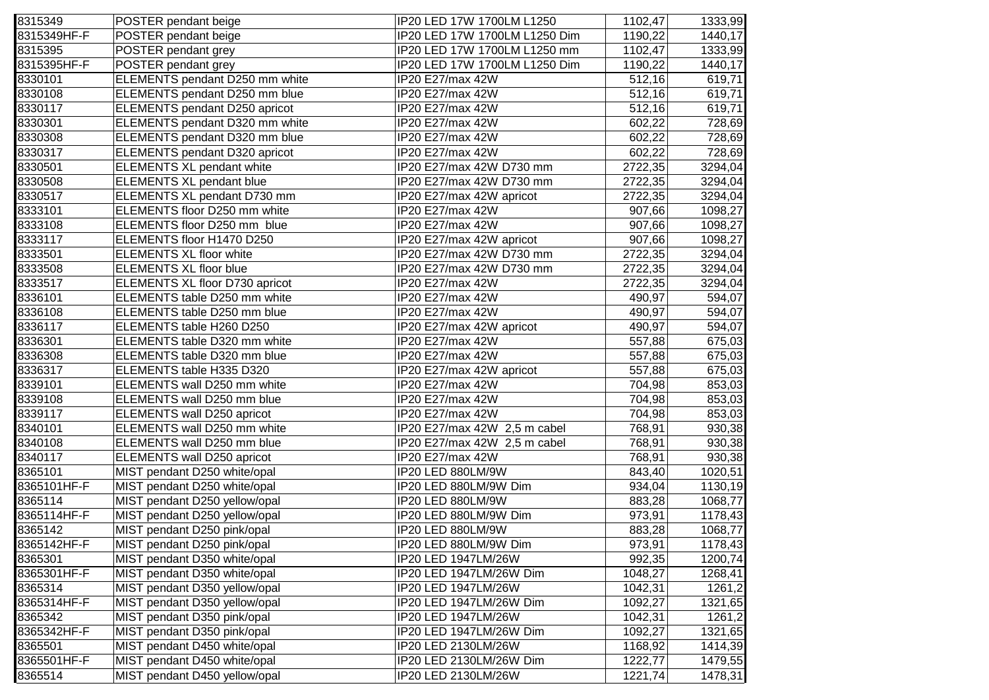| 8315349     | POSTER pendant beige            | IP20 LED 17W 1700LM L1250     | 1102,47 | 1333,99 |
|-------------|---------------------------------|-------------------------------|---------|---------|
| 8315349HF-F | POSTER pendant beige            | IP20 LED 17W 1700LM L1250 Dim | 1190,22 | 1440,17 |
| 8315395     | POSTER pendant grey             | IP20 LED 17W 1700LM L1250 mm  | 1102,47 | 1333,99 |
| 8315395HF-F | POSTER pendant grey             | IP20 LED 17W 1700LM L1250 Dim | 1190,22 | 1440,17 |
| 8330101     | ELEMENTS pendant D250 mm white  | IP20 E27/max 42W              | 512,16  | 619,71  |
| 8330108     | ELEMENTS pendant D250 mm blue   | IP20 E27/max 42W              | 512,16  | 619,71  |
| 8330117     | ELEMENTS pendant D250 apricot   | IP20 E27/max 42W              | 512,16  | 619,71  |
| 8330301     | ELEMENTS pendant D320 mm white  | IP20 E27/max 42W              | 602,22  | 728,69  |
| 8330308     | ELEMENTS pendant D320 mm blue   | IP20 E27/max 42W              | 602,22  | 728,69  |
| 8330317     | ELEMENTS pendant D320 apricot   | IP20 E27/max 42W              | 602,22  | 728,69  |
| 8330501     | ELEMENTS XL pendant white       | IP20 E27/max 42W D730 mm      | 2722,35 | 3294,04 |
| 8330508     | <b>ELEMENTS XL pendant blue</b> | IP20 E27/max 42W D730 mm      | 2722,35 | 3294,04 |
| 8330517     | ELEMENTS XL pendant D730 mm     | IP20 E27/max 42W apricot      | 2722,35 | 3294,04 |
| 8333101     | ELEMENTS floor D250 mm white    | IP20 E27/max 42W              | 907,66  | 1098,27 |
| 8333108     | ELEMENTS floor D250 mm blue     | IP20 E27/max 42W              | 907,66  | 1098,27 |
| 8333117     | ELEMENTS floor H1470 D250       | IP20 E27/max 42W apricot      | 907,66  | 1098,27 |
| 8333501     | ELEMENTS XL floor white         | IP20 E27/max 42W D730 mm      | 2722,35 | 3294,04 |
| 8333508     | <b>ELEMENTS XL floor blue</b>   | IP20 E27/max 42W D730 mm      | 2722,35 | 3294,04 |
| 8333517     | ELEMENTS XL floor D730 apricot  | IP20 E27/max 42W              | 2722,35 | 3294,04 |
| 8336101     | ELEMENTS table D250 mm white    | IP20 E27/max 42W              | 490,97  | 594,07  |
| 8336108     | ELEMENTS table D250 mm blue     | IP20 E27/max 42W              | 490,97  | 594,07  |
| 8336117     | ELEMENTS table H260 D250        | IP20 E27/max 42W apricot      | 490,97  | 594,07  |
| 8336301     | ELEMENTS table D320 mm white    | IP20 E27/max 42W              | 557,88  | 675,03  |
| 8336308     | ELEMENTS table D320 mm blue     | IP20 E27/max 42W              | 557,88  | 675,03  |
| 8336317     | ELEMENTS table H335 D320        | IP20 E27/max 42W apricot      | 557,88  | 675,03  |
| 8339101     | ELEMENTS wall D250 mm white     | IP20 E27/max 42W              | 704,98  | 853,03  |
| 8339108     | ELEMENTS wall D250 mm blue      | IP20 E27/max 42W              | 704,98  | 853,03  |
| 8339117     | ELEMENTS wall D250 apricot      | IP20 E27/max 42W              | 704,98  | 853,03  |
| 8340101     | ELEMENTS wall D250 mm white     | IP20 E27/max 42W 2,5 m cabel  | 768,91  | 930,38  |
| 8340108     | ELEMENTS wall D250 mm blue      | IP20 E27/max 42W 2,5 m cabel  | 768,91  | 930,38  |
| 8340117     | ELEMENTS wall D250 apricot      | IP20 E27/max 42W              | 768,91  | 930,38  |
| 8365101     | MIST pendant D250 white/opal    | IP20 LED 880LM/9W             | 843,40  | 1020,51 |
| 8365101HF-F | MIST pendant D250 white/opal    | IP20 LED 880LM/9W Dim         | 934,04  | 1130,19 |
| 8365114     | MIST pendant D250 yellow/opal   | IP20 LED 880LM/9W             | 883,28  | 1068,77 |
| 8365114HF-F | MIST pendant D250 yellow/opal   | IP20 LED 880LM/9W Dim         | 973,91  | 1178,43 |
| 8365142     | MIST pendant D250 pink/opal     | IP20 LED 880LM/9W             | 883,28  | 1068,77 |
| 8365142HF-F | MIST pendant D250 pink/opal     | IP20 LED 880LM/9W Dim         | 973,91  | 1178,43 |
| 8365301     | MIST pendant D350 white/opal    | IP20 LED 1947LM/26W           | 992,35  | 1200,74 |
| 8365301HF-F | MIST pendant D350 white/opal    | IP20 LED 1947LM/26W Dim       | 1048,27 | 1268,41 |
| 8365314     | MIST pendant D350 yellow/opal   | IP20 LED 1947LM/26W           | 1042,31 | 1261,2  |
| 8365314HF-F | MIST pendant D350 yellow/opal   | IP20 LED 1947LM/26W Dim       | 1092,27 | 1321,65 |
| 8365342     | MIST pendant D350 pink/opal     | IP20 LED 1947LM/26W           | 1042,31 | 1261,2  |
| 8365342HF-F | MIST pendant D350 pink/opal     | IP20 LED 1947LM/26W Dim       | 1092,27 | 1321,65 |
| 8365501     | MIST pendant D450 white/opal    | IP20 LED 2130LM/26W           | 1168,92 | 1414,39 |
| 8365501HF-F | MIST pendant D450 white/opal    | IP20 LED 2130LM/26W Dim       | 1222,77 | 1479,55 |
| 8365514     | MIST pendant D450 yellow/opal   | IP20 LED 2130LM/26W           | 1221,74 | 1478,31 |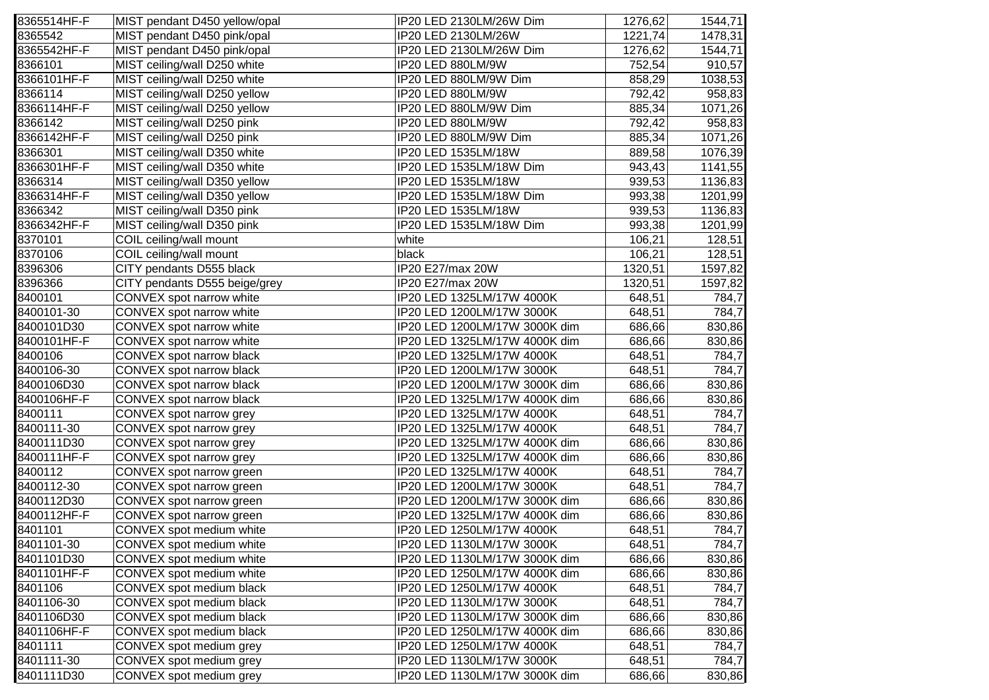| 8365514HF-F | MIST pendant D450 yellow/opal | IP20 LED 2130LM/26W Dim       | 1276,62 | 1544,71 |
|-------------|-------------------------------|-------------------------------|---------|---------|
| 8365542     | MIST pendant D450 pink/opal   | IP20 LED 2130LM/26W           | 1221,74 | 1478,31 |
| 8365542HF-F | MIST pendant D450 pink/opal   | IP20 LED 2130LM/26W Dim       | 1276,62 | 1544,71 |
| 8366101     | MIST ceiling/wall D250 white  | IP20 LED 880LM/9W             | 752,54  | 910,57  |
| 8366101HF-F | MIST ceiling/wall D250 white  | IP20 LED 880LM/9W Dim         | 858,29  | 1038,53 |
| 8366114     | MIST ceiling/wall D250 yellow | IP20 LED 880LM/9W             | 792,42  | 958,83  |
| 8366114HF-F | MIST ceiling/wall D250 yellow | IP20 LED 880LM/9W Dim         | 885,34  | 1071,26 |
| 8366142     | MIST ceiling/wall D250 pink   | IP20 LED 880LM/9W             | 792,42  | 958,83  |
| 8366142HF-F | MIST ceiling/wall D250 pink   | IP20 LED 880LM/9W Dim         | 885,34  | 1071,26 |
| 8366301     | MIST ceiling/wall D350 white  | IP20 LED 1535LM/18W           | 889,58  | 1076,39 |
| 8366301HF-F | MIST ceiling/wall D350 white  | IP20 LED 1535LM/18W Dim       | 943,43  | 1141,55 |
| 8366314     | MIST ceiling/wall D350 yellow | IP20 LED 1535LM/18W           | 939,53  | 1136,83 |
| 8366314HF-F | MIST ceiling/wall D350 yellow | IP20 LED 1535LM/18W Dim       | 993,38  | 1201,99 |
| 8366342     | MIST ceiling/wall D350 pink   | IP20 LED 1535LM/18W           | 939,53  | 1136,83 |
| 8366342HF-F | MIST ceiling/wall D350 pink   | IP20 LED 1535LM/18W Dim       | 993,38  | 1201,99 |
| 8370101     | COIL ceiling/wall mount       | white                         | 106,21  | 128,51  |
| 8370106     | COIL ceiling/wall mount       | black                         | 106,21  | 128,51  |
| 8396306     | CITY pendants D555 black      | IP20 E27/max 20W              | 1320,51 | 1597,82 |
| 8396366     | CITY pendants D555 beige/grey | IP20 E27/max 20W              | 1320,51 | 1597,82 |
| 8400101     | CONVEX spot narrow white      | IP20 LED 1325LM/17W 4000K     | 648,51  | 784,7   |
| 8400101-30  | CONVEX spot narrow white      | IP20 LED 1200LM/17W 3000K     | 648,51  | 784,7   |
| 8400101D30  | CONVEX spot narrow white      | IP20 LED 1200LM/17W 3000K dim | 686,66  | 830,86  |
| 8400101HF-F | CONVEX spot narrow white      | IP20 LED 1325LM/17W 4000K dim | 686,66  | 830,86  |
| 8400106     | CONVEX spot narrow black      | IP20 LED 1325LM/17W 4000K     | 648,51  | 784,7   |
| 8400106-30  | CONVEX spot narrow black      | IP20 LED 1200LM/17W 3000K     | 648,51  | 784,7   |
| 8400106D30  | CONVEX spot narrow black      | IP20 LED 1200LM/17W 3000K dim | 686,66  | 830,86  |
| 8400106HF-F | CONVEX spot narrow black      | IP20 LED 1325LM/17W 4000K dim | 686,66  | 830,86  |
| 8400111     | CONVEX spot narrow grey       | IP20 LED 1325LM/17W 4000K     | 648,51  | 784,7   |
| 8400111-30  | CONVEX spot narrow grey       | IP20 LED 1325LM/17W 4000K     | 648,51  | 784,7   |
| 8400111D30  | CONVEX spot narrow grey       | IP20 LED 1325LM/17W 4000K dim | 686,66  | 830,86  |
| 8400111HF-F | CONVEX spot narrow grey       | IP20 LED 1325LM/17W 4000K dim | 686,66  | 830,86  |
| 8400112     | CONVEX spot narrow green      | IP20 LED 1325LM/17W 4000K     | 648,51  | 784,7   |
| 8400112-30  | CONVEX spot narrow green      | IP20 LED 1200LM/17W 3000K     | 648,51  | 784,7   |
| 8400112D30  | CONVEX spot narrow green      | IP20 LED 1200LM/17W 3000K dim | 686,66  | 830,86  |
| 8400112HF-F | CONVEX spot narrow green      | IP20 LED 1325LM/17W 4000K dim | 686,66  | 830,86  |
| 8401101     | CONVEX spot medium white      | IP20 LED 1250LM/17W 4000K     | 648,51  | 784,7   |
| 8401101-30  | CONVEX spot medium white      | IP20 LED 1130LM/17W 3000K     | 648,51  | 784,7   |
| 8401101D30  | CONVEX spot medium white      | IP20 LED 1130LM/17W 3000K dim | 686,66  | 830,86  |
| 8401101HF-F | CONVEX spot medium white      | IP20 LED 1250LM/17W 4000K dim | 686,66  | 830,86  |
| 8401106     | CONVEX spot medium black      | IP20 LED 1250LM/17W 4000K     | 648,51  | 784,7   |
| 8401106-30  | CONVEX spot medium black      | IP20 LED 1130LM/17W 3000K     | 648,51  | 784,7   |
| 8401106D30  | CONVEX spot medium black      | IP20 LED 1130LM/17W 3000K dim | 686,66  | 830,86  |
| 8401106HF-F | CONVEX spot medium black      | IP20 LED 1250LM/17W 4000K dim | 686,66  | 830,86  |
| 8401111     | CONVEX spot medium grey       | IP20 LED 1250LM/17W 4000K     | 648,51  | 784,7   |
| 8401111-30  | CONVEX spot medium grey       | IP20 LED 1130LM/17W 3000K     | 648,51  | 784,7   |
| 8401111D30  | CONVEX spot medium grey       | IP20 LED 1130LM/17W 3000K dim | 686,66  | 830,86  |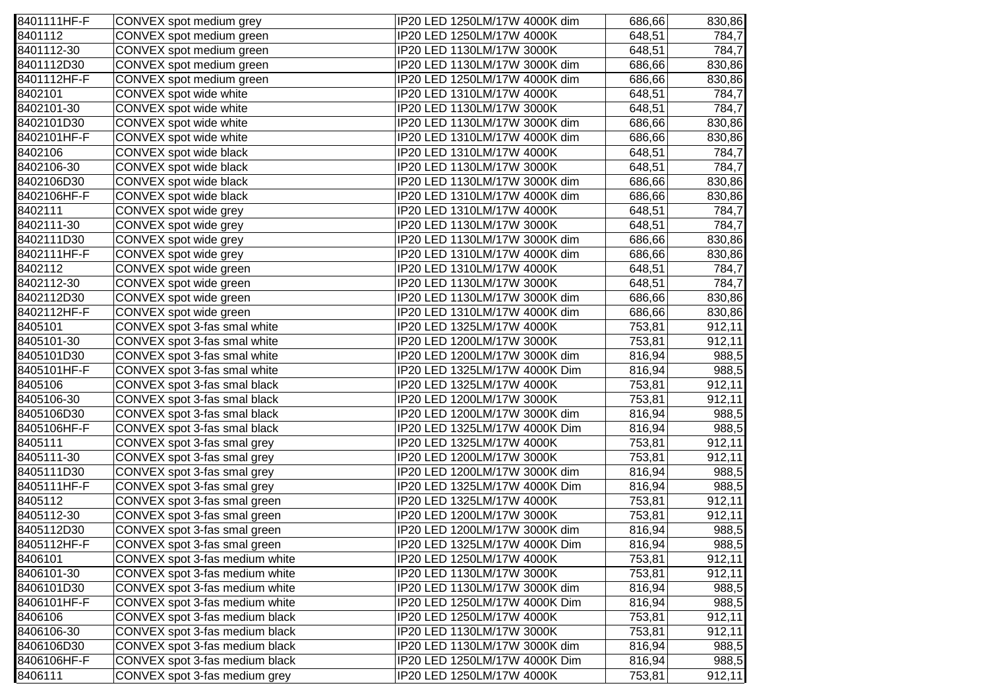| 8401111HF-F | CONVEX spot medium grey        | IP20 LED 1250LM/17W 4000K dim | 686,66 | 830,86 |
|-------------|--------------------------------|-------------------------------|--------|--------|
| 8401112     | CONVEX spot medium green       | IP20 LED 1250LM/17W 4000K     | 648,51 | 784,7  |
| 8401112-30  | CONVEX spot medium green       | IP20 LED 1130LM/17W 3000K     | 648,51 | 784,7  |
| 8401112D30  | CONVEX spot medium green       | IP20 LED 1130LM/17W 3000K dim | 686,66 | 830,86 |
| 8401112HF-F | CONVEX spot medium green       | IP20 LED 1250LM/17W 4000K dim | 686,66 | 830,86 |
| 8402101     | CONVEX spot wide white         | IP20 LED 1310LM/17W 4000K     | 648,51 | 784,7  |
| 8402101-30  | CONVEX spot wide white         | IP20 LED 1130LM/17W 3000K     | 648,51 | 784,7  |
| 8402101D30  | CONVEX spot wide white         | IP20 LED 1130LM/17W 3000K dim | 686,66 | 830,86 |
| 8402101HF-F | CONVEX spot wide white         | IP20 LED 1310LM/17W 4000K dim | 686,66 | 830,86 |
| 8402106     | CONVEX spot wide black         | IP20 LED 1310LM/17W 4000K     | 648,51 | 784,7  |
| 8402106-30  | CONVEX spot wide black         | IP20 LED 1130LM/17W 3000K     | 648,51 | 784,7  |
| 8402106D30  | CONVEX spot wide black         | IP20 LED 1130LM/17W 3000K dim | 686,66 | 830,86 |
| 8402106HF-F | CONVEX spot wide black         | IP20 LED 1310LM/17W 4000K dim | 686,66 | 830,86 |
| 8402111     | CONVEX spot wide grey          | IP20 LED 1310LM/17W 4000K     | 648,51 | 784,7  |
| 8402111-30  | CONVEX spot wide grey          | IP20 LED 1130LM/17W 3000K     | 648,51 | 784,7  |
| 8402111D30  | CONVEX spot wide grey          | IP20 LED 1130LM/17W 3000K dim | 686,66 | 830,86 |
| 8402111HF-F | CONVEX spot wide grey          | IP20 LED 1310LM/17W 4000K dim | 686,66 | 830,86 |
| 8402112     | CONVEX spot wide green         | IP20 LED 1310LM/17W 4000K     | 648,51 | 784,7  |
| 8402112-30  | CONVEX spot wide green         | IP20 LED 1130LM/17W 3000K     | 648,51 | 784,7  |
| 8402112D30  | CONVEX spot wide green         | IP20 LED 1130LM/17W 3000K dim | 686,66 | 830,86 |
| 8402112HF-F | CONVEX spot wide green         | IP20 LED 1310LM/17W 4000K dim | 686,66 | 830,86 |
| 8405101     | CONVEX spot 3-fas smal white   | IP20 LED 1325LM/17W 4000K     | 753,81 | 912,11 |
| 8405101-30  | CONVEX spot 3-fas smal white   | IP20 LED 1200LM/17W 3000K     | 753,81 | 912,11 |
| 8405101D30  | CONVEX spot 3-fas smal white   | IP20 LED 1200LM/17W 3000K dim | 816,94 | 988,5  |
| 8405101HF-F | CONVEX spot 3-fas smal white   | IP20 LED 1325LM/17W 4000K Dim | 816,94 | 988,5  |
| 8405106     | CONVEX spot 3-fas smal black   | IP20 LED 1325LM/17W 4000K     | 753,81 | 912,11 |
| 8405106-30  | CONVEX spot 3-fas smal black   | IP20 LED 1200LM/17W 3000K     | 753,81 | 912,11 |
| 8405106D30  | CONVEX spot 3-fas smal black   | IP20 LED 1200LM/17W 3000K dim | 816,94 | 988,5  |
| 8405106HF-F | CONVEX spot 3-fas smal black   | IP20 LED 1325LM/17W 4000K Dim | 816,94 | 988,5  |
| 8405111     | CONVEX spot 3-fas smal grey    | IP20 LED 1325LM/17W 4000K     | 753,81 | 912,11 |
| 8405111-30  | CONVEX spot 3-fas smal grey    | IP20 LED 1200LM/17W 3000K     | 753,81 | 912,11 |
| 8405111D30  | CONVEX spot 3-fas smal grey    | IP20 LED 1200LM/17W 3000K dim | 816,94 | 988,5  |
| 8405111HF-F | CONVEX spot 3-fas smal grey    | IP20 LED 1325LM/17W 4000K Dim | 816,94 | 988,5  |
| 8405112     | CONVEX spot 3-fas smal green   | IP20 LED 1325LM/17W 4000K     | 753,81 | 912,11 |
| 8405112-30  | CONVEX spot 3-fas smal green   | IP20 LED 1200LM/17W 3000K     | 753,81 | 912,11 |
| 8405112D30  | CONVEX spot 3-fas smal green   | IP20 LED 1200LM/17W 3000K dim | 816,94 | 988,5  |
| 8405112HF-F | CONVEX spot 3-fas smal green   | IP20 LED 1325LM/17W 4000K Dim | 816,94 | 988,5  |
| 8406101     | CONVEX spot 3-fas medium white | IP20 LED 1250LM/17W 4000K     | 753,81 | 912,11 |
| 8406101-30  | CONVEX spot 3-fas medium white | IP20 LED 1130LM/17W 3000K     | 753,81 | 912,11 |
| 8406101D30  | CONVEX spot 3-fas medium white | IP20 LED 1130LM/17W 3000K dim | 816,94 | 988,5  |
| 8406101HF-F | CONVEX spot 3-fas medium white | IP20 LED 1250LM/17W 4000K Dim | 816,94 | 988,5  |
| 8406106     | CONVEX spot 3-fas medium black | IP20 LED 1250LM/17W 4000K     | 753,81 | 912,11 |
| 8406106-30  | CONVEX spot 3-fas medium black | IP20 LED 1130LM/17W 3000K     | 753,81 | 912,11 |
| 8406106D30  | CONVEX spot 3-fas medium black | IP20 LED 1130LM/17W 3000K dim | 816,94 | 988,5  |
| 8406106HF-F | CONVEX spot 3-fas medium black | IP20 LED 1250LM/17W 4000K Dim | 816,94 | 988,5  |
| 8406111     | CONVEX spot 3-fas medium grey  | IP20 LED 1250LM/17W 4000K     | 753,81 | 912,11 |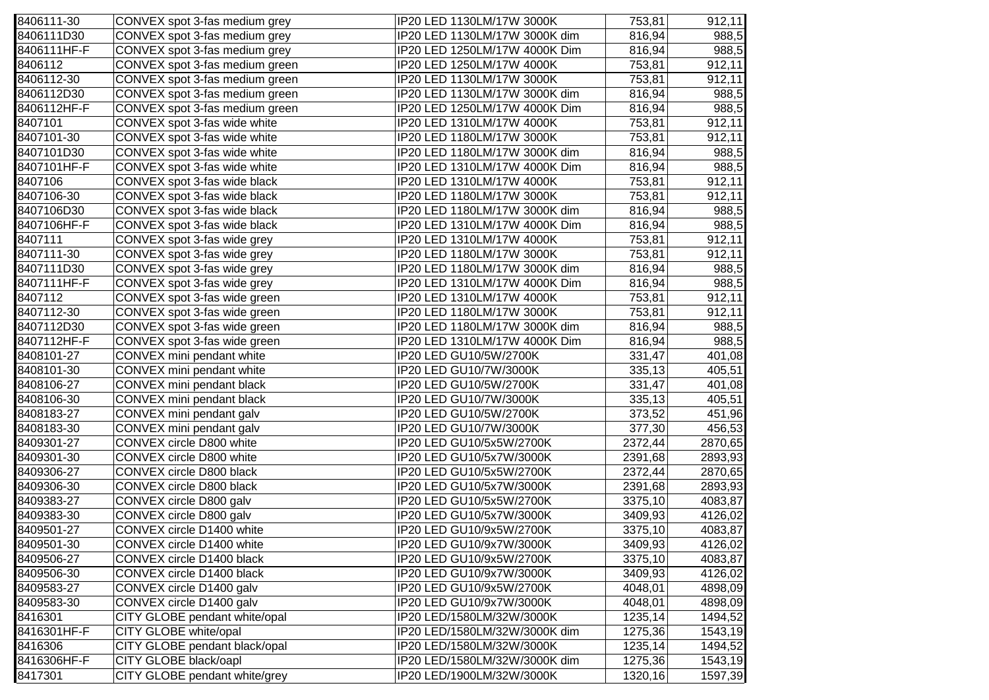| 8406111-30  | CONVEX spot 3-fas medium grey  | IP20 LED 1130LM/17W 3000K     | 753,81  | 912,11  |
|-------------|--------------------------------|-------------------------------|---------|---------|
| 8406111D30  | CONVEX spot 3-fas medium grey  | IP20 LED 1130LM/17W 3000K dim | 816,94  | 988,5   |
| 8406111HF-F | CONVEX spot 3-fas medium grey  | IP20 LED 1250LM/17W 4000K Dim | 816,94  | 988,5   |
| 8406112     | CONVEX spot 3-fas medium green | IP20 LED 1250LM/17W 4000K     | 753,81  | 912,11  |
| 8406112-30  | CONVEX spot 3-fas medium green | IP20 LED 1130LM/17W 3000K     | 753,81  | 912,11  |
| 8406112D30  | CONVEX spot 3-fas medium green | IP20 LED 1130LM/17W 3000K dim | 816,94  | 988,5   |
| 8406112HF-F | CONVEX spot 3-fas medium green | IP20 LED 1250LM/17W 4000K Dim | 816,94  | 988,5   |
| 8407101     | CONVEX spot 3-fas wide white   | IP20 LED 1310LM/17W 4000K     | 753,81  | 912,11  |
| 8407101-30  | CONVEX spot 3-fas wide white   | IP20 LED 1180LM/17W 3000K     | 753,81  | 912,11  |
| 8407101D30  | CONVEX spot 3-fas wide white   | IP20 LED 1180LM/17W 3000K dim | 816,94  | 988,5   |
| 8407101HF-F | CONVEX spot 3-fas wide white   | IP20 LED 1310LM/17W 4000K Dim | 816,94  | 988,5   |
| 8407106     | CONVEX spot 3-fas wide black   | IP20 LED 1310LM/17W 4000K     | 753,81  | 912,11  |
| 8407106-30  | CONVEX spot 3-fas wide black   | IP20 LED 1180LM/17W 3000K     | 753,81  | 912,11  |
| 8407106D30  | CONVEX spot 3-fas wide black   | IP20 LED 1180LM/17W 3000K dim | 816,94  | 988,5   |
| 8407106HF-F | CONVEX spot 3-fas wide black   | IP20 LED 1310LM/17W 4000K Dim | 816,94  | 988,5   |
| 8407111     | CONVEX spot 3-fas wide grey    | IP20 LED 1310LM/17W 4000K     | 753,81  | 912,11  |
| 8407111-30  | CONVEX spot 3-fas wide grey    | IP20 LED 1180LM/17W 3000K     | 753,81  | 912,11  |
| 8407111D30  | CONVEX spot 3-fas wide grey    | IP20 LED 1180LM/17W 3000K dim | 816,94  | 988,5   |
| 8407111HF-F | CONVEX spot 3-fas wide grey    | IP20 LED 1310LM/17W 4000K Dim | 816,94  | 988,5   |
| 8407112     | CONVEX spot 3-fas wide green   | IP20 LED 1310LM/17W 4000K     | 753,81  | 912,11  |
| 8407112-30  | CONVEX spot 3-fas wide green   | IP20 LED 1180LM/17W 3000K     | 753,81  | 912,11  |
| 8407112D30  | CONVEX spot 3-fas wide green   | IP20 LED 1180LM/17W 3000K dim | 816,94  | 988,5   |
| 8407112HF-F | CONVEX spot 3-fas wide green   | IP20 LED 1310LM/17W 4000K Dim | 816,94  | 988,5   |
| 8408101-27  | CONVEX mini pendant white      | IP20 LED GU10/5W/2700K        | 331,47  | 401,08  |
| 8408101-30  | CONVEX mini pendant white      | IP20 LED GU10/7W/3000K        | 335,13  | 405,51  |
| 8408106-27  | CONVEX mini pendant black      | IP20 LED GU10/5W/2700K        | 331,47  | 401,08  |
| 8408106-30  | CONVEX mini pendant black      | IP20 LED GU10/7W/3000K        | 335,13  | 405,51  |
| 8408183-27  | CONVEX mini pendant galv       | IP20 LED GU10/5W/2700K        | 373,52  | 451,96  |
| 8408183-30  | CONVEX mini pendant galv       | IP20 LED GU10/7W/3000K        | 377,30  | 456,53  |
| 8409301-27  | CONVEX circle D800 white       | IP20 LED GU10/5x5W/2700K      | 2372,44 | 2870,65 |
| 8409301-30  | CONVEX circle D800 white       | IP20 LED GU10/5x7W/3000K      | 2391,68 | 2893,93 |
| 8409306-27  | CONVEX circle D800 black       | IP20 LED GU10/5x5W/2700K      | 2372,44 | 2870,65 |
| 8409306-30  | CONVEX circle D800 black       | IP20 LED GU10/5x7W/3000K      | 2391,68 | 2893,93 |
| 8409383-27  | CONVEX circle D800 galv        | IP20 LED GU10/5x5W/2700K      | 3375,10 | 4083,87 |
| 8409383-30  | CONVEX circle D800 galv        | IP20 LED GU10/5x7W/3000K      | 3409,93 | 4126,02 |
| 8409501-27  | CONVEX circle D1400 white      | IP20 LED GU10/9x5W/2700K      | 3375,10 | 4083,87 |
| 8409501-30  | CONVEX circle D1400 white      | IP20 LED GU10/9x7W/3000K      | 3409,93 | 4126,02 |
| 8409506-27  | CONVEX circle D1400 black      | IP20 LED GU10/9x5W/2700K      | 3375,10 | 4083,87 |
| 8409506-30  | CONVEX circle D1400 black      | IP20 LED GU10/9x7W/3000K      | 3409,93 | 4126,02 |
| 8409583-27  | CONVEX circle D1400 galv       | IP20 LED GU10/9x5W/2700K      | 4048,01 | 4898,09 |
| 8409583-30  | CONVEX circle D1400 galv       | IP20 LED GU10/9x7W/3000K      | 4048,01 | 4898,09 |
| 8416301     | CITY GLOBE pendant white/opal  | IP20 LED/1580LM/32W/3000K     | 1235,14 | 1494,52 |
| 8416301HF-F | CITY GLOBE white/opal          | IP20 LED/1580LM/32W/3000K dim | 1275,36 | 1543,19 |
| 8416306     | CITY GLOBE pendant black/opal  | IP20 LED/1580LM/32W/3000K     | 1235,14 | 1494,52 |
| 8416306HF-F | CITY GLOBE black/oapl          | IP20 LED/1580LM/32W/3000K dim | 1275,36 | 1543,19 |
| 8417301     | CITY GLOBE pendant white/grey  | IP20 LED/1900LM/32W/3000K     | 1320,16 | 1597,39 |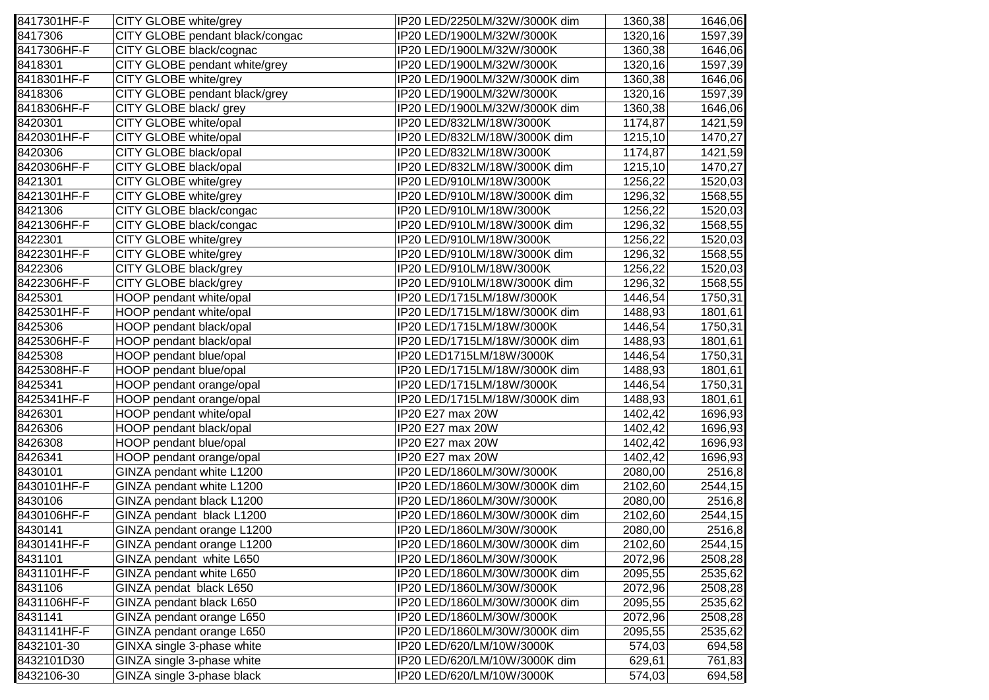| 8417301HF-F | CITY GLOBE white/grey           | IP20 LED/2250LM/32W/3000K dim | 1360,38 | 1646,06 |
|-------------|---------------------------------|-------------------------------|---------|---------|
| 8417306     | CITY GLOBE pendant black/congac | IP20 LED/1900LM/32W/3000K     | 1320,16 | 1597,39 |
| 8417306HF-F | CITY GLOBE black/cognac         | IP20 LED/1900LM/32W/3000K     | 1360,38 | 1646,06 |
| 8418301     | CITY GLOBE pendant white/grey   | IP20 LED/1900LM/32W/3000K     | 1320,16 | 1597,39 |
| 8418301HF-F | CITY GLOBE white/grey           | IP20 LED/1900LM/32W/3000K dim | 1360,38 | 1646,06 |
| 8418306     | CITY GLOBE pendant black/grey   | IP20 LED/1900LM/32W/3000K     | 1320,16 | 1597,39 |
| 8418306HF-F | CITY GLOBE black/grey           | IP20 LED/1900LM/32W/3000K dim | 1360,38 | 1646,06 |
| 8420301     | CITY GLOBE white/opal           | IP20 LED/832LM/18W/3000K      | 1174,87 | 1421,59 |
| 8420301HF-F | CITY GLOBE white/opal           | IP20 LED/832LM/18W/3000K dim  | 1215,10 | 1470,27 |
| 8420306     | CITY GLOBE black/opal           | IP20 LED/832LM/18W/3000K      | 1174,87 | 1421,59 |
| 8420306HF-F | CITY GLOBE black/opal           | IP20 LED/832LM/18W/3000K dim  | 1215,10 | 1470,27 |
| 8421301     | CITY GLOBE white/grey           | IP20 LED/910LM/18W/3000K      | 1256,22 | 1520,03 |
| 8421301HF-F | CITY GLOBE white/grey           | IP20 LED/910LM/18W/3000K dim  | 1296,32 | 1568,55 |
| 8421306     | CITY GLOBE black/congac         | IP20 LED/910LM/18W/3000K      | 1256,22 | 1520,03 |
| 8421306HF-F | CITY GLOBE black/congac         | IP20 LED/910LM/18W/3000K dim  | 1296,32 | 1568,55 |
| 8422301     | CITY GLOBE white/grey           | IP20 LED/910LM/18W/3000K      | 1256,22 | 1520,03 |
| 8422301HF-F | CITY GLOBE white/grey           | IP20 LED/910LM/18W/3000K dim  | 1296,32 | 1568,55 |
| 8422306     | CITY GLOBE black/grey           | IP20 LED/910LM/18W/3000K      | 1256,22 | 1520,03 |
| 8422306HF-F | CITY GLOBE black/grey           | IP20 LED/910LM/18W/3000K dim  | 1296,32 | 1568,55 |
| 8425301     | HOOP pendant white/opal         | IP20 LED/1715LM/18W/3000K     | 1446,54 | 1750,31 |
| 8425301HF-F | HOOP pendant white/opal         | IP20 LED/1715LM/18W/3000K dim | 1488,93 | 1801,61 |
| 8425306     | HOOP pendant black/opal         | IP20 LED/1715LM/18W/3000K     | 1446,54 | 1750,31 |
| 8425306HF-F | HOOP pendant black/opal         | IP20 LED/1715LM/18W/3000K dim | 1488,93 | 1801,61 |
| 8425308     | HOOP pendant blue/opal          | IP20 LED1715LM/18W/3000K      | 1446,54 | 1750,31 |
| 8425308HF-F | HOOP pendant blue/opal          | IP20 LED/1715LM/18W/3000K dim | 1488,93 | 1801,61 |
| 8425341     | HOOP pendant orange/opal        | IP20 LED/1715LM/18W/3000K     | 1446,54 | 1750,31 |
| 8425341HF-F | HOOP pendant orange/opal        | IP20 LED/1715LM/18W/3000K dim | 1488,93 | 1801,61 |
| 8426301     | HOOP pendant white/opal         | IP20 E27 max 20W              | 1402,42 | 1696,93 |
| 8426306     | HOOP pendant black/opal         | IP20 E27 max 20W              | 1402,42 | 1696,93 |
| 8426308     | HOOP pendant blue/opal          | IP20 E27 max 20W              | 1402,42 | 1696,93 |
| 8426341     | HOOP pendant orange/opal        | IP20 E27 max 20W              | 1402,42 | 1696,93 |
| 8430101     | GINZA pendant white L1200       | IP20 LED/1860LM/30W/3000K     | 2080,00 | 2516,8  |
| 8430101HF-F | GINZA pendant white L1200       | IP20 LED/1860LM/30W/3000K dim | 2102,60 | 2544,15 |
| 8430106     | GINZA pendant black L1200       | IP20 LED/1860LM/30W/3000K     | 2080,00 | 2516,8  |
| 8430106HF-F | GINZA pendant black L1200       | IP20 LED/1860LM/30W/3000K dim | 2102,60 | 2544,15 |
| 8430141     | GINZA pendant orange L1200      | IP20 LED/1860LM/30W/3000K     | 2080,00 | 2516,8  |
| 8430141HF-F | GINZA pendant orange L1200      | IP20 LED/1860LM/30W/3000K dim | 2102,60 | 2544,15 |
| 8431101     | GINZA pendant white L650        | IP20 LED/1860LM/30W/3000K     | 2072,96 | 2508,28 |
| 8431101HF-F | GINZA pendant white L650        | IP20 LED/1860LM/30W/3000K dim | 2095,55 | 2535,62 |
| 8431106     | GINZA pendat black L650         | IP20 LED/1860LM/30W/3000K     | 2072,96 | 2508,28 |
| 8431106HF-F | GINZA pendant black L650        | IP20 LED/1860LM/30W/3000K dim | 2095,55 | 2535,62 |
| 8431141     | GINZA pendant orange L650       | IP20 LED/1860LM/30W/3000K     | 2072,96 | 2508,28 |
| 8431141HF-F | GINZA pendant orange L650       | IP20 LED/1860LM/30W/3000K dim | 2095,55 | 2535,62 |
| 8432101-30  | GINXA single 3-phase white      | IP20 LED/620/LM/10W/3000K     | 574,03  | 694,58  |
| 8432101D30  | GINZA single 3-phase white      | IP20 LED/620/LM/10W/3000K dim | 629,61  | 761,83  |
| 8432106-30  | GINZA single 3-phase black      | IP20 LED/620/LM/10W/3000K     | 574,03  | 694,58  |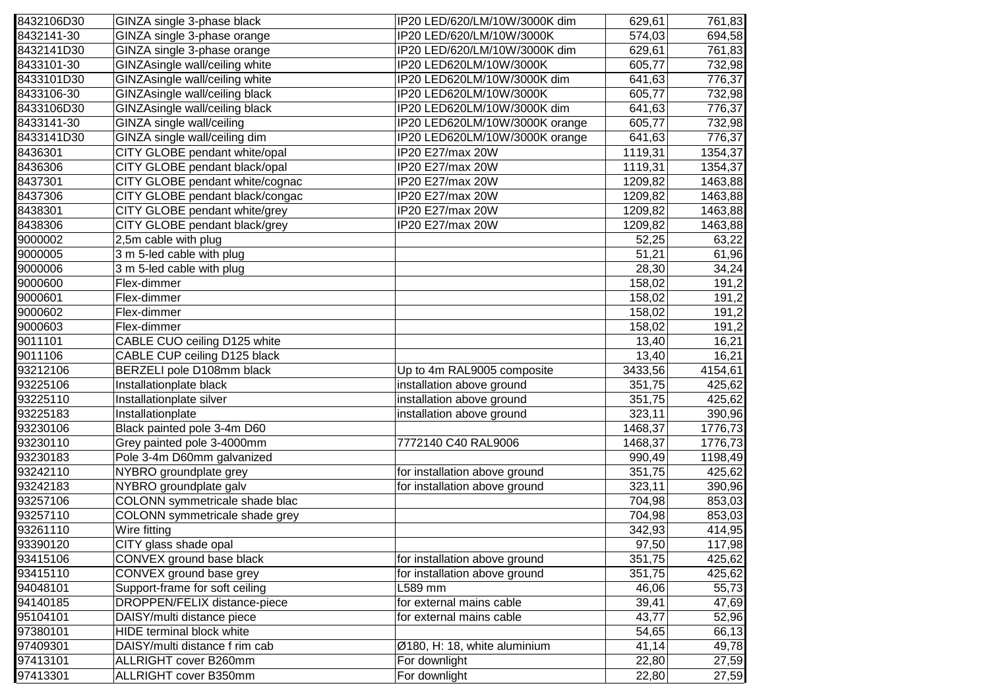| 8432106D30 | GINZA single 3-phase black      | IP20 LED/620/LM/10W/3000K dim  | 629,61  | 761,83  |
|------------|---------------------------------|--------------------------------|---------|---------|
| 8432141-30 | GINZA single 3-phase orange     | IP20 LED/620/LM/10W/3000K      | 574,03  | 694,58  |
| 8432141D30 | GINZA single 3-phase orange     | IP20 LED/620/LM/10W/3000K dim  | 629,61  | 761,83  |
| 8433101-30 | GINZAsingle wall/ceiling white  | IP20 LED620LM/10W/3000K        | 605,77  | 732,98  |
| 8433101D30 | GINZAsingle wall/ceiling white  | IP20 LED620LM/10W/3000K dim    | 641,63  | 776,37  |
| 8433106-30 | GINZAsingle wall/ceiling black  | IP20 LED620LM/10W/3000K        | 605,77  | 732,98  |
| 8433106D30 | GINZAsingle wall/ceiling black  | IP20 LED620LM/10W/3000K dim    | 641,63  | 776,37  |
| 8433141-30 | GINZA single wall/ceiling       | IP20 LED620LM/10W/3000K orange | 605,77  | 732,98  |
| 8433141D30 | GINZA single wall/ceiling dim   | IP20 LED620LM/10W/3000K orange | 641,63  | 776,37  |
| 8436301    | CITY GLOBE pendant white/opal   | IP20 E27/max 20W               | 1119,31 | 1354,37 |
| 8436306    | CITY GLOBE pendant black/opal   | IP20 E27/max 20W               | 1119,31 | 1354,37 |
| 8437301    | CITY GLOBE pendant white/cognac | IP20 E27/max 20W               | 1209,82 | 1463,88 |
| 8437306    | CITY GLOBE pendant black/congac | IP20 E27/max 20W               | 1209,82 | 1463,88 |
| 8438301    | CITY GLOBE pendant white/grey   | IP20 E27/max 20W               | 1209,82 | 1463,88 |
| 8438306    | CITY GLOBE pendant black/grey   | IP20 E27/max 20W               | 1209,82 | 1463,88 |
| 9000002    | 2,5m cable with plug            |                                | 52,25   | 63,22   |
| 9000005    | 3 m 5-led cable with plug       |                                | 51,21   | 61,96   |
| 9000006    | 3 m 5-led cable with plug       |                                | 28,30   | 34,24   |
| 9000600    | Flex-dimmer                     |                                | 158,02  | 191,2   |
| 9000601    | Flex-dimmer                     |                                | 158,02  | 191,2   |
| 9000602    | Flex-dimmer                     |                                | 158,02  | 191,2   |
| 9000603    | Flex-dimmer                     |                                | 158,02  | 191,2   |
| 9011101    | CABLE CUO ceiling D125 white    |                                | 13,40   | 16,21   |
| 9011106    | CABLE CUP ceiling D125 black    |                                | 13,40   | 16,21   |
| 93212106   | BERZELI pole D108mm black       | Up to 4m RAL9005 composite     | 3433,56 | 4154,61 |
| 93225106   | Installationplate black         | installation above ground      | 351,75  | 425,62  |
| 93225110   | Installationplate silver        | installation above ground      | 351,75  | 425,62  |
| 93225183   | Installationplate               | installation above ground      | 323,11  | 390,96  |
| 93230106   | Black painted pole 3-4m D60     |                                | 1468,37 | 1776,73 |
| 93230110   | Grey painted pole 3-4000mm      | 7772140 C40 RAL9006            | 1468,37 | 1776,73 |
| 93230183   | Pole 3-4m D60mm galvanized      |                                | 990,49  | 1198,49 |
| 93242110   | NYBRO groundplate grey          | for installation above ground  | 351,75  | 425,62  |
| 93242183   | NYBRO groundplate galv          | for installation above ground  | 323,11  | 390,96  |
| 93257106   | COLONN symmetricale shade blac  |                                | 704,98  | 853,03  |
| 93257110   | COLONN symmetricale shade grey  |                                | 704,98  | 853,03  |
| 93261110   | Wire fitting                    |                                | 342,93  | 414,95  |
| 93390120   | CITY glass shade opal           |                                | 97,50   | 117,98  |
| 93415106   | CONVEX ground base black        | for installation above ground  | 351,75  | 425,62  |
| 93415110   | CONVEX ground base grey         | for installation above ground  | 351,75  | 425,62  |
| 94048101   | Support-frame for soft ceiling  | L589 mm                        | 46,06   | 55,73   |
| 94140185   | DROPPEN/FELIX distance-piece    | for external mains cable       | 39,41   | 47,69   |
| 95104101   | DAISY/multi distance piece      | for external mains cable       | 43,77   | 52,96   |
| 97380101   | HIDE terminal block white       |                                | 54,65   | 66,13   |
| 97409301   | DAISY/multi distance f rim cab  | Ø180, H: 18, white aluminium   | 41,14   | 49,78   |
| 97413101   | ALLRIGHT cover B260mm           | For downlight                  | 22,80   | 27,59   |
| 97413301   | ALLRIGHT cover B350mm           | For downlight                  | 22,80   | 27,59   |